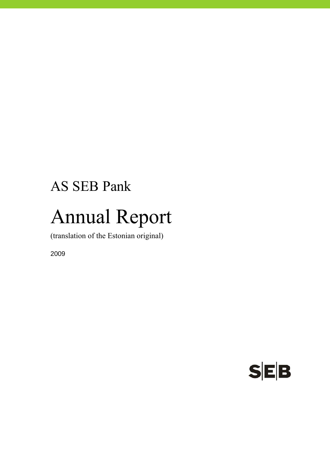## AS SEB Pank

# Annual Report

(translation of the Estonian original)

2009

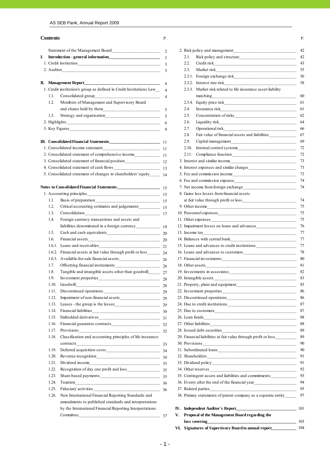#### **Contents** P. **P. Contents** P.

|                                                                                                                       | $\overline{2}$ |    |       |                                                                               |
|-----------------------------------------------------------------------------------------------------------------------|----------------|----|-------|-------------------------------------------------------------------------------|
| I.                                                                                                                    | 3              |    | 2.1.  |                                                                               |
|                                                                                                                       |                |    | 2.2.  |                                                                               |
|                                                                                                                       | 3              |    | 2.3.  |                                                                               |
|                                                                                                                       |                |    |       |                                                                               |
|                                                                                                                       |                |    |       |                                                                               |
| 1. Credit institution's group as defined in Credit Institutions Law___ 4                                              |                |    |       | 2.3.3. Market risk related to life insurance asset-liability                  |
| 1.1.                                                                                                                  | $\overline{4}$ |    |       | matching                                                                      |
| Members of Management and Supervisory Board<br>1.2.                                                                   |                |    |       |                                                                               |
|                                                                                                                       |                |    | 2.4.  |                                                                               |
| 1.3.                                                                                                                  |                |    | 2.5.  |                                                                               |
|                                                                                                                       |                |    | 2.6.  |                                                                               |
|                                                                                                                       |                |    | 2.7.  |                                                                               |
|                                                                                                                       |                |    | 2.8.  | Fair value of financial assets and liabilities_____________                   |
|                                                                                                                       |                |    | 2.9.  |                                                                               |
|                                                                                                                       |                |    | 2.10. |                                                                               |
|                                                                                                                       |                |    | 2.11. |                                                                               |
|                                                                                                                       |                |    |       |                                                                               |
|                                                                                                                       |                |    |       |                                                                               |
| 5. Consolidated statement of changes in shareholders' equity_______ 14                                                |                |    |       |                                                                               |
|                                                                                                                       |                |    |       |                                                                               |
|                                                                                                                       |                |    |       |                                                                               |
|                                                                                                                       |                |    |       | 8. Gains less losses from financial assets                                    |
| 1.1.                                                                                                                  |                |    |       |                                                                               |
| 1.2.                                                                                                                  |                |    |       |                                                                               |
| 1.3.                                                                                                                  |                |    |       |                                                                               |
| Foreign currency transactions and assets and<br>1.4.                                                                  |                |    |       |                                                                               |
|                                                                                                                       |                |    |       | 12. Impairment losses on loans and advances                                   |
| 1.5.                                                                                                                  |                |    |       |                                                                               |
| 1.6.                                                                                                                  |                |    |       |                                                                               |
|                                                                                                                       |                |    |       |                                                                               |
| Financial assets at fair value through profit or loss___________ 24<br>1.6.2.                                         |                |    |       |                                                                               |
|                                                                                                                       |                |    |       |                                                                               |
| 1.7.                                                                                                                  |                |    |       |                                                                               |
| 1.8.                                                                                                                  |                |    |       |                                                                               |
| 1.9.                                                                                                                  |                |    |       |                                                                               |
| 1.10.                                                                                                                 |                |    |       |                                                                               |
| Discontinued operations__________<br>1.11.<br>$\frac{1}{29}$                                                          |                |    |       | 22. Investment properties                                                     |
| 1.12.                                                                                                                 |                |    |       |                                                                               |
| 1.13.                                                                                                                 |                |    |       |                                                                               |
| 1.14.                                                                                                                 |                |    |       |                                                                               |
| 1.15.                                                                                                                 |                |    |       |                                                                               |
| 1.16.                                                                                                                 |                |    |       |                                                                               |
| Provisions 32<br>1.17.                                                                                                |                |    |       |                                                                               |
| Classification and accounting principles of life insurance<br>1.18.                                                   |                |    |       | 29. Financial liabilities at fair value through profit or loss_________       |
|                                                                                                                       |                |    |       |                                                                               |
| 1.19.                                                                                                                 |                |    |       |                                                                               |
| 1.20.                                                                                                                 |                |    |       |                                                                               |
| 1.21.                                                                                                                 |                |    |       |                                                                               |
| 1.22.                                                                                                                 |                |    |       |                                                                               |
| 1.23.                                                                                                                 |                |    |       | 35. Contingent assets and liabilities and commitments____________             |
| 1.24.                                                                                                                 |                |    |       |                                                                               |
| 1.25.                                                                                                                 |                |    |       |                                                                               |
| New International Financial Reporting Standards and<br>1.26.<br>amendments to published standards and interpretations |                |    |       | 38. Primary statements of parent company as a separate entity_____            |
| by the International Financial Reporting Interpretations                                                              |                |    |       | IV. Independent Auditor's Report_____________<br><u> 1989 - Jan James Jan</u> |
|                                                                                                                       |                | V. |       | Proposal of the Management Board regarding the                                |
|                                                                                                                       |                |    |       | loss covering                                                                 |

|                |                                                                          | V.             |              | Proposal of the Management Board regarding the                                    |
|----------------|--------------------------------------------------------------------------|----------------|--------------|-----------------------------------------------------------------------------------|
|                | by the International Financial Reporting Interpretations                 |                |              |                                                                                   |
|                | amendments to published standards and interpretations                    |                |              |                                                                                   |
| 1.26.          | New International Financial Reporting Standards and                      |                |              | 38. Primary statements of parent company as a separate entity_____                |
| 1.25.          |                                                                          |                |              |                                                                                   |
| 1.24.          |                                                                          |                |              | 36. Events after the end of the financial year___________________________________ |
| 1.23.          |                                                                          |                |              | 35. Contingent assets and liabilities and commitments                             |
| 1.22.          |                                                                          |                |              |                                                                                   |
| 1.21.          |                                                                          |                |              |                                                                                   |
| 1.20.          |                                                                          |                |              |                                                                                   |
| 1.19.          |                                                                          |                |              |                                                                                   |
|                |                                                                          |                |              |                                                                                   |
| 1.18.          | Classification and accounting principles of life insurance               |                |              | 29. Financial liabilities at fair value through profit or loss_________           |
| 1.16.<br>1.17. | Provisions 32                                                            |                |              |                                                                                   |
|                |                                                                          |                |              |                                                                                   |
| 1.15.          |                                                                          |                |              |                                                                                   |
| 1.14.          |                                                                          |                |              |                                                                                   |
| 1.12.<br>1.13. |                                                                          |                |              |                                                                                   |
|                |                                                                          |                |              |                                                                                   |
| 1.11.          | Discontinued operations                                                  |                |              | 86<br>22. Investment properties                                                   |
| 1.10.          |                                                                          |                |              |                                                                                   |
| 1.9.           |                                                                          |                |              |                                                                                   |
| 1.7.<br>1.8.   | Tangible and intangible assets other than goodwill_________ 27           |                |              |                                                                                   |
|                |                                                                          |                |              |                                                                                   |
| 1.6.2.         |                                                                          |                |              |                                                                                   |
| 1.6.1.         |                                                                          |                |              |                                                                                   |
| 1.6.           |                                                                          |                |              |                                                                                   |
| 1.5.           |                                                                          |                |              |                                                                                   |
|                |                                                                          |                |              |                                                                                   |
| 1.4.           | Foreign currency transactions and assets and                             |                |              |                                                                                   |
| 1.3.           |                                                                          |                |              |                                                                                   |
| 1.2.           |                                                                          |                |              |                                                                                   |
| 1.1.           |                                                                          |                |              |                                                                                   |
|                |                                                                          |                |              | 8. Gains less losses from financial assets                                        |
|                | otes to Consolidated Financial Statements<br>15                          |                |              |                                                                                   |
|                |                                                                          |                |              | 6. Fee and commission expense 74                                                  |
|                | 5. Consolidated statement of changes in shareholders' equity_______ 14   |                |              | 5. Fee and commission income                                                      |
|                |                                                                          |                |              |                                                                                   |
|                |                                                                          |                |              |                                                                                   |
|                |                                                                          |                |              | 3. Interest and similar income                                                    |
|                |                                                                          |                |              |                                                                                   |
|                |                                                                          |                | 2.10.        |                                                                                   |
|                |                                                                          |                | 2.9.         |                                                                                   |
|                |                                                                          |                | 2.8.         | Fair value of financial assets and liabilities_____________                       |
|                |                                                                          |                | 2.7.         |                                                                                   |
|                |                                                                          |                | 2.6.         |                                                                                   |
| 1.3.           |                                                                          | -5             | 2.4.<br>2.5. |                                                                                   |
|                |                                                                          |                |              |                                                                                   |
| 1.2.           | Members of Management and Supervisory Board                              |                |              |                                                                                   |
| 1.1.           |                                                                          |                |              | matching                                                                          |
|                | 1. Credit institution's group as defined in Credit Institutions Law___ 4 |                | 2.3.3.       | Market risk related to life insurance asset-liability                             |
|                |                                                                          |                | 2.3.2.       |                                                                                   |
|                |                                                                          |                |              |                                                                                   |
|                |                                                                          |                | 2.3.         |                                                                                   |
|                |                                                                          | $\overline{3}$ | 2.1.<br>2.2. |                                                                                   |
|                |                                                                          |                |              |                                                                                   |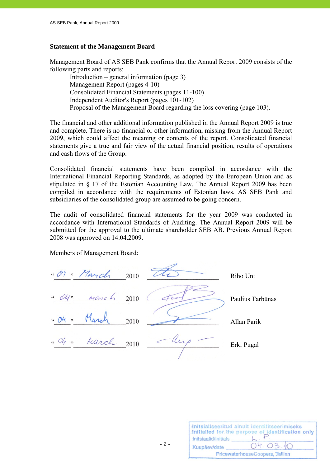#### **Statement of the Management Board**

Management Board of AS SEB Pank confirms that the Annual Report 2009 consists of the following parts and reports:

 Introduction – general information (page 3) Management Report (pages 4-10) Consolidated Financial Statements (pages 11-100) Independent Auditor's Report (pages 101-102) Proposal of the Management Board regarding the loss covering (page 103).

The financial and other additional information published in the Annual Report 2009 is true and complete. There is no financial or other information, missing from the Annual Report 2009, which could affect the meaning or contents of the report. Consolidated financial statements give a true and fair view of the actual financial position, results of operations and cash flows of the Group.

Consolidated financial statements have been compiled in accordance with the International Financial Reporting Standards, as adopted by the European Union and as stipulated in § 17 of the Estonian Accounting Law. The Annual Report 2009 has been compiled in accordance with the requirements of Estonian laws. AS SEB Pank and subsidiaries of the consolidated group are assumed to be going concern.

The audit of consolidated financial statements for the year 2009 was conducted in accordance with International Standards of Auditing. The Annual Report 2009 will be submitted for the approval to the ultimate shareholder SEB AB. Previous Annual Report 2008 was approved on 14.04.2009.

Members of Management Board:

 $\cdot \cdot \cdot$  March 2010  $\overline{CC}$  Riho Unt  $2010$   $\left($   $\left\langle \frac{\partial u}{\partial x} \right\rangle$  Paulius Tarbūnas  $2010$   $\overrightarrow{\text{Allan Parik}}$  $\frac{u}{2010}$   $\frac{du}{du}$  Erki Pugal

| Initsiaalid/initials | Initsialiseeritud ainult identifitseerimiseks<br>Initialled for the purpose of identification only |
|----------------------|----------------------------------------------------------------------------------------------------|
| Kuupäev/date         | 04.03.10                                                                                           |
|                      | PricewaterhouseCoopers, Tallinn                                                                    |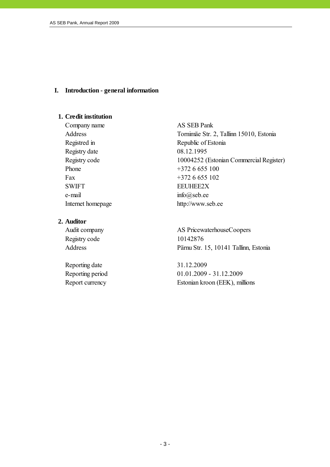#### **I. Introduction - general information**

#### **1. Credit institution**

Company name AS SEB Pank Registry date 08.12.1995 Phone  $+3726655100$ Fax  $+3726655102$ SWIFT EEUHEE2X e-mail  $\text{info}(Q)\text{seb.ee}$ 

#### **2. Auditor**

Registry code 10142876

Reporting date 31.12.2009

Address Tornimäe Str. 2, Tallinn 15010, Estonia Registred in Republic of Estonia Registry code 10004252 (Estonian Commercial Register) Internet homepage http://www.seb.ee

Audit company AS PricewaterhouseCoopers Address Pärnu Str. 15, 10141 Tallinn, Estonia

Reporting period 01.01.2009 - 31.12.2009 Report currency Estonian kroon (EEK), millions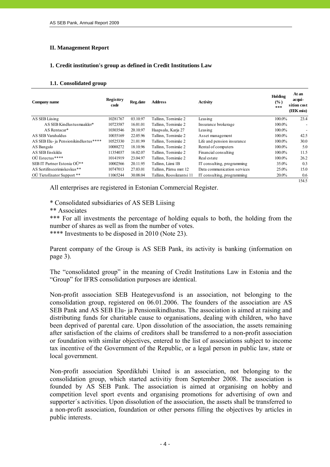#### **II. Management Report**

#### **1. Credit institution's group as defined in Credit Institutions Law**

#### **1.1. Consolidated group**

| Company name                          | <b>Registtry</b><br>code | Reg.date | <b>Address</b>           | Activity                    | Holding<br>(%)<br>$\ast\ast\ast$ | At an<br>acqui-<br>sition cost<br>(EEK mio) |
|---------------------------------------|--------------------------|----------|--------------------------|-----------------------------|----------------------------------|---------------------------------------------|
| AS SEB Liising                        | 10281767                 | 03.10.97 | Tallinn, Tornimäe 2      | Leasing                     | 100.0%                           | 23.4                                        |
| AS SEB Kindlustusmaakler*             | 10723587                 | 16.01.01 | Tallinn, Tornimäe 2      | Insurance brokerage         | 100.0%                           | $\overline{\phantom{a}}$                    |
| AS Rentacar*                          | 10303546                 | 20.10.97 | Haapsalu, Karja 27       | Leasing                     | 100.0%                           |                                             |
| AS SEB Varahaldus                     | 10035169                 | 22.05.96 | Tallinn, Tornimäe 2      | Asset management            | $100.0\%$                        | 42.5                                        |
| AS SEB Elu- ja Pensionikindlustus**** | 10525330                 | 21.01.99 | Tallinn, Tornimäe 2      | Life and pension insurance  | 100.0%                           | 30.0                                        |
| AS Bangalo                            | 10088272                 | 18.10.96 | Tallinn, Tornimäe 2      | Rental of computers         | $100.0\%$                        | 5.0                                         |
| AS SEB Enskilda                       | 11354037                 | 16.02.07 | Tallinn, Tornimäe 2      | Financial consulting        | 100.0%                           | 11.5                                        |
| $O\ddot{U}$ Estectus ****             | 10141919                 | 23.04.97 | Tallinn, Tornimäe 2      | Real estate                 | 100.0%                           | 26.2                                        |
| SEB IT Partner Estonia OÜ**           | 10002566                 | 20.11.95 | Tallinn, Liimi 1B        | IT consulting, programming  | 35.0%                            | 0.3                                         |
| AS Sertifits eerimis kes kus **       | 10747013                 | 27.03.01 | Tallinn, Pärnu mnt 12    | Data communication services | $25.0\%$                         | 15.0                                        |
| OÜ TietoEnator Support **             | 11065244                 | 30.08.04 | Tallinn, Roosikrantsi 11 | IT consulting, programming  | 20.0%                            | 0.6                                         |
|                                       |                          |          |                          |                             |                                  | 154.5                                       |

All enterprises are registered in Estonian Commercial Register.

\* Consolidated subsidiaries of AS SEB Liising

\*\* Associates

\*\*\* For all investments the percentage of holding equals to both, the holding from the number of shares as well as from the number of votes.

\*\*\*\* Investments to be disposed in 2010 (Note 23).

Parent company of the Group is AS SEB Pank, its activity is banking (information on page 3).

The "consolidated group" in the meaning of Credit Institutions Law in Estonia and the "Group" for IFRS consolidation purposes are identical.

Non-profit association SEB Heategevusfond is an association, not belonging to the consolidation group, registered on 06.01.2006. The founders of the association are AS SEB Pank and AS SEB Elu- ja Pensionikindlustus. The association is aimed at raising and distributing funds for charitable cause to organisations, dealing with children, who have been deprived of parental care. Upon dissolution of the association, the assets remaining after satisfaction of the claims of creditors shall be transferred to a non-profit association or foundation with similar objectives, entered to the list of associations subject to income tax incentive of the Government of the Republic, or a legal person in public law, state or local government.

Non-profit association Spordiklubi United is an association, not belonging to the consolidation group, which started activitiy from September 2008. The association is founded by AS SEB Pank. The association is aimed at organising on hobby and competition level sport events and organising promotions for advertising of own and supporter´s activities. Upon dissolution of the association, the assets shall be transferred to a non-profit association, foundation or other persons filling the objectives by articles in public interests.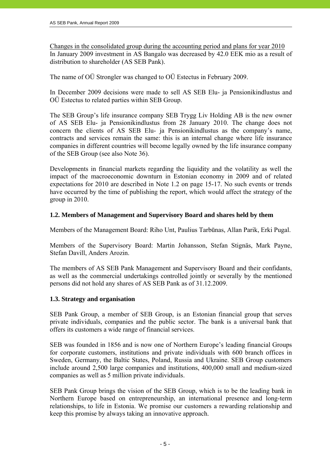Changes in the consolidated group during the accounting period and plans for year 2010 In January 2009 investment in AS Bangalo was decreased by 42.0 EEK mio as a result of distribution to shareholder (AS SEB Pank).

The name of OÜ Strongler was changed to OÜ Estectus in February 2009.

In December 2009 decisions were made to sell AS SEB Elu- ja Pensionikindlustus and OÜ Estectus to related parties within SEB Group.

The SEB Group's life insurance company SEB Trygg Liv Holding AB is the new owner of AS SEB Elu- ja Pensionikindlustus from 28 January 2010. The change does not concern the clients of AS SEB Elu- ja Pensionikindlustus as the company's name, contracts and services remain the same: this is an internal change where life insurance companies in different countries will become legally owned by the life insurance company of the SEB Group (see also Note 36).

Developments in financial markets regarding the liquidity and the volatility as well the impact of the macroeconomic downturn in Estonian economy in 2009 and of related expectations for 2010 are described in Note 1.2 on page 15-17. No such events or trends have occurred by the time of publishing the report, which would affect the strategy of the group in 2010.

#### **1.2. Members of Management and Supervisory Board and shares held by them**

Members of the Management Board: Riho Unt, Paulius Tarbūnas, Allan Parik, Erki Pugal.

Members of the Supervisory Board: Martin Johansson, Stefan Stignäs, Mark Payne, Stefan Davill, Anders Arozin.

The members of AS SEB Pank Management and Supervisory Board and their confidants, as well as the commercial undertakings controlled jointly or severally by the mentioned persons did not hold any shares of AS SEB Pank as of 31.12.2009.

#### **1.3. Strategy and organisation**

SEB Pank Group, a member of SEB Group, is an Estonian financial group that serves private individuals, companies and the public sector. The bank is a universal bank that offers its customers a wide range of financial services.

SEB was founded in 1856 and is now one of Northern Europe's leading financial Groups for corporate customers, institutions and private individuals with 600 branch offices in Sweden, Germany, the Baltic States, Poland, Russia and Ukraine. SEB Group customers include around 2,500 large companies and institutions, 400,000 small and medium-sized companies as well as 5 million private individuals.

SEB Pank Group brings the vision of the SEB Group, which is to be the leading bank in Northern Europe based on entrepreneurship, an international presence and long-term relationships, to life in Estonia. We promise our customers a rewarding relationship and keep this promise by always taking an innovative approach.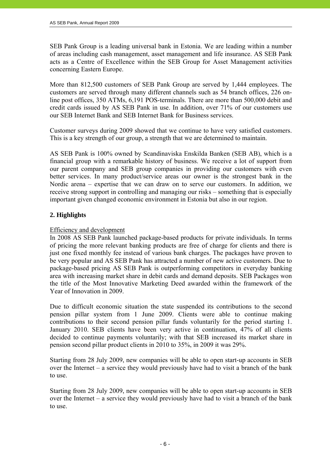SEB Pank Group is a leading universal bank in Estonia. We are leading within a number of areas including cash management, asset management and life insurance. AS SEB Pank acts as a Centre of Excellence within the SEB Group for Asset Management activities concerning Eastern Europe.

More than 812,500 customers of SEB Pank Group are served by 1,444 employees. The customers are served through many different channels such as 54 branch offices, 226 online post offices, 350 ATMs, 6,191 POS-terminals. There are more than 500,000 debit and credit cards issued by AS SEB Pank in use. In addition, over 71% of our customers use our SEB Internet Bank and SEB Internet Bank for Business services.

Customer surveys during 2009 showed that we continue to have very satisfied customers. This is a key strength of our group, a strength that we are determined to maintain.

AS SEB Pank is 100% owned by Scandinaviska Enskilda Banken (SEB AB), which is a financial group with a remarkable history of business. We receive a lot of support from our parent company and SEB group companies in providing our customers with even better services. In many product/service areas our owner is the strongest bank in the Nordic arena – expertise that we can draw on to serve our customers. In addition, we receive strong support in controlling and managing our risks – something that is especially important given changed economic environment in Estonia but also in our region.

#### **2. Highlights**

#### Efficiency and development

In 2008 AS SEB Pank launched package-based products for private individuals. In terms of pricing the more relevant banking products are free of charge for clients and there is just one fixed monthly fee instead of various bank charges. The packages have proven to be very popular and AS SEB Pank has attracted a number of new active customers. Due to package-based pricing AS SEB Pank is outperforming competitors in everyday banking area with increasing market share in debit cards and demand deposits. SEB Packages won the title of the Most Innovative Marketing Deed awarded within the framework of the Year of Innovation in 2009.

Due to difficult economic situation the state suspended its contributions to the second pension pillar system from 1 June 2009. Clients were able to continue making contributions to their second pension pillar funds voluntarily for the period starting 1. January 2010. SEB clients have been very active in continuation, 47% of all clients decided to continue payments voluntarily; with that SEB increased its market share in pension second pillar product clients in 2010 to 35%, in 2009 it was 29%.

Starting from 28 July 2009, new companies will be able to open start-up accounts in SEB over the Internet – a service they would previously have had to visit a branch of the bank to use.

Starting from 28 July 2009, new companies will be able to open start-up accounts in SEB over the Internet – a service they would previously have had to visit a branch of the bank to use.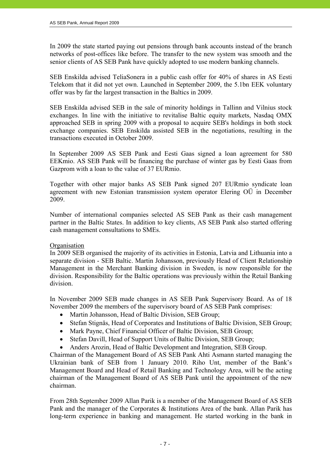In 2009 the state started paying out pensions through bank accounts instead of the branch networks of post-offices like before. The transfer to the new system was smooth and the senior clients of AS SEB Pank have quickly adopted to use modern banking channels.

SEB Enskilda advised TeliaSonera in a public cash offer for 40% of shares in AS Eesti Telekom that it did not yet own. Launched in September 2009, the 5.1bn EEK voluntary offer was by far the largest transaction in the Baltics in 2009.

SEB Enskilda advised SEB in the sale of minority holdings in Tallinn and Vilnius stock exchanges. In line with the initiative to revitalise Baltic equity markets, Nasdaq OMX approached SEB in spring 2009 with a proposal to acquire SEB's holdings in both stock exchange companies. SEB Enskilda assisted SEB in the negotiations, resulting in the transactions executed in October 2009.

In September 2009 AS SEB Pank and Eesti Gaas signed a loan agreement for 580 EEKmio. AS SEB Pank will be financing the purchase of winter gas by Eesti Gaas from Gazprom with a loan to the value of 37 EURmio.

Together with other major banks AS SEB Pank signed 207 EURmio syndicate loan agreement with new Estonian transmission system operator Elering OÜ in December 2009.

Number of international companies selected AS SEB Pank as their cash management partner in the Baltic States. In addition to key clients, AS SEB Pank also started offering cash management consultations to SMEs.

#### **Organisation**

In 2009 SEB organised the majority of its activities in Estonia, Latvia and Lithuania into a separate division - SEB Baltic. Martin Johansson, previously Head of Client Relationship Management in the Merchant Banking division in Sweden, is now responsible for the division. Responsibility for the Baltic operations was previously within the Retail Banking division.

In November 2009 SEB made changes in AS SEB Pank Supervisory Board. As of 18 November 2009 the members of the supervisory board of AS SEB Pank comprises:

- Martin Johansson, Head of Baltic Division, SEB Group;
- Stefan Stignäs, Head of Corporates and Institutions of Baltic Division, SEB Group;
- Mark Payne, Chief Financial Officer of Baltic Division, SEB Group;
- Stefan Davill, Head of Support Units of Baltic Division, SEB Group;
- Anders Arozin, Head of Baltic Development and Integration, SEB Group.

Chairman of the Management Board of AS SEB Pank Ahti Asmann started managing the Ukrainian bank of SEB from 1 January 2010. Riho Unt, member of the Bank's Management Board and Head of Retail Banking and Technology Area, will be the acting chairman of the Management Board of AS SEB Pank until the appointment of the new chairman.

From 28th September 2009 Allan Parik is a member of the Management Board of AS SEB Pank and the manager of the Corporates & Institutions Area of the bank. Allan Parik has long-term experience in banking and management. He started working in the bank in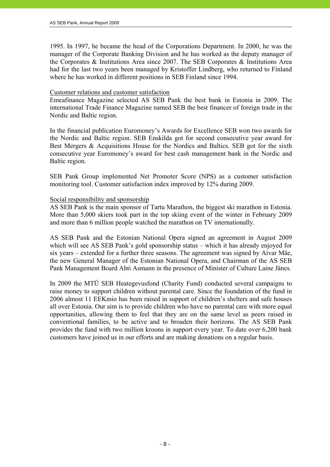1995. In 1997, he became the head of the Corporations Department. In 2000, he was the manager of the Corporate Banking Division and he has worked as the deputy manager of the Corporates & Institutions Area since 2007. The SEB Corporates & Institutions Area had for the last two years been managed by Kristoffer Lindberg, who returned to Finland where he has worked in different positions in SEB Finland since 1994.

#### Customer relations and customer satisfaction

Emeafinance Magazine selected AS SEB Pank the best bank in Estonia in 2009. The international Trade Finance Magazine named SEB the best financer of foreign trade in the Nordic and Baltic region.

In the financial publication Euromoney's Awards for Excellence SEB won two awards for the Nordic and Baltic region. SEB Enskilda got for second consecutive year award for Best Mergers & Acquisitions House for the Nordics and Baltics. SEB got for the sixth consecutive year Euromoney's award for best cash management bank in the Nordic and Baltic region.

SEB Pank Group implemented Net Promoter Score (NPS) as a customer satisfaction monitoring tool. Customer satisfaction index improved by 12% during 2009.

#### Social responsibility and sponsorship

AS SEB Pank is the main sponsor of Tartu Marathon, the biggest ski marathon in Estonia. More than 5,000 skiers took part in the top skiing event of the winter in February 2009 and more than 6 million people watched the marathon on TV internationally.

AS SEB Pank and the Estonian National Opera signed an agreement in August 2009 which will see AS SEB Pank's gold sponsorship status – which it has already enjoyed for six years – extended for a further three seasons. The agreement was signed by Aivar Mäe, the new General Manager of the Estonian National Opera, and Chairman of the AS SEB Pank Management Board Ahti Asmann in the presence of Minister of Culture Laine Jänes.

In 2009 the MTÜ SEB Heategevusfond (Charity Fund) conducted several campaigns to raise money to support children without parental care. Since the foundation of the fund in 2006 almost 11 EEKmio has been raised in support of children's shelters and safe houses all over Estonia. Our aim is to provide children who have no parental care with more equal opportunities, allowing them to feel that they are on the same level as peers raised in conventional families, to be active and to broaden their horizons. The AS SEB Pank provides the fund with two million kroons in support every year. To date over 6,200 bank customers have joined us in our efforts and are making donations on a regular basis.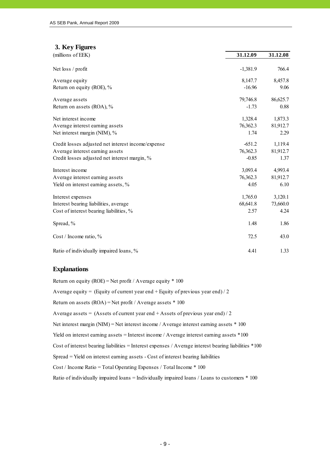| 3. Key Figures                                     |            |          |
|----------------------------------------------------|------------|----------|
| (millions of EEK)                                  | 31.12.09   | 31.12.08 |
| Net loss / profit                                  | $-1,381.9$ | 766.4    |
| Average equity                                     | 8,147.7    | 8,457.8  |
| Return on equity (ROE), %                          | $-16.96$   | 9.06     |
| Average assets                                     | 79,746.8   | 86,625.7 |
| Return on assets (ROA), %                          | $-1.73$    | 0.88     |
| Net interest income                                | 1,328.4    | 1,873.3  |
| Average interest earning assets                    | 76,362.3   | 81,912.7 |
| Net interest margin (NIM), %                       | 1.74       | 2.29     |
| Credit losses adjusted net interest income/expense | $-651.2$   | 1,119.4  |
| Average interest earning assets                    | 76,362.3   | 81,912.7 |
| Credit losses adjusted net interest margin, %      | $-0.85$    | 1.37     |
| Interest income                                    | 3,093.4    | 4,993.4  |
| Average interest earning assets                    | 76,362.3   | 81,912.7 |
| Yield on interest earning assets, %                | 4.05       | 6.10     |
| Interest expenses                                  | 1,765.0    | 3,120.1  |
| Interest bearing liabilities, average              | 68,641.8   | 73,660.0 |
| Cost of interest bearing liabilities, %            | 2.57       | 4.24     |
| Spread, %                                          | 1.48       | 1.86     |
| Cost / Income ratio, %                             | 72.5       | 43.0     |
| Ratio of individually impaired loans, %            | 4.41       | 1.33     |

#### **Explanations**

Return on equity (ROE) = Net profit / Average equity  $*$  100 Average equity = (Equity of current year end + Equity of previous year end) / 2 Return on assets (ROA) = Net profit / Average assets \* 100 Average assets =  $(Assets of current year end + Assets of previous year end)/2$ Spread = Yield on interest earning assets - Cost of interest bearing liabilities Cost / Income Ratio = Total Operating Expenses / Total Income \* 100 Cost of interest bearing liabilities = Interest expenses / Average interest bearing liabilities \*100 Ratio of individually impaired loans = Individually impaired loans / Loans to customers \* 100 Net interest margin (NIM) = Net interest income / Average interest earning assets \* 100 Yield on interest earning assets = Interest income / Average interest earning assets \*100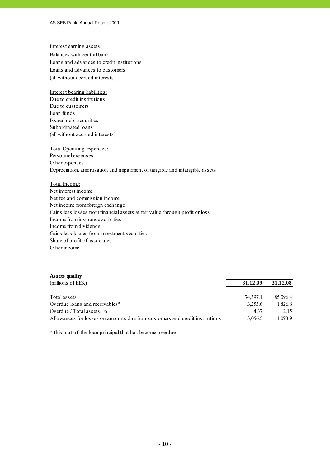#### Interest earning assets:

Balances with central bank Loans and advances to credit institutions (all without accrued interests) Loans and advances to customers

#### Interest bearing liabilities:

Due to credit institutions Due to customers Loan funds Issued debt securities Subordinated loans (all without accrued interests)

#### Total Operating Expenses:

Personnel expenses Other expenses Depreciation, amortisation and impairment of tangible and intangible assets

#### Total Income:

Net interest income Net fee and commission income Net income from foreign exchange Gains less losses from financial assets at fair value through profit or loss Income from insurance activities Income from dividends Gains less losses from investment securities Share of profit of associates Other income

#### **Assets quality**

| (millions of EEK)                                                           | 31.12.09 | 31.12.08 |
|-----------------------------------------------------------------------------|----------|----------|
|                                                                             |          |          |
| Total assets                                                                | 74.397.1 | 85,096.4 |
| Overdue loans and receivables*                                              | 3,253.6  | 1,826.8  |
| Overdue / Total assets, $\%$                                                | 4 3 7    | 2.15     |
| Allowances for losses on amounts due from customers and credit institutions | 3.056.5  | 1.093.9  |

\* this part of the loan principal that has become overdue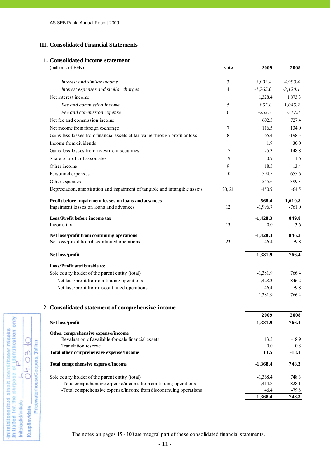#### **III. Consolidated Financial Statements**

#### **1. Consolidated income statement**

Initsialiseeritud ainult identifitseerimiseks<br>Initialied for the purpose of identification only<br>Interactionalise

Initsiaalid/initials Kuupäev/date

C

03.

**H**  $\mathcal{U}$ 

PricewaterhouseCoopers, Jallinn

| (millions of EEK)                                                                                | Note           | 2009               | 2008                |
|--------------------------------------------------------------------------------------------------|----------------|--------------------|---------------------|
| Interest and similar income                                                                      | 3              | 3,093.4            | 4,993.4             |
| Interest expenses and similar charges                                                            | $\overline{4}$ | $-1,765.0$         | $-3,120.1$          |
| Net interest income                                                                              |                | 1,328.4            | 1,873.3             |
| Fee and commission income                                                                        | 5              | 855.8              | 1,045.2             |
| Fee and commission expense                                                                       | 6              | $-253.3$           | $-317.8$            |
| Net fee and commission income                                                                    |                | 602.5              | 727.4               |
| Net income from foreign exchange                                                                 | $\tau$         | 116.5              | 134.0               |
| Gains less losses from financial assets at fair value through profit or loss                     | 8              | 65.4               | $-198.3$            |
| Income from dividends                                                                            |                | 1.9                | 30.0                |
| Gains less losses from investment securities                                                     | 17             | 25.3               | 148.8               |
| Share of profit of associates                                                                    | 19             | 0.9                | 1.6                 |
| Other income                                                                                     | 9              | 18.5               | 13.4                |
| Personnel expenses                                                                               | 10             | $-594.5$           | $-655.6$            |
| Other expenses                                                                                   | 11             | $-545.6$           | $-399.3$            |
| Depreciation, amortisation and impairment of tangible and intangible assets                      | 20, 21         | $-450.9$           | $-64.5$             |
|                                                                                                  |                | 568.4              |                     |
| Profit before impairment losses on loans and advances<br>Impairment losses on loans and advances | 12             | $-1,996.7$         | 1,610.8<br>$-761.0$ |
|                                                                                                  |                |                    |                     |
| Loss/Profit before income tax                                                                    | 13             | $-1,428.3$<br>0.0  | 849.8               |
| Income tax                                                                                       |                |                    | $-3.6$              |
| Net loss/profit from continuing operations                                                       |                | $-1,428.3$         | 846.2               |
| Net loss/profit from discontinued operations                                                     | 23             | 46.4               | $-79.8$             |
| Net loss/profit                                                                                  |                | $-1,381.9$         | 766.4               |
| Loss/Profit attributable to:                                                                     |                |                    |                     |
| Sole equity holder of the parent entity (total)                                                  |                | $-1,381.9$         | 766.4               |
| -Net loss/profit from continuing operations                                                      |                | $-1,428.3$         | 846.2               |
| -Net loss/profit from discontinued operations                                                    |                | 46.4               | $-79.8$             |
|                                                                                                  |                | $-1,381.9$         | 766.4               |
| 2. Consolidated statement of comprehensive income                                                |                |                    |                     |
|                                                                                                  |                | 2009               | 2008                |
| Net loss/profit                                                                                  |                | $-1,381.9$         | 766.4               |
|                                                                                                  |                |                    |                     |
| Other comprehensive expense/income<br>Revaluation of available-for-sale financial assets         |                | 13.5               | $-18.9$             |
| Translation reserve                                                                              |                | 0.0                | 0.8                 |
| Total other comprehensive expense/income                                                         |                | 13.5               | $-18.1$             |
| Total comprehensive expense/income                                                               |                | $-1,368.4$         | 748.3               |
|                                                                                                  |                |                    |                     |
| Sole equity holder of the parent entity (total)                                                  |                | $-1,368.4$         | 748.3               |
| -Total comprehensive expense/income from continuing operations                                   |                | $-1,414.8$         | 828.1               |
| -Total comprehensive expense/income from discontinuing operations                                |                | 46.4<br>$-1,368.4$ | $-79.8$<br>748.3    |
|                                                                                                  |                |                    |                     |

The notes on pages 15 - 100 are integral part of these consolidated financial statements.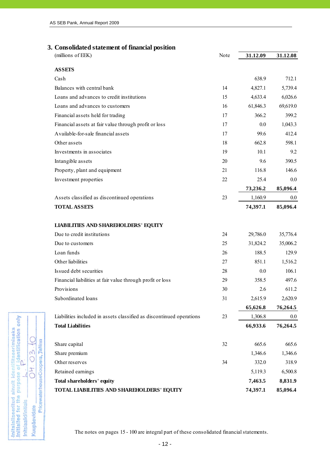#### **3. Consolidated statement of financial position**

| (millions of EEK)                                                    | Note | 31.12.09 | 31.12.08 |
|----------------------------------------------------------------------|------|----------|----------|
| <b>ASSETS</b>                                                        |      |          |          |
| Cash                                                                 |      | 638.9    | 712.1    |
| Balances with central bank                                           | 14   | 4,827.1  | 5,739.4  |
| Loans and advances to credit institutions                            | 15   | 4,633.4  | 6,026.6  |
| Loans and advances to customers                                      | 16   | 61,846.3 | 69,619.0 |
| Financial assets held for trading                                    | 17   | 366.2    | 399.2    |
| Financial assets at fair value through profit or loss                | 17   | 0.0      | 1,043.3  |
| Available-for-sale financial assets                                  | 17   | 99.6     | 412.4    |
| Other assets                                                         | 18   | 662.8    | 598.1    |
| Investments in associates                                            | 19   | 10.1     | 9.2      |
| Intangible assets                                                    | 20   | 9.6      | 390.5    |
| Property, plant and equipment                                        | 21   | 116.8    | 146.6    |
| Investment properties                                                | 22   | 25.4     | 0.0      |
|                                                                      |      | 73,236.2 | 85,096.4 |
| Assets classified as discontinued operations                         | 23   | 1,160.9  | 0.0      |
| <b>TOTAL ASSETS</b>                                                  |      | 74,397.1 | 85,096.4 |
| <b>LIABILITIES AND SHAREHOLDERS' EQUITY</b>                          |      |          |          |
| Due to credit institutions                                           | 24   | 29,786.0 | 35,776.4 |
| Due to customers                                                     | 25   | 31,824.2 | 35,006.2 |
| Loan funds                                                           | 26   | 188.5    | 129.9    |
| Other liabilities                                                    | 27   | 851.1    | 1,516.2  |
| Issued debt securities                                               | 28   | 0.0      | 106.1    |
| Financial liabilities at fair value through profit or loss           | 29   | 358.5    | 497.6    |
| Provisions                                                           | 30   | 2.6      | 611.2    |
| Subordinated loans                                                   | 31   | 2,615.9  | 2,620.9  |
|                                                                      |      | 65,626.8 | 76,264.5 |
| Liabilities included in assets classified as discontinued operations | 23   | 1,306.8  | $0.0\,$  |
| <b>Total Liabilities</b>                                             |      | 66,933.6 | 76,264.5 |
| Share capital                                                        | 32   | 665.6    | 665.6    |
| Share premium                                                        |      | 1,346.6  | 1,346.6  |
| Other reserves                                                       | 34   | 332.0    | 318.9    |
| Retained earnings                                                    |      | 5,119.3  | 6,500.8  |
| Total shareholders' equity                                           |      | 7,463.5  | 8,831.9  |
| TOTAL LIABILITIES AND SHAREHOLDERS' EQUITY                           |      | 74,397.1 | 85,096.4 |

The notes on pages 15 - 100 are integral part of these consolidated financial statements.

- 12 -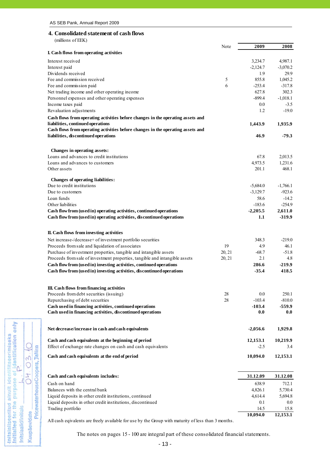### **4. Consolidated statement of cash flows**

(millions of EEK)

Initsialiseeritud ainult identifitseerimiseks<br>Initialied for the purpose of identification only<br>Interactionalise

Initsiaalid/initials Kuupäev/date

 $03.6$ 

PricewaterhouseCoopers, Tallinn  $\overline{C}$  $\sqrt{ }$ 

|                                                                                                                       | Note   | 2009           | 2008           |
|-----------------------------------------------------------------------------------------------------------------------|--------|----------------|----------------|
| I. Cash flows from operating activities                                                                               |        |                |                |
| Interest received                                                                                                     |        | 3,234.7        | 4,987.1        |
| Interest paid                                                                                                         |        | $-2,124.7$     | $-3,070.2$     |
| Dividends received                                                                                                    |        | 1.9            | 29.9           |
| Fee and commission received                                                                                           | 5      | 855.8          | 1,045.2        |
| Fee and commission paid                                                                                               | 6      | $-253.4$       | $-317.8$       |
| Net trading income and other operating income                                                                         |        | 627.8          | 302.3          |
| Personnel expenses and other operating expenses                                                                       |        | $-899.4$       | $-1,018.1$     |
| Income taxes paid                                                                                                     |        | 0.0            | $-3.5$         |
| Revaluation adjustments                                                                                               |        | 1.2            | $-19.0$        |
| Cash flows from operating activities before changes in the operating assets and                                       |        |                |                |
| liabilities, continued operations                                                                                     |        | 1,443.9        | 1,935.9        |
| Cash flows from operating activities before changes in the operating assets and                                       |        |                |                |
| liabilities, discontinued operations                                                                                  |        | 46.9           | $-79.3$        |
| Changes in operating assets:                                                                                          |        |                |                |
| Loans and advances to credit institutions                                                                             |        | 67.8           | 2,013.5        |
| Loans and advances to customers                                                                                       |        | 4,973.5        | 1,231.6        |
| Other assets                                                                                                          |        | 201.1          | 468.1          |
| <b>Changes of operating liabilities:</b>                                                                              |        |                |                |
| Due to credit institutions                                                                                            |        | $-5,684.0$     | $-1,766.1$     |
| Due to customers                                                                                                      |        | $-3,129.7$     | $-923.6$       |
| Loan funds                                                                                                            |        | 58.6           | $-14.2$        |
| Other liabilities                                                                                                     |        | $-183.6$       | $-254.9$       |
| Cash flow from (used in) operating activities, continued operations                                                   |        | $-2,205.5$     | 2,611.0        |
| Cash flow from (used in) operating activities, discontinued operations                                                |        | 1.1            | $-319.9$       |
|                                                                                                                       |        |                |                |
| II. Cash flows from investing activities                                                                              |        |                |                |
| Net increase-/decrease+ of investment portfolio securities                                                            |        | 348.3          | $-219.0$       |
| Proceeds from sale and liquidation of associates                                                                      | 19     | 4.9            | 46.1           |
| Purchase of investment properties, tangible and intangible assets                                                     | 20, 21 | $-68.7$        | $-51.8$        |
| Proceeds from sale of investment properties, tangible and intangible assets                                           | 20, 21 | 2.1            | 4.8            |
| Cash flow from (used in) investing activities, continued operations                                                   |        | 286.6          | $-219.9$       |
| Cash flow from (used in) investing activities, discontinued operations                                                |        | $-35.4$        | 418.5          |
| III. Cash flows from financing activities                                                                             |        |                |                |
| Proceeds from debt securities (issuing)                                                                               | 28     | 0.0            | 250.1          |
| Repurchasing of debt securities                                                                                       | 28     | $-103.4$       | $-810.0$       |
| Cash used in financing activities, continued operations                                                               |        | $-103.4$       | $-559.9$       |
| Cash used in financing activities, discontinued operations                                                            |        | 0.0            | 0.0            |
| Net decrease/increase in cash and cash equivalents                                                                    |        | $-2,056.6$     | 1,929.8        |
|                                                                                                                       |        |                |                |
| Cash and cash equivalents at the beginning of period                                                                  |        | 12,153.1       | 10,219.9       |
| Effect of exchange rate changes on cash and cash equivalents                                                          |        | $-2.5$         | 3.4            |
| Cash and cash equivalents at the end of period                                                                        |        | 10,094.0       | 12,153.1       |
|                                                                                                                       |        |                |                |
| Cash and cash equivalents includes:                                                                                   |        | 31.12.09       | 31.12.08       |
| Cash on hand                                                                                                          |        | 638.9          | 712.1          |
| Balances with the central bank                                                                                        |        | 4,826.1        | 5,730.4        |
| Liquid deposits in other credit institutions, continued<br>Liquid deposits in other credit institutions, discontinued |        | 4,614.4<br>0.1 | 5,694.8<br>0.0 |
| Trading portfolio                                                                                                     |        | 14.5           | 15.8           |
|                                                                                                                       |        | 10,094.0       | 12,153.1       |
|                                                                                                                       |        |                |                |

All cash eqivalents are freely available for use by the Group with maturity of less than 3 months.

The notes on pages 15 - 100 are integral part of these consolidated financial statements.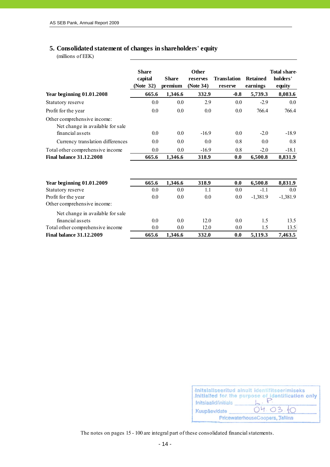#### **5. Consolidated statement of changes in shareholders' equity**

(millions of EEK)

|                                                                                     | <b>Share</b><br>capital<br>(Note 32) | <b>Share</b><br>premium | <b>Other</b><br>reserves<br>(Note 34) | <b>Translation</b><br>reserve | <b>Retained</b><br>earnings | Total share<br>holders'<br>equity |
|-------------------------------------------------------------------------------------|--------------------------------------|-------------------------|---------------------------------------|-------------------------------|-----------------------------|-----------------------------------|
| <b>Year beginning 01.01.2008</b>                                                    | 665.6                                | 1,346.6                 | 332.9                                 | $-0.8$                        | 5,739.3                     | 8,083.6                           |
| Statutory reserve                                                                   | 0.0                                  | 0.0                     | 2.9                                   | 0.0                           | $-2.9$                      | $0.0\,$                           |
| Profit for the year                                                                 | 0.0                                  | 0.0                     | 0.0                                   | 0.0                           | 766.4                       | 766.4                             |
| Other comprehensive income:<br>Net change in available for sale<br>financial assets | 0.0                                  | 0.0                     | $-16.9$                               | 0.0                           | $-2.0$                      | $-18.9$                           |
| Currency translation differences                                                    | 0.0                                  | 0.0                     | 0.0                                   | 0.8                           | 0.0                         | 0.8                               |
| Total other comprehensive income                                                    | 0.0                                  | 0.0                     | $-16.9$                               | 0.8                           | $-2.0$                      | $-18.1$                           |
| <b>Final balance 31.12.2008</b>                                                     | 665.6                                | 1,346.6                 | 318.9                                 | 0.0                           | 6,500.8                     | 8,831.9                           |
| <b>Year beginning 01.01.2009</b>                                                    | 665.6                                | 1,346.6                 | 318.9                                 | 0.0                           | 6,500.8                     | 8,831.9                           |
| Statutory reserve                                                                   | 0.0                                  | 0.0                     | 1.1                                   | $0.0\,$                       | $-1.1$                      | 0.0                               |
| Profit for the year<br>Other comprehensive income:                                  | 0.0                                  | 0.0                     | 0.0                                   | 0.0                           | $-1,381.9$                  | $-1,381.9$                        |
| Net change in available for sale                                                    |                                      |                         |                                       |                               |                             |                                   |
| financial assets                                                                    | 0.0                                  | 0.0                     | 12.0                                  | 0.0                           | 1.5                         | 13.5                              |
| Total other comprehensive income                                                    | 0.0                                  | 0.0                     | 12.0                                  | 0.0                           | 1.5                         | 13.5                              |
| <b>Final balance 31.12.2009</b>                                                     | 665.6                                | 1,346.6                 | 332.0                                 | 0.0                           | 5,119.3                     | 7,463.5                           |

| Initsiaalid/initials | Initsialiseeritud ainult identifitseerimiseks<br>Initialled for the purpose of identification only |
|----------------------|----------------------------------------------------------------------------------------------------|
| Kuupäev/date         | 04.03.10                                                                                           |
|                      | PricewaterhouseCoopers, Tallinn                                                                    |

The notes on pages 15 - 100 are integral part of these consolidated financial statements.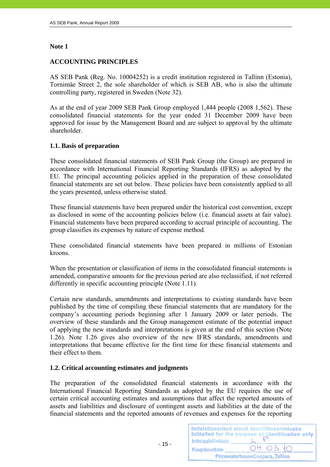#### **Note 1**

#### **ACCOUNTING PRINCIPLES**

AS SEB Pank (Reg. No. 10004252) is a credit institution registered in Tallinn (Estonia), Tornimäe Street 2, the sole shareholder of which is SEB AB, who is also the ultimate controlling party, registered in Sweden (Note 32).

As at the end of year 2009 SEB Pank Group employed 1,444 people (2008 1,562). These consolidated financial statements for the year ended 31 December 2009 have been approved for issue by the Management Board and are subject to approval by the ultimate shareholder.

#### **1.1. Basis of preparation**

These consolidated financial statements of SEB Pank Group (the Group) are prepared in accordance with International Financial Reporting Standards (IFRS) as adopted by the EU. The principal accounting policies applied in the preparation of these consolidated financial statements are set out below. These policies have been consistently applied to all the years presented, unless otherwise stated.

These financial statements have been prepared under the historical cost convention, except as disclosed in some of the accounting policies below (i.e. financial assets at fair value). Financial statements have been prepared according to accrual principle of accounting. The group classifies its expenses by nature of expense method.

These consolidated financial statements have been prepared in millions of Estonian kroons.

When the presentation or classification of items in the consolidated financial statements is amended, comparative amounts for the previous period are also reclassified, if not referred differently in specific accounting principle (Note 1.11).

Certain new standards, amendments and interpretations to existing standards have been published by the time of compiling these financial statements that are mandatory for the company's accounting periods beginning after 1 January 2009 or later periods. The overview of these standards and the Group management estimate of the potential impact of applying the new standards and interpretations is given at the end of this section (Note 1.26). Note 1.26 gives also overview of the new IFRS standards, amendments and interpretations that became effective for the first time for these financial statements and their effect to them.

#### **1.2. Critical accounting estimates and judgments**

- 15 -

The preparation of the consolidated financial statements in accordance with the International Financial Reporting Standards as adopted by the EU requires the use of certain critical accounting estimates and assumptions that affect the reported amounts of assets and liabilities and disclosure of contingent assets and liabilities at the date of the financial statements and the reported amounts of revenues and expenses for the reporting

|                      | Initsialiseeritud ainult identifitseerimiseks<br>Initialled for the purpose of identification only |
|----------------------|----------------------------------------------------------------------------------------------------|
| Initsiaalid/initials |                                                                                                    |
| Kuupäev/date         | 04.03.10                                                                                           |
|                      | PricewaterhouseCoopers, Tallinn                                                                    |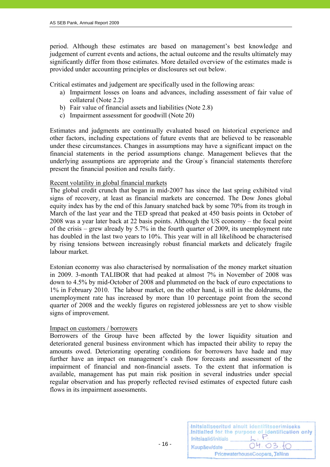period. Although these estimates are based on management's best knowledge and judgement of current events and actions, the actual outcome and the results ultimately may significantly differ from those estimates. More detailed overview of the estimates made is provided under accounting principles or disclosures set out below.

Critical estimates and judgement are specifically used in the following areas:

- a) Impairment losses on loans and advances, including assessment of fair value of collateral (Note 2.2)
- b) Fair value of financial assets and liabilities (Note 2.8)
- c) Impairment assessment for goodwill (Note 20)

Estimates and judgments are continually evaluated based on historical experience and other factors, including expectations of future events that are believed to be reasonable under these circumstances. Changes in assumptions may have a significant impact on the financial statements in the period assumptions change. Management believes that the underlying assumptions are appropriate and the Group´s financial statements therefore present the financial position and results fairly.

#### Recent volatility in global financial markets

The global credit crunch that began in mid-2007 has since the last spring exhibited vital signs of recovery, at least as financial markets are concerned. The Dow Jones global equity index has by the end of this January snatched back by some 70% from its trough in March of the last year and the TED spread that peaked at 450 basis points in October of 2008 was a year later back at 22 basis points. Although the US economy – the focal point of the crisis – grew already by 5.7% in the fourth quarter of 2009, its unemployment rate has doubled in the last two years to 10%. This year will in all likelihood be characterised by rising tensions between increasingly robust financial markets and delicately fragile labour market.

Estonian economy was also characterised by normalisation of the money market situation in 2009. 3-month TALIBOR that had peaked at almost 7% in November of 2008 was down to 4.5% by mid-October of 2008 and plummeted on the back of euro expectations to 1% in February 2010. The labour market, on the other hand, is still in the doldrums, the unemployment rate has increased by more than 10 percentage point from the second quarter of 2008 and the weekly figures on registered joblessness are yet to show visible signs of improvement.

#### Impact on customers / borrowers

Borrowers of the Group have been affected by the lower liquidity situation and deteriorated general business environment which has impacted their ability to repay the amounts owed. Deteriorating operating conditions for borrowers have hade and may further have an impact on management's cash flow forecasts and assessment of the impairment of financial and non-financial assets. To the extent that information is available, management has put main risk position in several industries under special regular observation and has properly reflected revised estimates of expected future cash flows in its impairment assessments.

| Initsiaalid/initials | Initsialiseeritud ainult identifitseerimiseks<br>Initialled for the purpose of identification only |
|----------------------|----------------------------------------------------------------------------------------------------|
| Kuupäev/date         | 04.03.10                                                                                           |
|                      | PricewaterhouseCoopers, Tallinn                                                                    |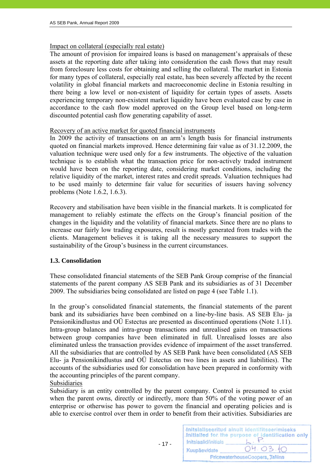#### Impact on collateral (especially real estate)

The amount of provision for impaired loans is based on management's appraisals of these assets at the reporting date after taking into consideration the cash flows that may result from foreclosure less costs for obtaining and selling the collateral. The market in Estonia for many types of collateral, especially real estate, has been severely affected by the recent volatility in global financial markets and macroeconomic decline in Estonia resulting in there being a low level or non-existent of liquidity for certain types of assets. Assets experiencing temporary non-existent market liquidity have been evaluated case by case in accordance to the cash flow model approved on the Group level based on long-term discounted potential cash flow generating capability of asset.

#### Recovery of an active market for quoted financial instruments

In 2009 the activity of transactions on an arm's length basis for financial instruments quoted on financial markets improved. Hence determining fair value as of 31.12.2009, the valuation technique were used only for a few instruments. The objective of the valuation technique is to establish what the transaction price for non-actively traded instrument would have been on the reporting date, considering market conditions, including the relative liquidity of the market, interest rates and credit spreads. Valuation techniques had to be used mainly to determine fair value for securities of issuers having solvency problems (Note 1.6.2, 1.6.3).

Recovery and stabilisation have been visible in the financial markets. It is complicated for management to reliably estimate the effects on the Group's financial position of the changes in the liquidity and the volatility of financial markets. Since there are no plans to increase our fairly low trading exposures, result is mostly generated from trades with the clients. Management believes it is taking all the necessary measures to support the sustainability of the Group's business in the current circumstances.

#### **1.3. Consolidation**

These consolidated financial statements of the SEB Pank Group comprise of the financial statements of the parent company AS SEB Pank and its subsidiaries as of 31 December 2009. The subsidiaries being consolidated are listed on page 4 (see Table 1.1).

In the group's consolidated financial statements, the financial statements of the parent bank and its subsidiaries have been combined on a line-by-line basis. AS SEB Elu- ja Pensionikindlustus and OÜ Estectus are presented as discontinued operations (Note 1.11). Intra-group balances and intra-group transactions and unrealised gains on transactions between group companies have been eliminated in full. Unrealised losses are also eliminated unless the transaction provides evidence of impairment of the asset transferred. All the subsidiaries that are controlled by AS SEB Pank have been consolidated (AS SEB Elu- ja Pensionikindlustus and OÜ Estectus on two lines in assets and liabilities). The accounts of the subsidiaries used for consolidation have been prepared in conformity with the accounting principles of the parent company. Subsidiaries

Subsidiary is an entity controlled by the parent company. Control is presumed to exist when the parent owns, directly or indirectly, more than 50% of the voting power of an enterprise or otherwise has power to govern the financial and operating policies and is able to exercise control over them in order to benefit from their activities. Subsidiaries are

 $- 17 -$ 

| Initsiaalid/initials | Initsialiseeritud ainult identifitseerimiseks<br>Initialled for the purpose of identification only |
|----------------------|----------------------------------------------------------------------------------------------------|
| Kuupäev/date         | 04.03.10                                                                                           |
|                      | PricewaterhouseCoopers, Tallinn                                                                    |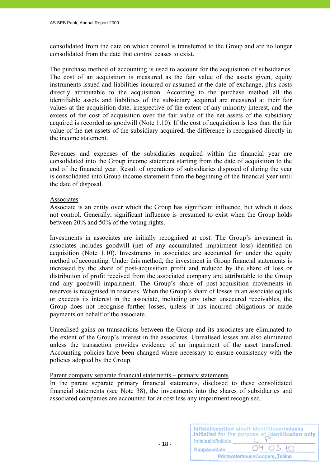consolidated from the date on which control is transferred to the Group and are no longer consolidated from the date that control ceases to exist.

The purchase method of accounting is used to account for the acquisition of subsidiaries. The cost of an acquisition is measured as the fair value of the assets given, equity instruments issued and liabilities incurred or assumed at the date of exchange, plus costs directly attributable to the acquisition. According to the purchase method all the identifiable assets and liabilities of the subsidiary acquired are measured at their fair values at the acquisition date, irrespective of the extent of any minority interest, and the excess of the cost of acquisition over the fair value of the net assets of the subsidiary acquired is recorded as goodwill (Note 1.10). If the cost of acquisition is less than the fair value of the net assets of the subsidiary acquired, the difference is recognised directly in the income statement.

Revenues and expenses of the subsidiaries acquired within the financial year are consolidated into the Group income statement starting from the date of acquisition to the end of the financial year. Result of operations of subsidiaries disposed of during the year is consolidated into Group income statement from the beginning of the financial year until the date of disposal.

#### Associates

Associate is an entity over which the Group has significant influence, but which it does not control. Generally, significant influence is presumed to exist when the Group holds between 20% and 50% of the voting rights.

Investments in associates are initially recognised at cost. The Group's investment in associates includes goodwill (net of any accumulated impairment loss) identified on acquisition (Note 1.10). Investments in associates are accounted for under the equity method of accounting. Under this method, the investment in Group financial statements is increased by the share of post-acquisition profit and reduced by the share of loss or distribution of profit received from the associated company and attributable to the Group and any goodwill impairment. The Group's share of post-acquisition movements in reserves is recognised in reserves. When the Group's share of losses in an associate equals or exceeds its interest in the associate, including any other unsecured receivables, the Group does not recognise further losses, unless it has incurred obligations or made payments on behalf of the associate.

Unrealised gains on transactions between the Group and its associates are eliminated to the extent of the Group's interest in the associates. Unrealised losses are also eliminated unless the transaction provides evidence of an impairment of the asset transferred. Accounting policies have been changed where necessary to ensure consistency with the policies adopted by the Group.

#### Parent company separate financial statements – primary statements

 $- 18 -$ 

In the parent separate primary financial statements, disclosed to these consolidated financial statements (see Note 38), the investments into the shares of subsidiaries and associated companies are accounted for at cost less any impairment recognised.

|                      | Initsialiseeritud ainult identifitseerimiseks<br>Initialled for the purpose of identification only |
|----------------------|----------------------------------------------------------------------------------------------------|
| Initsiaalid/initials |                                                                                                    |
| Kuupäev/date         | 04.03.10                                                                                           |
|                      | PricewaterhouseCoopers, Tallinn                                                                    |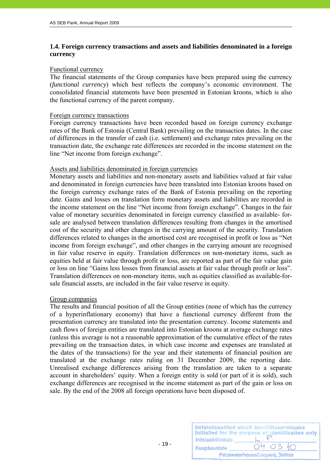#### **1.4. Foreign currency transactions and assets and liabilities denominated in a foreign currency**

#### Functional currency

The financial statements of the Group companies have been prepared using the currency (*functional currency*) which best reflects the company's economic environment. The consolidated financial statements have been presented in Estonian kroons, which is also the functional currency of the parent company.

#### Foreign currency transactions

Foreign currency transactions have been recorded based on foreign currency exchange rates of the Bank of Estonia (Central Bank) prevailing on the transaction dates. In the case of differences in the transfer of cash (i.e. settlement) and exchange rates prevailing on the transaction date, the exchange rate differences are recorded in the income statement on the line "Net income from foreign exchange".

#### Assets and liabilities denominated in foreign currencies

Monetary assets and liabilities and non-monetary assets and liabilities valued at fair value and denominated in foreign currencies have been translated into Estonian kroons based on the foreign currency exchange rates of the Bank of Estonia prevailing on the reporting date. Gains and losses on translation form monetary assets and liabilities are recorded in the income statement on the line "Net income from foreign exchange". Changes in the fair value of monetary securities denominated in foreign currency classified as available- forsale are analysed between translation differences resulting from changes in the amortised cost of the security and other changes in the carrying amount of the security. Translation differences related to changes in the amortised cost are recognised in profit or loss as "Net income from foreign exchange", and other changes in the carrying amount are recognised in fair value reserve in equity. Translation differences on non-monetary items, such as equities held at fair value through profit or loss, are reported as part of the fair value gain or loss on line "Gains less losses from financial assets at fair value through profit or loss". Translation differences on non-monetary items, such as equities classified as available-forsale financial assets, are included in the fair value reserve in equity.

#### Group companies

The results and financial position of all the Group entities (none of which has the currency of a hyperinflationary economy) that have a functional currency different from the presentation currency are translated into the presentation currency. Income statements and cash flows of foreign entities are translated into Estonian kroons at average exchange rates (unless this average is not a reasonable approximation of the cumulative effect of the rates prevailing on the transaction dates, in which case income and expenses are translated at the dates of the transactions) for the year and their statements of financial position are translated at the exchange rates ruling on 31 December 2009, the reporting date. Unrealised exchange differences arising from the translation are taken to a separate account in shareholders' equity. When a foreign entity is sold (or part of it is sold), such exchange differences are recognised in the income statement as part of the gain or loss on sale. By the end of the 2008 all foreign operations have been disposed of.

| Initsiaalid/initials | Initsialiseeritud ainult identifitseerimiseks<br>Initialled for the purpose of identification only |
|----------------------|----------------------------------------------------------------------------------------------------|
| Kuupäev/date         | 04.03.10                                                                                           |
|                      | PricewaterhouseCoopers, Tallinn                                                                    |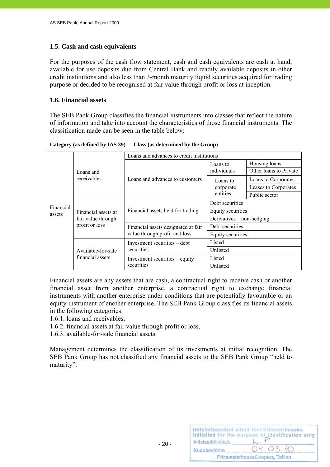#### **1.5. Cash and cash equivalents**

For the purposes of the cash flow statement, cash and cash equivalents are cash at hand, available for use deposits due from Central Bank and readily available deposits in other credit institutions and also less than 3-month maturity liquid securities acquired for trading purpose or decided to be recognised at fair value through profit or loss at inception.

#### **1.6. Financial assets**

The SEB Pank Group classifies the financial instruments into classes that reflect the nature of information and take into account the characteristics of those financial instruments. The classification made can be seen in the table below:

**Category (as defined by IAS 39) Class (as determined by the Group)** 

|                                                                                    |                                                                      | Loans and advances to credit institutions |                        |               |
|------------------------------------------------------------------------------------|----------------------------------------------------------------------|-------------------------------------------|------------------------|---------------|
| Loans and<br>receivables                                                           | Loans and advances to customers                                      | Loans to<br>individuals                   | Housing loans          |               |
|                                                                                    |                                                                      |                                           | Other loans to Private |               |
|                                                                                    |                                                                      | Loans to<br>corporate                     | Loans to Corporates    |               |
|                                                                                    |                                                                      |                                           | Leases to Corporates   |               |
|                                                                                    |                                                                      |                                           | entities               | Public sector |
| Financial<br>Financial assets at<br>assets<br>fair value through<br>profit or loss | Financial assets held for trading                                    | Debt securities                           |                        |               |
|                                                                                    |                                                                      | Equity securities                         |                        |               |
|                                                                                    |                                                                      | Derivatives – non-hedging                 |                        |               |
|                                                                                    | Financial assets designated at fair<br>value through profit and loss | Debt securities                           |                        |               |
|                                                                                    |                                                                      | Equity securities                         |                        |               |
|                                                                                    |                                                                      | Investment securities – debt              | Listed                 |               |
| Available-for-sale<br>financial assets                                             | securities                                                           | Unlisted                                  |                        |               |
|                                                                                    | Investment securities – equity                                       | Listed                                    |                        |               |
|                                                                                    |                                                                      | securities                                | Unlisted               |               |

Financial assets are any assets that are cash, a contractual right to receive cash or another financial asset from another enterprise, a contractual right to exchange financial instruments with another enterprise under conditions that are potentially favourable or an equity instrument of another enterprise. The SEB Pank Group classifies its financial assets in the following categories:

- 1.6.1. loans and receivables,
- 1.6.2. financial assets at fair value through profit or loss,
- 1.6.3. available-for-sale financial assets.

Management determines the classification of its investments at initial recognition. The SEB Pank Group has not classified any financial assets to the SEB Pank Group "held to maturity".

| Initsiaalid/initials | Initsialiseeritud ainult identifitseerimiseks<br>Initialled for the purpose of identification only |
|----------------------|----------------------------------------------------------------------------------------------------|
| Kuupäev/date         | 04.03.10                                                                                           |
|                      | PricewaterhouseCoopers, Tallinn                                                                    |

 $- 20 -$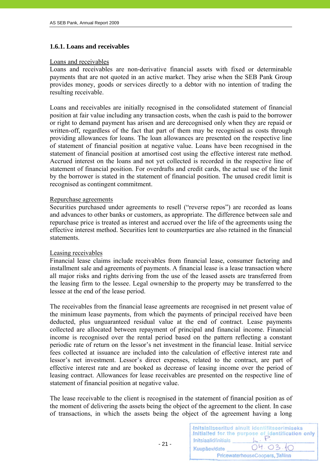#### **1.6.1. Loans and receivables**

#### Loans and receivables

Loans and receivables are non-derivative financial assets with fixed or determinable payments that are not quoted in an active market. They arise when the SEB Pank Group provides money, goods or services directly to a debtor with no intention of trading the resulting receivable.

Loans and receivables are initially recognised in the consolidated statement of financial position at fair value including any transaction costs, when the cash is paid to the borrower or right to demand payment has arisen and are derecognised only when they are repaid or written-off, regardless of the fact that part of them may be recognised as costs through providing allowances for loans. The loan allowances are presented on the respective line of statement of financial position at negative value. Loans have been recognised in the statement of financial position at amortised cost using the effective interest rate method. Accrued interest on the loans and not yet collected is recorded in the respective line of statement of financial position. For overdrafts and credit cards, the actual use of the limit by the borrower is stated in the statement of financial position. The unused credit limit is recognised as contingent commitment.

#### Repurchase agreements

Securities purchased under agreements to resell ("reverse repos") are recorded as loans and advances to other banks or customers, as appropriate. The difference between sale and repurchase price is treated as interest and accrued over the life of the agreements using the effective interest method. Securities lent to counterparties are also retained in the financial statements.

#### Leasing receivables

Financial lease claims include receivables from financial lease, consumer factoring and installment sale and agreements of payments. A financial lease is a lease transaction where all major risks and rights deriving from the use of the leased assets are transferred from the leasing firm to the lessee. Legal ownership to the property may be transferred to the lessee at the end of the lease period.

The receivables from the financial lease agreements are recognised in net present value of the minimum lease payments, from which the payments of principal received have been deducted, plus unguaranteed residual value at the end of contract. Lease payments collected are allocated between repayment of principal and financial income. Financial income is recognised over the rental period based on the pattern reflecting a constant periodic rate of return on the lessor's net investment in the financial lease. Initial service fees collected at issuance are included into the calculation of effective interest rate and lessor's net investment. Lessor's direct expenses, related to the contract, are part of effective interest rate and are booked as decrease of leasing income over the period of leasing contract. Allowances for lease receivables are presented on the respective line of statement of financial position at negative value.

The lease receivable to the client is recognised in the statement of financial position as of the moment of delivering the assets being the object of the agreement to the client. In case of transactions, in which the assets being the object of the agreement having a long

|                      | Initsialiseeritud ainult identifitseerimiseks<br>Initialled for the purpose of identification only |
|----------------------|----------------------------------------------------------------------------------------------------|
| Initsiaalid/initials |                                                                                                    |
| Kuupäev/date         | 04.03.10                                                                                           |
|                      | PricewaterhouseCoopers, Tallinn                                                                    |

 $- 21 -$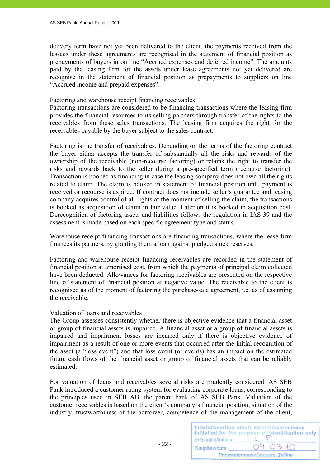delivery term have not yet been delivered to the client, the payments received from the lessees under these agreements are recognised in the statement of financial position as prepayments of buyers in on line "Accrued expenses and deferred income". The amounts paid by the leasing firm for the assets under lease agreements not yet delivered are recognise in the statement of financial position as prepayments to suppliers on line "Accrued income and prepaid expenses".

#### Factoring and warehouse receipt financing receivables

Factoring transactions are considered to be financing transactions where the leasing firm provides the financial resources to its selling partners through transfer of the rights to the receivables from these sales transactions. The leasing firm acquires the right for the receivables payable by the buyer subject to the sales contract.

Factoring is the transfer of receivables. Depending on the terms of the factoring contract the buyer either accepts the transfer of substantially all the risks and rewards of the ownership of the receivable (non-recourse factoring) or retains the right to transfer the risks and rewards back to the seller during a pre-specified term (recourse factoring). Transaction is booked as financing in case the leasing company does not own all the rights related to claim. The claim is booked in statement of financial position until payment is received or recourse is expired. If contract does not include seller's guarantee and leasing company acquires control of all rights at the moment of selling the claim, the transactions is booked as acquisition of claim in fair value. Later on it is booked in acquisition cost. Derecognition of factoring assets and liabilities follows the regulation in IAS 39 and the assessment is made based on each specific agreement type and status.

Warehouse receipt financing transactions are financing transactions, where the lease firm finances its partners, by granting them a loan against pledged stock reserves.

Factoring and warehouse receipt financing receivables are recorded in the statement of financial position at amortised cost, from which the payments of principal claim collected have been deducted. Allowances for factoring receivables are presented on the respective line of statement of financial position at negative value. The receivable to the client is recognised as of the moment of factoring the purchase-sale agreement, i.e. as of assuming the receivable.

#### Valuation of loans and receivables

The Group assesses consistently whether there is objective evidence that a financial asset or group of financial assets is impaired. A financial asset or a group of financial assets is impaired and impairment losses are incurred only if there is objective evidence of impairment as a result of one or more events that occurred after the initial recognition of the asset (a "loss event") and that loss event (or events) has an impact on the estimated future cash flows of the financial asset or group of financial assets that can be reliably estimated.

For valuation of loans and receivables several risks are prudently considered. AS SEB Pank introduced a customer rating system for evaluating corporate loans, corresponding to the principles used in SEB AB, the parent bank of AS SEB Pank. Valuation of the customer receivables is based on the client's company's financial position, situation of the industry, trustworthiness of the borrower, competence of the management of the client,

|                      | Initsialiseeritud ainult identifitseerimiseks<br>Initialled for the purpose of identification only |
|----------------------|----------------------------------------------------------------------------------------------------|
| Initsiaalid/initials |                                                                                                    |
| Kuupäev/date         | 04.03.10                                                                                           |
|                      | PricewaterhouseCoopers, Tallinn                                                                    |

 $- 22 -$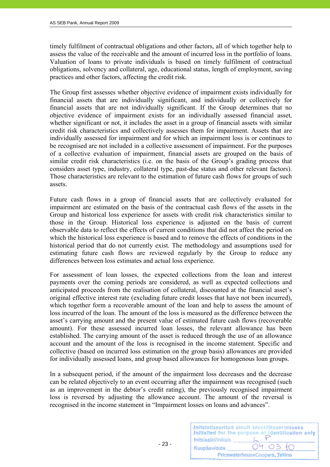timely fulfilment of contractual obligations and other factors, all of which together help to assess the value of the receivable and the amount of incurred loss in the portfolio of loans. Valuation of loans to private individuals is based on timely fulfilment of contractual obligations, solvency and collateral, age, educational status, length of employment, saving practices and other factors, affecting the credit risk.

The Group first assesses whether objective evidence of impairment exists individually for financial assets that are individually significant, and individually or collectively for financial assets that are not individually significant. If the Group determines that no objective evidence of impairment exists for an individually assessed financial asset, whether significant or not, it includes the asset in a group of financial assets with similar credit risk characteristics and collectively assesses them for impairment. Assets that are individually assessed for impairment and for which an impairment loss is or continues to be recognised are not included in a collective assessment of impairment. For the purposes of a collective evaluation of impairment, financial assets are grouped on the basis of similar credit risk characteristics (i.e. on the basis of the Group's grading process that considers asset type, industry, collateral type, past-due status and other relevant factors). Those characteristics are relevant to the estimation of future cash flows for groups of such assets.

Future cash flows in a group of financial assets that are collectively evaluated for impairment are estimated on the basis of the contractual cash flows of the assets in the Group and historical loss experience for assets with credit risk characteristics similar to those in the Group. Historical loss experience is adjusted on the basis of current observable data to reflect the effects of current conditions that did not affect the period on which the historical loss experience is based and to remove the effects of conditions in the historical period that do not currently exist. The methodology and assumptions used for estimating future cash flows are reviewed regularly by the Group to reduce any differences between loss estimates and actual loss experience.

For assessment of loan losses, the expected collections from the loan and interest payments over the coming periods are considered, as well as expected collections and anticipated proceeds from the realisation of collateral, discounted at the financial asset's original effective interest rate (excluding future credit losses that have not been incurred), which together form a recoverable amount of the loan and help to assess the amount of loss incurred of the loan. The amount of the loss is measured as the difference between the asset's carrying amount and the present value of estimated future cash flows (recoverable amount). For these assessed incurred loan losses, the relevant allowance has been established. The carrying amount of the asset is reduced through the use of an allowance account and the amount of the loss is recognised in the income statement. Specific and collective (based on incurred loss estimation on the group basis) allowances are provided for individually assessed loans, and group based allowances for homogenous loan groups.

In a subsequent period, if the amount of the impairment loss decreases and the decrease can be related objectively to an event occurring after the impairment was recognised (such as an improvement in the debtor's credit rating), the previously recognised impairment loss is reversed by adjusting the allowance account. The amount of the reversal is recognised in the income statement in "Impairment losses on loans and advances".

| Initsiaalid/initials | Initsialiseeritud ainult identifitseerimiseks<br>Initialled for the purpose of identification only |
|----------------------|----------------------------------------------------------------------------------------------------|
| Kuupäev/date         | 04.03.10                                                                                           |
|                      | PricewaterhouseCoopers, Tallinn                                                                    |

 $- 23 -$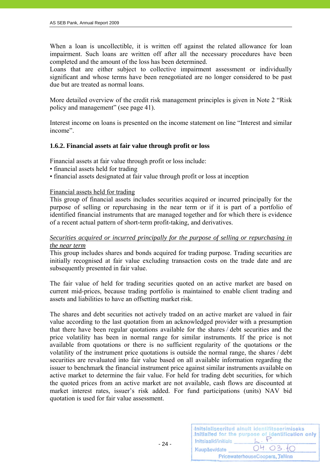When a loan is uncollectible, it is written off against the related allowance for loan impairment. Such loans are written off after all the necessary procedures have been completed and the amount of the loss has been determined.

Loans that are either subject to collective impairment assessment or individually significant and whose terms have been renegotiated are no longer considered to be past due but are treated as normal loans.

More detailed overview of the credit risk management principles is given in Note 2 "Risk policy and management" (see page 41).

Interest income on loans is presented on the income statement on line "Interest and similar income".

#### **1.6.2. Financial assets at fair value through profit or loss**

Financial assets at fair value through profit or loss include:

- financial assets held for trading
- financial assets designated at fair value through profit or loss at inception

#### Financial assets held for trading

- 24 -

This group of financial assets includes securities acquired or incurred principally for the purpose of selling or repurchasing in the near term or if it is part of a portfolio of identified financial instruments that are managed together and for which there is evidence of a recent actual pattern of short-term profit-taking, and derivatives.

#### *Securities acquired or incurred principally for the purpose of selling or repurchasing in the near term*

This group includes shares and bonds acquired for trading purpose. Trading securities are initially recognised at fair value excluding transaction costs on the trade date and are subsequently presented in fair value.

The fair value of held for trading securities quoted on an active market are based on current mid-prices, because trading portfolio is maintained to enable client trading and assets and liabilities to have an offsetting market risk.

The shares and debt securities not actively traded on an active market are valued in fair value according to the last quotation from an acknowledged provider with a presumption that there have been regular quotations available for the shares / debt securities and the price volatility has been in normal range for similar instruments. If the price is not available from quotations or there is no sufficient regularity of the quotations or the volatility of the instrument price quotations is outside the normal range, the shares / debt securities are revaluated into fair value based on all available information regarding the issuer to benchmark the financial instrument price against similar instruments available on active market to determine the fair value. For held for trading debt securities, for which the quoted prices from an active market are not available, cash flows are discounted at market interest rates, issuer's risk added. For fund participations (units) NAV bid quotation is used for fair value assessment.

| Initsiaalid/initials | Initsialiseeritud ainult identifitseerimiseks<br>Initialled for the purpose of identification only |
|----------------------|----------------------------------------------------------------------------------------------------|
| Kuupäev/date         | 04.03.10                                                                                           |
|                      | PricewaterhouseCoopers, Tallinn                                                                    |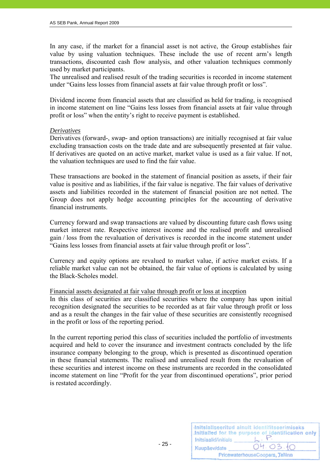In any case, if the market for a financial asset is not active, the Group establishes fair value by using valuation techniques. These include the use of recent arm's length transactions, discounted cash flow analysis, and other valuation techniques commonly used by market participants.

The unrealised and realised result of the trading securities is recorded in income statement under "Gains less losses from financial assets at fair value through profit or loss".

Dividend income from financial assets that are classified as held for trading, is recognised in income statement on line "Gains less losses from financial assets at fair value through profit or loss" when the entity's right to receive payment is established.

#### *Derivatives*

Derivatives (forward-, swap- and option transactions) are initially recognised at fair value excluding transaction costs on the trade date and are subsequently presented at fair value. If derivatives are quoted on an active market, market value is used as a fair value. If not, the valuation techniques are used to find the fair value.

These transactions are booked in the statement of financial position as assets, if their fair value is positive and as liabilities, if the fair value is negative. The fair values of derivative assets and liabilities recorded in the statement of financial position are not netted. The Group does not apply hedge accounting principles for the accounting of derivative financial instruments.

Currency forward and swap transactions are valued by discounting future cash flows using market interest rate. Respective interest income and the realised profit and unrealised gain / loss from the revaluation of derivatives is recorded in the income statement under "Gains less losses from financial assets at fair value through profit or loss".

Currency and equity options are revalued to market value, if active market exists. If a reliable market value can not be obtained, the fair value of options is calculated by using the Black-Scholes model.

#### Financial assets designated at fair value through profit or loss at inception

In this class of securities are classified securities where the company has upon initial recognition designated the securities to be recorded as at fair value through profit or loss and as a result the changes in the fair value of these securities are consistently recognised in the profit or loss of the reporting period.

In the current reporting period this class of securities included the portfolio of investments acquired and held to cover the insurance and investment contracts concluded by the life insurance company belonging to the group, which is presented as discontinued operation in these financial statements. The realised and unrealised result from the revaluation of these securities and interest income on these instruments are recorded in the consolidated income statement on line "Profit for the year from discontinued operations", prior period is restated accordingly.

| Initsiaalid/initials | Initsialiseeritud ainult identifitseerimiseks<br>Initialled for the purpose of identification only |
|----------------------|----------------------------------------------------------------------------------------------------|
| Kuupäev/date         | 04.03.10                                                                                           |
|                      | PricewaterhouseCoopers, Tallinn                                                                    |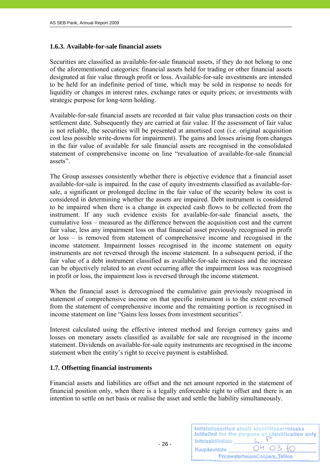#### **1.6.3. Available-for-sale financial assets**

Securities are classified as available-for-sale financial assets, if they do not belong to one of the aforementioned categories: financial assets held for trading or other financial assets designated at fair value through profit or loss. Available-for-sale investments are intended to be held for an indefinite period of time, which may be sold in response to needs for liquidity or changes in interest rates, exchange rates or equity prices; or investments with strategic purpose for long-term holding.

Available-for-sale financial assets are recorded at fair value plus transaction costs on their settlement date. Subsequently they are carried at fair value. If the assessment of fair value is not reliable, the securities will be presented at amortised cost (i.e. original acquisition cost less possible write-downs for impairment). The gains and losses arising from changes in the fair value of available for sale financial assets are recognised in the consolidated statement of comprehensive income on line "revaluation of available-for-sale financial assets".

The Group assesses consistently whether there is objective evidence that a financial asset available-for-sale is impaired. In the case of equity investments classified as available-forsale, a significant or prolonged decline in the fair value of the security below its cost is considered in determining whether the assets are impaired. Debt instrument is considered to be impaired when there is a change in expected cash flows to be collected from the instrument. If any such evidence exists for available-for-sale financial assets, the cumulative loss – measured as the difference between the acquisition cost and the current fair value, less any impairment loss on that financial asset previously recognised in profit or loss – is removed from statement of comprehensive income and recognised in the income statement. Impairment losses recognised in the income statement on equity instruments are not reversed through the income statement. In a subsequent period, if the fair value of a debt instrument classified as available-for-sale increases and the increase can be objectively related to an event occurring after the impairment loss was recognised in profit or loss, the impairment loss is reversed through the income statement.

When the financial asset is derecognised the cumulative gain previously recognised in statement of comprehensive income on that specific instrument is to the extent reversed from the statement of comprehensive income and the remaining portion is recognised in income statement on line "Gains less losses from investment securities".

Interest calculated using the effective interest method and foreign currency gains and losses on monetary assets classified as available for sale are recognised in the income statement. Dividends on available-for-sale equity instruments are recognised in the income statement when the entity's right to receive payment is established.

#### **1.7. Offsetting financial instruments**

 $- 26 -$ 

Financial assets and liabilities are offset and the net amount reported in the statement of financial position only, when there is a legally enforceable right to offset and there is an intention to settle on net basis or realise the asset and settle the liability simultaneously.

| Initsiaalid/initials | Initsialiseeritud ainult identifitseerimiseks<br>Initialled for the purpose of identification only |
|----------------------|----------------------------------------------------------------------------------------------------|
| Kuupäev/date         | 04.03.10                                                                                           |
|                      | PricewaterhouseCoopers, Tallinn                                                                    |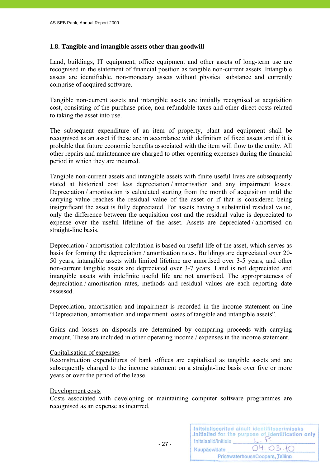#### **1.8. Tangible and intangible assets other than goodwill**

Land, buildings, IT equipment, office equipment and other assets of long-term use are recognised in the statement of financial position as tangible non-current assets. Intangible assets are identifiable, non-monetary assets without physical substance and currently comprise of acquired software.

Tangible non-current assets and intangible assets are initially recognised at acquisition cost, consisting of the purchase price, non-refundable taxes and other direct costs related to taking the asset into use.

The subsequent expenditure of an item of property, plant and equipment shall be recognised as an asset if these are in accordance with definition of fixed assets and if it is probable that future economic benefits associated with the item will flow to the entity. All other repairs and maintenance are charged to other operating expenses during the financial period in which they are incurred.

Tangible non-current assets and intangible assets with finite useful lives are subsequently stated at historical cost less depreciation / amortisation and any impairment losses. Depreciation / amortisation is calculated starting from the month of acquisition until the carrying value reaches the residual value of the asset or if that is considered being insignificant the asset is fully depreciated. For assets having a substantial residual value, only the difference between the acquisition cost and the residual value is depreciated to expense over the useful lifetime of the asset. Assets are depreciated / amortised on straight-line basis.

Depreciation / amortisation calculation is based on useful life of the asset, which serves as basis for forming the depreciation / amortisation rates. Buildings are depreciated over 20- 50 years, intangible assets with limited lifetime are amortised over 3-5 years, and other non-current tangible assets are depreciated over 3-7 years. Land is not depreciated and intangible assets with indefinite useful life are not amortised. The appropriateness of depreciation / amortisation rates, methods and residual values are each reporting date assessed.

Depreciation, amortisation and impairment is recorded in the income statement on line "Depreciation, amortisation and impairment losses of tangible and intangible assets".

Gains and losses on disposals are determined by comparing proceeds with carrying amount. These are included in other operating income / expenses in the income statement.

#### Capitalisation of expenses

- 27 -

Reconstruction expenditures of bank offices are capitalised as tangible assets and are subsequently charged to the income statement on a straight-line basis over five or more years or over the period of the lease.

#### Development costs

Costs associated with developing or maintaining computer software programmes are recognised as an expense as incurred.

| Initsiaalid/initials | Initsialiseeritud ainult identifitseerimiseks<br>Initialled for the purpose of identification only |
|----------------------|----------------------------------------------------------------------------------------------------|
| Kuupäev/date         | 04.03.10                                                                                           |
|                      | PricewaterhouseCoopers, Tallinn                                                                    |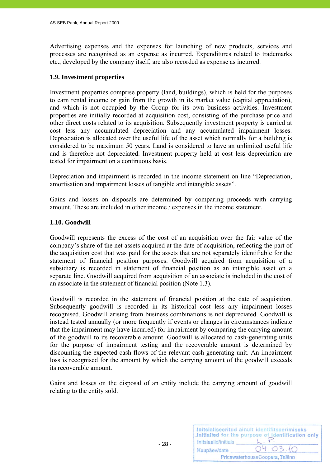Advertising expenses and the expenses for launching of new products, services and processes are recognised as an expense as incurred. Expenditures related to trademarks etc., developed by the company itself, are also recorded as expense as incurred.

#### **1.9. Investment properties**

Investment properties comprise property (land, buildings), which is held for the purposes to earn rental income or gain from the growth in its market value (capital appreciation), and which is not occupied by the Group for its own business activities. Investment properties are initially recorded at acquisition cost, consisting of the purchase price and other direct costs related to its acquisition. Subsequently investment property is carried at cost less any accumulated depreciation and any accumulated impairment losses. Depreciation is allocated over the useful life of the asset which normally for a building is considered to be maximum 50 years. Land is considered to have an unlimited useful life and is therefore not depreciated. Investment property held at cost less depreciation are tested for impairment on a continuous basis.

Depreciation and impairment is recorded in the income statement on line "Depreciation, amortisation and impairment losses of tangible and intangible assets".

Gains and losses on disposals are determined by comparing proceeds with carrying amount. These are included in other income / expenses in the income statement.

#### **1.10. Goodwill**

Goodwill represents the excess of the cost of an acquisition over the fair value of the company's share of the net assets acquired at the date of acquisition, reflecting the part of the acquisition cost that was paid for the assets that are not separately identifiable for the statement of financial position purposes. Goodwill acquired from acquisition of a subsidiary is recorded in statement of financial position as an intangible asset on a separate line. Goodwill acquired from acquisition of an associate is included in the cost of an associate in the statement of financial position (Note 1.3).

Goodwill is recorded in the statement of financial position at the date of acquisition. Subsequently goodwill is recorded in its historical cost less any impairment losses recognised. Goodwill arising from business combinations is not depreciated. Goodwill is instead tested annually (or more frequently if events or changes in circumstances indicate that the impairment may have incurred) for impairment by comparing the carrying amount of the goodwill to its recoverable amount. Goodwill is allocated to cash-generating units for the purpose of impairment testing and the recoverable amount is determined by discounting the expected cash flows of the relevant cash generating unit. An impairment loss is recognised for the amount by which the carrying amount of the goodwill exceeds its recoverable amount.

Gains and losses on the disposal of an entity include the carrying amount of goodwill relating to the entity sold.

| Initsiaalid/initials | Initsialiseeritud ainult identifitseerimiseks<br>Initialled for the purpose of identification only |
|----------------------|----------------------------------------------------------------------------------------------------|
| Kuupäev/date         | 04.03.10                                                                                           |
|                      | PricewaterhouseCoopers, Tallinn                                                                    |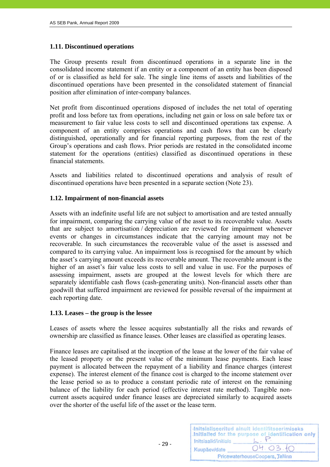#### **1.11. Discontinued operations**

The Group presents result from discontinued operations in a separate line in the consolidated income statement if an entity or a component of an entity has been disposed of or is classified as held for sale. The single line items of assets and liabilities of the discontinued operations have been presented in the consolidated statement of financial position after elimination of inter-company balances.

Net profit from discontinued operations disposed of includes the net total of operating profit and loss before tax from operations, including net gain or loss on sale before tax or measurement to fair value less costs to sell and discontinued operations tax expense. A component of an entity comprises operations and cash flows that can be clearly distinguished, operationally and for financial reporting purposes, from the rest of the Group's operations and cash flows. Prior periods are restated in the consolidated income statement for the operations (entities) classified as discontinued operations in these financial statements.

Assets and liabilities related to discontinued operations and analysis of result of discontinued operations have been presented in a separate section (Note 23).

#### **1.12. Impairment of non-financial assets**

Assets with an indefinite useful life are not subject to amortisation and are tested annually for impairment, comparing the carrying value of the asset to its recoverable value. Assets that are subject to amortisation / depreciation are reviewed for impairment whenever events or changes in circumstances indicate that the carrying amount may not be recoverable. In such circumstances the recoverable value of the asset is assessed and compared to its carrying value. An impairment loss is recognised for the amount by which the asset's carrying amount exceeds its recoverable amount. The recoverable amount is the higher of an asset's fair value less costs to sell and value in use. For the purposes of assessing impairment, assets are grouped at the lowest levels for which there are separately identifiable cash flows (cash-generating units). Non-financial assets other than goodwill that suffered impairment are reviewed for possible reversal of the impairment at each reporting date.

#### **1.13. Leases – the group is the lessee**

 $- 29 -$ 

Leases of assets where the lessee acquires substantially all the risks and rewards of ownership are classified as finance leases. Other leases are classified as operating leases.

Finance leases are capitalised at the inception of the lease at the lower of the fair value of the leased property or the present value of the minimum lease payments. Each lease payment is allocated between the repayment of a liability and finance charges (interest expense). The interest element of the finance cost is charged to the income statement over the lease period so as to produce a constant periodic rate of interest on the remaining balance of the liability for each period (effective interest rate method). Tangible noncurrent assets acquired under finance leases are depreciated similarly to acquired assets over the shorter of the useful life of the asset or the lease term.

| Initsiaalid/initials            | Initsialiseeritud ainult identifitseerimiseks<br>Initialled for the purpose of identification only |
|---------------------------------|----------------------------------------------------------------------------------------------------|
| Kuupäev/date                    | 04.03.10                                                                                           |
| PricewaterhouseCoopers, Tallinn |                                                                                                    |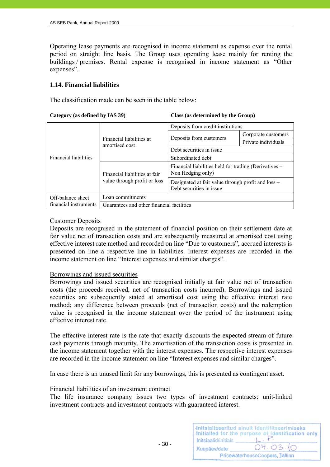Operating lease payments are recognised in income statement as expense over the rental period on straight line basis. The Group uses operating lease mainly for renting the buildings / premises. Rental expense is recognised in income statement as "Other expenses".

#### **1.14. Financial liabilities**

The classification made can be seen in the table below:

**Category (as defined by IAS 39) Class (as determined by the Group)** 

|                              | Financial liabilities at<br>amortised cost                    | Deposits from credit institutions                                              |                     |
|------------------------------|---------------------------------------------------------------|--------------------------------------------------------------------------------|---------------------|
| <b>Financial liabilities</b> |                                                               | Deposits from customers                                                        | Corporate customers |
|                              |                                                               |                                                                                | Private individuals |
|                              |                                                               | Debt securities in issue                                                       |                     |
|                              |                                                               | Subordinated debt                                                              |                     |
|                              | Financial liabilities at fair<br>value through profit or loss | Financial liabilities held for trading (Derivatives –<br>Non Hedging only)     |                     |
|                              |                                                               | Designated at fair value through profit and loss –<br>Debt securities in issue |                     |
| Off-balance sheet            | Loan commitments                                              |                                                                                |                     |
| financial instruments        | Guarantees and other financial facilities                     |                                                                                |                     |

#### Customer Deposits

Deposits are recognised in the statement of financial position on their settlement date at fair value net of transaction costs and are subsequently measured at amortised cost using effective interest rate method and recorded on line "Due to customers", accrued interests is presented on line a respective line in liabilities. Interest expenses are recorded in the income statement on line "Interest expenses and similar charges".

#### Borrowings and issued securities

Borrowings and issued securities are recognised initially at fair value net of transaction costs (the proceeds received, net of transaction costs incurred). Borrowings and issued securities are subsequently stated at amortised cost using the effective interest rate method; any difference between proceeds (net of transaction costs) and the redemption value is recognised in the income statement over the period of the instrument using effective interest rate.

The effective interest rate is the rate that exactly discounts the expected stream of future cash payments through maturity. The amortisation of the transaction costs is presented in the income statement together with the interest expenses. The respective interest expenses are recorded in the income statement on line "Interest expenses and similar charges".

In case there is an unused limit for any borrowings, this is presented as contingent asset.

#### Financial liabilities of an investment contract

The life insurance company issues two types of investment contracts: unit-linked investment contracts and investment contracts with guaranteed interest.

| Initsiaalid/initials            | Initsialiseeritud ainult identifitseerimiseks<br>Initialled for the purpose of identification only |
|---------------------------------|----------------------------------------------------------------------------------------------------|
| Kuupäev/date                    | 04.03.10                                                                                           |
| PricewaterhouseCoopers, Tallinn |                                                                                                    |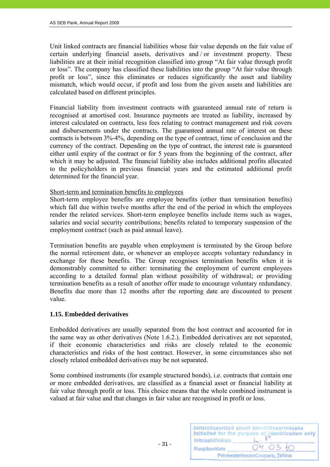Unit linked contracts are financial liabilities whose fair value depends on the fair value of certain underlying financial assets, derivatives and / or investment property. These liabilities are at their initial recognition classified into group "At fair value through profit or loss". The company has classified these liabilities into the group "At fair value through profit or loss", since this eliminates or reduces significantly the asset and liability mismatch, which would occur, if profit and loss from the given assets and liabilities are calculated based on different principles.

Financial liability from investment contracts with guaranteed annual rate of return is recognised at amortised cost. Insurance payments are treated as liability, increased by interest calculated on contracts, less fees relating to contract management and risk covers and disbursements under the contracts. The guaranteed annual rate of interest on these contracts is between 3%-4%, depending on the type of contract, time of conclusion and the currency of the contract. Depending on the type of contract, the interest rate is guaranteed either until expiry of the contract or for 5 years from the beginning of the contract, after which it may be adjusted. The financial liability also includes additional profits allocated to the policyholders in previous financial years and the estimated additional profit determined for the financial year.

#### Short-term and termination benefits to employees

Short-term employee benefits are employee benefits (other than termination benefits) which fall due within twelve months after the end of the period in which the employees render the related services. Short-term employee benefits include items such as wages, salaries and social security contributions; benefits related to temporary suspension of the employment contract (such as paid annual leave).

Termination benefits are payable when employment is terminated by the Group before the normal retirement date, or whenever an employee accepts voluntary redundancy in exchange for these benefits. The Group recognises termination benefits when it is demonstrably committed to either: terminating the employment of current employees according to a detailed formal plan without possibility of withdrawal; or providing termination benefits as a result of another offer made to encourage voluntary redundancy. Benefits due more than 12 months after the reporting date are discounted to present value.

#### **1.15. Embedded derivatives**

Embedded derivatives are usually separated from the host contract and accounted for in the same way as other derivatives (Note 1.6.2.). Embedded derivatives are not separated, if their economic characteristics and risks are closely related to the economic characteristics and risks of the host contract. However, in some circumstances also not closely related embedded derivatives may be not separated.

Some combined instruments (for example structured bonds), i.e. contracts that contain one or more embedded derivatives, are classified as a financial asset or financial liability at fair value through profit or loss. This choice means that the whole combined instrument is valued at fair value and that changes in fair value are recognised in profit or loss.

| Initsiaalid/initials | Initsialiseeritud ainult identifitseerimiseks<br>Initialled for the purpose of identification only |
|----------------------|----------------------------------------------------------------------------------------------------|
| Kuupäev/date         | 04.03.10                                                                                           |
|                      | PricewaterhouseCoopers, Tallinn                                                                    |

 $- 31 -$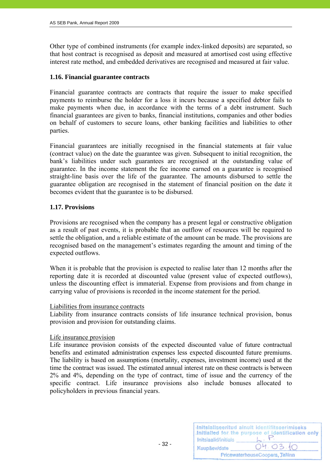Other type of combined instruments (for example index-linked deposits) are separated, so that host contract is recognised as deposit and measured at amortised cost using effective interest rate method, and embedded derivatives are recognised and measured at fair value.

#### **1.16. Financial guarantee contracts**

Financial guarantee contracts are contracts that require the issuer to make specified payments to reimburse the holder for a loss it incurs because a specified debtor fails to make payments when due, in accordance with the terms of a debt instrument. Such financial guarantees are given to banks, financial institutions, companies and other bodies on behalf of customers to secure loans, other banking facilities and liabilities to other parties.

Financial guarantees are initially recognised in the financial statements at fair value (contract value) on the date the guarantee was given. Subsequent to initial recognition, the bank's liabilities under such guarantees are recognised at the outstanding value of guarantee. In the income statement the fee income earned on a guarantee is recognised straight-line basis over the life of the guarantee. The amounts disbursed to settle the guarantee obligation are recognised in the statement of financial position on the date it becomes evident that the guarantee is to be disbursed.

#### **1.17. Provisions**

Provisions are recognised when the company has a present legal or constructive obligation as a result of past events, it is probable that an outflow of resources will be required to settle the obligation, and a reliable estimate of the amount can be made. The provisions are recognised based on the management's estimates regarding the amount and timing of the expected outflows.

When it is probable that the provision is expected to realise later than 12 months after the reporting date it is recorded at discounted value (present value of expected outflows), unless the discounting effect is immaterial. Expense from provisions and from change in carrying value of provisions is recorded in the income statement for the period.

#### Liabilities from insurance contracts

Liability from insurance contracts consists of life insurance technical provision, bonus provision and provision for outstanding claims.

#### Life insurance provision

Life insurance provision consists of the expected discounted value of future contractual benefits and estimated administration expenses less expected discounted future premiums. The liability is based on assumptions (mortality, expenses, investment income) used at the time the contract was issued. The estimated annual interest rate on these contracts is between 2% and 4%, depending on the type of contract, time of issue and the currency of the specific contract. Life insurance provisions also include bonuses allocated to policyholders in previous financial years.

| Initsiaalid/initials | Initsialiseeritud ainult identifitseerimiseks<br>Initialled for the purpose of identification only |
|----------------------|----------------------------------------------------------------------------------------------------|
| Kuupäev/date         | 04.03.10                                                                                           |
|                      | PricewaterhouseCoopers, Tallinn                                                                    |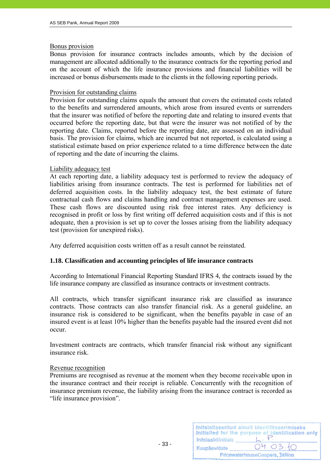#### Bonus provision

Bonus provision for insurance contracts includes amounts, which by the decision of management are allocated additionally to the insurance contracts for the reporting period and on the account of which the life insurance provisions and financial liabilities will be increased or bonus disbursements made to the clients in the following reporting periods.

#### Provision for outstanding claims

Provision for outstanding claims equals the amount that covers the estimated costs related to the benefits and surrendered amounts, which arose from insured events or surrenders that the insurer was notified of before the reporting date and relating to insured events that occurred before the reporting date, but that were the insurer was not notified of by the reporting date. Claims, reported before the reporting date, are assessed on an individual basis. The provision for claims, which are incurred but not reported, is calculated using a statistical estimate based on prior experience related to a time difference between the date of reporting and the date of incurring the claims.

#### Liability adequacy test

At each reporting date, a liability adequacy test is performed to review the adequacy of liabilities arising from insurance contracts. The test is performed for liabilities net of deferred acquisition costs. In the liability adequacy test, the best estimate of future contractual cash flows and claims handling and contract management expenses are used. These cash flows are discounted using risk free interest rates. Any deficiency is recognised in profit or loss by first writing off deferred acquisition costs and if this is not adequate, then a provision is set up to cover the losses arising from the liability adequacy test (provision for unexpired risks).

Any deferred acquisition costs written off as a result cannot be reinstated.

#### **1.18. Classification and accounting principles of life insurance contracts**

According to International Financial Reporting Standard IFRS 4, the contracts issued by the life insurance company are classified as insurance contracts or investment contracts.

All contracts, which transfer significant insurance risk are classified as insurance contracts. Those contracts can also transfer financial risk. As a general guideline, an insurance risk is considered to be significant, when the benefits payable in case of an insured event is at least 10% higher than the benefits payable had the insured event did not occur.

Investment contracts are contracts, which transfer financial risk without any significant insurance risk.

#### Revenue recognition

Premiums are recognised as revenue at the moment when they become receivable upon in the insurance contract and their receipt is reliable. Concurrently with the recognition of insurance premium revenue, the liability arising from the insurance contract is recorded as "life insurance provision".

| Initsiaalid/initials | Initsialiseeritud ainult identifitseerimiseks<br>Initialled for the purpose of identification only |
|----------------------|----------------------------------------------------------------------------------------------------|
| Kuupäev/date         | 04.03.10                                                                                           |
|                      | PricewaterhouseCoopers, Tallinn                                                                    |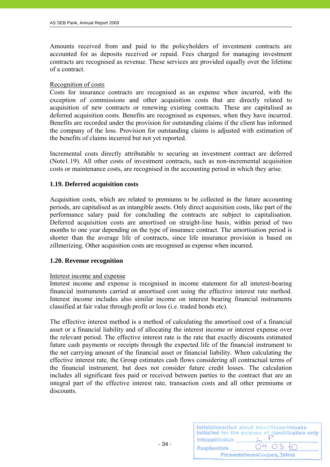Amounts received from and paid to the policyholders of investment contracts are accounted for as deposits received or repaid. Fees charged for managing investment contracts are recognised as revenue. These services are provided equally over the lifetime of a contract.

#### Recognition of costs

Costs for insurance contracts are recognised as an expense when incurred, with the exception of commissions and other acquisition costs that are directly related to acquisition of new contracts or renewing existing contracts. These are capitalised as deferred acquisition costs. Benefits are recognised as expenses, when they have incurred. Benefits are recorded under the provision for outstanding claims if the client has informed the company of the loss. Provision for outstanding claims is adjusted with estimation of the benefits of claims incurred but not yet reported.

Incremental costs directly attributable to securing an investment contract are deferred (Note1.19). All other costs of investment contracts, such as non-incremental acquisition costs or maintenance costs, are recognised in the accounting period in which they arise.

#### **1.19. Deferred acquisition costs**

Acquisition costs, which are related to premiums to be collected in the future accounting periods, are capitalised as an intangible assets. Only direct acquisition costs, like part of the performance salary paid for concluding the contracts are subject to capitalisation. Deferred acquisition costs are amortised on straight-line basis, within period of two months to one year depending on the type of insurance contract. The amortisation period is shorter than the average life of contracts, since life insurance provision is based on zillmerizing. Other acquisition costs are recognised as expense when incurred.

#### **1.20. Revenue recognition**

#### Interest income and expense

Interest income and expense is recognised in income statement for all interest-bearing financial instruments carried at amortised cost using the effective interest rate method. Interest income includes also similar income on interest bearing financial instruments classified at fair value through profit or loss (i.e. traded bonds etc).

The effective interest method is a method of calculating the amortised cost of a financial asset or a financial liability and of allocating the interest income or interest expense over the relevant period. The effective interest rate is the rate that exactly discounts estimated future cash payments or receipts through the expected life of the financial instrument to the net carrying amount of the financial asset or financial liability. When calculating the effective interest rate, the Group estimates cash flows considering all contractual terms of the financial instrument, but does not consider future credit losses. The calculation includes all significant fees paid or received between parties to the contract that are an integral part of the effective interest rate, transaction costs and all other premiums or discounts.

| Initsiaalid/initials | Initsialiseeritud ainult identifitseerimiseks<br>Initialled for the purpose of identification only |
|----------------------|----------------------------------------------------------------------------------------------------|
| Kuupäev/date         | 04.03.10                                                                                           |
|                      | PricewaterhouseCoopers, Tallinn                                                                    |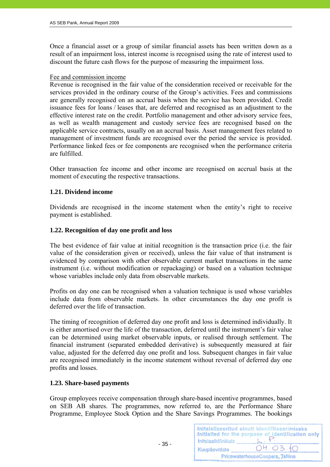Once a financial asset or a group of similar financial assets has been written down as a result of an impairment loss, interest income is recognised using the rate of interest used to discount the future cash flows for the purpose of measuring the impairment loss.

#### Fee and commission income

Revenue is recognised in the fair value of the consideration received or receivable for the services provided in the ordinary course of the Group's activities. Fees and commissions are generally recognised on an accrual basis when the service has been provided. Credit issuance fees for loans / leases that, are deferred and recognised as an adjustment to the effective interest rate on the credit. Portfolio management and other advisory service fees, as well as wealth management and custody service fees are recognised based on the applicable service contracts, usually on an accrual basis. Asset management fees related to management of investment funds are recognised over the period the service is provided. Performance linked fees or fee components are recognised when the performance criteria are fulfilled.

Other transaction fee income and other income are recognised on accrual basis at the moment of executing the respective transactions.

#### **1.21. Dividend income**

Dividends are recognised in the income statement when the entity's right to receive payment is established.

#### **1.22. Recognition of day one profit and loss**

The best evidence of fair value at initial recognition is the transaction price (i.e. the fair value of the consideration given or received), unless the fair value of that instrument is evidenced by comparison with other observable current market transactions in the same instrument (i.e. without modification or repackaging) or based on a valuation technique whose variables include only data from observable markets.

Profits on day one can be recognised when a valuation technique is used whose variables include data from observable markets. In other circumstances the day one profit is deferred over the life of transaction.

The timing of recognition of deferred day one profit and loss is determined individually. It is either amortised over the life of the transaction, deferred until the instrument's fair value can be determined using market observable inputs, or realised through settlement. The financial instrument (separated embedded derivative) is subsequently measured at fair value, adjusted for the deferred day one profit and loss. Subsequent changes in fair value are recognised immediately in the income statement without reversal of deferred day one profits and losses.

#### **1.23. Share-based payments**

 $- 35 -$ 

Group employees receive compensation through share-based incentive programmes, based on SEB AB shares. The programmes, now referred to, are the Performance Share Programme, Employee Stock Option and the Share Savings Programmes. The bookings

|                      | Initsialiseeritud ainult identifitseerimiseks<br>Initialled for the purpose of identification only |
|----------------------|----------------------------------------------------------------------------------------------------|
| Initsiaalid/initials |                                                                                                    |
| Kuupäev/date         | 04.03.10                                                                                           |
|                      | PricewaterhouseCoopers, Tallinn                                                                    |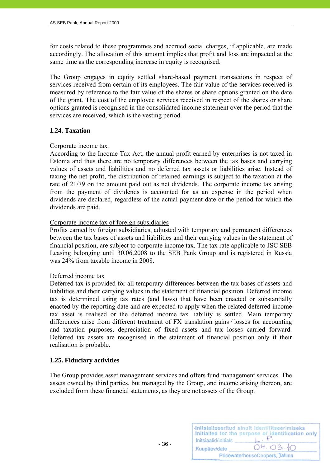for costs related to these programmes and accrued social charges, if applicable, are made accordingly. The allocation of this amount implies that profit and loss are impacted at the same time as the corresponding increase in equity is recognised.

The Group engages in equity settled share-based payment transactions in respect of services received from certain of its employees. The fair value of the services received is measured by reference to the fair value of the shares or share options granted on the date of the grant. The cost of the employee services received in respect of the shares or share options granted is recognised in the consolidated income statement over the period that the services are received, which is the vesting period.

# **1.24. Taxation**

# Corporate income tax

According to the Income Tax Act, the annual profit earned by enterprises is not taxed in Estonia and thus there are no temporary differences between the tax bases and carrying values of assets and liabilities and no deferred tax assets or liabilities arise. Instead of taxing the net profit, the distribution of retained earnings is subject to the taxation at the rate of 21/79 on the amount paid out as net dividends. The corporate income tax arising from the payment of dividends is accounted for as an expense in the period when dividends are declared, regardless of the actual payment date or the period for which the dividends are paid.

# Corporate income tax of foreign subsidiaries

Profits earned by foreign subsidiaries, adjusted with temporary and permanent differences between the tax bases of assets and liabilities and their carrying values in the statement of financial position, are subject to corporate income tax. The tax rate applicable to JSC SEB Leasing belonging until 30.06.2008 to the SEB Pank Group and is registered in Russia was 24% from taxable income in 2008.

#### Deferred income tax

Deferred tax is provided for all temporary differences between the tax bases of assets and liabilities and their carrying values in the statement of financial position. Deferred income tax is determined using tax rates (and laws) that have been enacted or substantially enacted by the reporting date and are expected to apply when the related deferred income tax asset is realised or the deferred income tax liability is settled. Main temporary differences arise from different treatment of FX translation gains / losses for accounting and taxation purposes, depreciation of fixed assets and tax losses carried forward. Deferred tax assets are recognised in the statement of financial position only if their realisation is probable.

# **1.25. Fiduciary activities**

The Group provides asset management services and offers fund management services. The assets owned by third parties, but managed by the Group, and income arising thereon, are excluded from these financial statements, as they are not assets of the Group.

| Initsiaalid/initials | Initsialiseeritud ainult identifitseerimiseks<br>Initialled for the purpose of identification only |
|----------------------|----------------------------------------------------------------------------------------------------|
| Kuupäev/date         | 04.03.10                                                                                           |
|                      | PricewaterhouseCoopers, Tallinn                                                                    |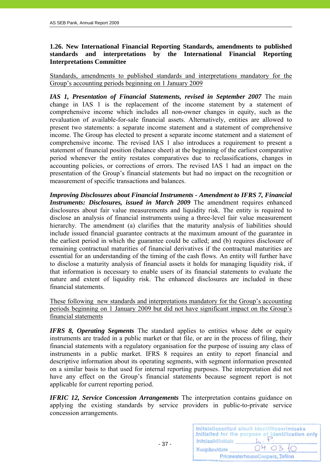# **1.26. New International Financial Reporting Standards, amendments to published standards and interpretations by the International Financial Reporting Interpretations Committee**

Standards, amendments to published standards and interpretations mandatory for the Group's accounting periods beginning on 1 January 2009

*IAS 1, Presentation of Financial Statements, revised in September 2007* The main change in IAS 1 is the replacement of the income statement by a statement of comprehensive income which includes all non-owner changes in equity, such as the revaluation of available-for-sale financial assets. Alternatively, entities are allowed to present two statements: a separate income statement and a statement of comprehensive income. The Group has elected to present a separate income statement and a statement of comprehensive income. The revised IAS 1 also introduces a requirement to present a statement of financial position (balance sheet) at the beginning of the earliest comparative period whenever the entity restates comparatives due to reclassifications, changes in accounting policies, or corrections of errors. The revised IAS 1 had an impact on the presentation of the Group's financial statements but had no impact on the recognition or measurement of specific transactions and balances.

*Improving Disclosures about Financial Instruments - Amendment to IFRS 7, Financial Instruments: Disclosures, issued in March 2009* The amendment requires enhanced disclosures about fair value measurements and liquidity risk. The entity is required to disclose an analysis of financial instruments using a three-level fair value measurement hierarchy. The amendment (a) clarifies that the maturity analysis of liabilities should include issued financial guarantee contracts at the maximum amount of the guarantee in the earliest period in which the guarantee could be called; and (b) requires disclosure of remaining contractual maturities of financial derivatives if the contractual maturities are essential for an understanding of the timing of the cash flows. An entity will further have to disclose a maturity analysis of financial assets it holds for managing liquidity risk, if that information is necessary to enable users of its financial statements to evaluate the nature and extent of liquidity risk. The enhanced disclosures are included in these financial statements.

These following new standards and interpretations mandatory for the Group's accounting periods beginning on 1 January 2009 but did not have significant impact on the Group's financial statements

*IFRS 8, Operating Segments* The standard applies to entities whose debt or equity instruments are traded in a public market or that file, or are in the process of filing, their financial statements with a regulatory organisation for the purpose of issuing any class of instruments in a public market. IFRS 8 requires an entity to report financial and descriptive information about its operating segments, with segment information presented on a similar basis to that used for internal reporting purposes. The interpretation did not have any effect on the Group's financial statements because segment report is not applicable for current reporting period.

*IFRIC 12, Service Concession Arrangements* The interpretation contains guidance on applying the existing standards by service providers in public-to-private service concession arrangements.

- 37 -

| Initsiaalid/initials            | Initsialiseeritud ainult identifitseerimiseks<br>Initialled for the purpose of identification only |  |
|---------------------------------|----------------------------------------------------------------------------------------------------|--|
| Kuupäev/date                    | 04.03.10                                                                                           |  |
| PricewaterhouseCoopers, Tallinn |                                                                                                    |  |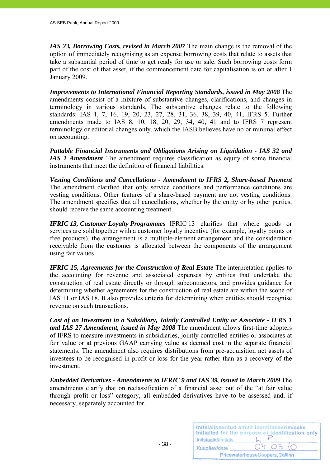*IAS 23, Borrowing Costs, revised in March 2007* The main change is the removal of the option of immediately recognising as an expense borrowing costs that relate to assets that take a substantial period of time to get ready for use or sale. Such borrowing costs form part of the cost of that asset, if the commencement date for capitalisation is on or after 1 January 2009.

*Improvements to International Financial Reporting Standards, issued in May 2008* The amendments consist of a mixture of substantive changes, clarifications, and changes in terminology in various standards. The substantive changes relate to the following standards: IAS 1, 7, 16, 19, 20, 23, 27, 28, 31, 36, 38, 39, 40, 41, IFRS 5. Further amendments made to IAS 8, 10, 18, 20, 29, 34, 40, 41 and to IFRS 7 represent terminology or editorial changes only, which the IASB believes have no or minimal effect on accounting.

*Puttable Financial Instruments and Obligations Arising on Liquidation - IAS 32 and IAS 1 Amendment* The amendment requires classification as equity of some financial instruments that meet the definition of financial liabilities.

*Vesting Conditions and Cancellations - Amendment to IFRS 2, Share-based Payment* The amendment clarified that only service conditions and performance conditions are vesting conditions. Other features of a share-based payment are not vesting conditions. The amendment specifies that all cancellations, whether by the entity or by other parties, should receive the same accounting treatment.

*IFRIC 13, Customer Loyalty Programmes* IFRIC 13 clarifies that where goods or services are sold together with a customer loyalty incentive (for example, loyalty points or free products), the arrangement is a multiple-element arrangement and the consideration receivable from the customer is allocated between the components of the arrangement using fair values.

*IFRIC 15, Agreements for the Construction of Real Estate* The interpretation applies to the accounting for revenue and associated expenses by entities that undertake the construction of real estate directly or through subcontractors, and provides guidance for determining whether agreements for the construction of real estate are within the scope of IAS 11 or IAS 18. It also provides criteria for determining when entities should recognise revenue on such transactions.

*Cost of an Investment in a Subsidiary, Jointly Controlled Entity or Associate - IFRS 1 and IAS 27 Amendment, issued in May 2008* The amendment allows first-time adopters of IFRS to measure investments in subsidiaries, jointly controlled entities or associates at fair value or at previous GAAP carrying value as deemed cost in the separate financial statements. The amendment also requires distributions from pre-acquisition net assets of investees to be recognised in profit or loss for the year rather than as a recovery of the investment.

*Embedded Derivatives - Amendments to IFRIC 9 and IAS 39, issued in March 2009* The amendments clarify that on reclassification of a financial asset out of the "at fair value through profit or loss" category, all embedded derivatives have to be assessed and, if necessary, separately accounted for.

| Initsiaalid/initials            | Initsialiseeritud ainult identifitseerimiseks<br>Initialled for the purpose of identification only |  |  |
|---------------------------------|----------------------------------------------------------------------------------------------------|--|--|
| Kuupäev/date                    | 04.03.10                                                                                           |  |  |
| PricewaterhouseCoopers, Tallinn |                                                                                                    |  |  |

 $- 38 -$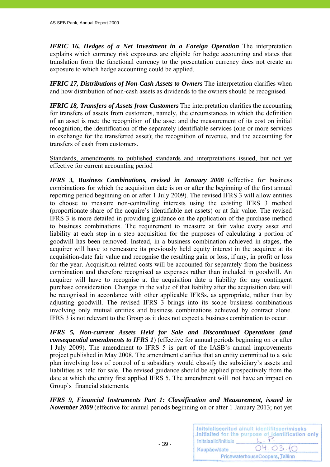*IFRIC 16, Hedges of a Net Investment in a Foreign Operation* The interpretation explains which currency risk exposures are eligible for hedge accounting and states that translation from the functional currency to the presentation currency does not create an exposure to which hedge accounting could be applied.

*IFRIC 17, Distributions of Non-Cash Assets to Owners* The interpretation clarifies when and how distribution of non-cash assets as dividends to the owners should be recognised.

*IFRIC 18, Transfers of Assets from Customers* The interpretation clarifies the accounting for transfers of assets from customers, namely, the circumstances in which the definition of an asset is met; the recognition of the asset and the measurement of its cost on initial recognition; the identification of the separately identifiable services (one or more services in exchange for the transferred asset); the recognition of revenue, and the accounting for transfers of cash from customers.

Standards, amendments to published standards and interpretations issued, but not yet effective for current accounting period

*IFRS 3, Business Combinations, revised in January 2008* (effective for business combinations for which the acquisition date is on or after the beginning of the first annual reporting period beginning on or after 1 July 2009). The revised IFRS 3 will allow entities to choose to measure non-controlling interests using the existing IFRS 3 method (proportionate share of the acquire's identifiable net assets) or at fair value. The revised IFRS 3 is more detailed in providing guidance on the application of the purchase method to business combinations. The requirement to measure at fair value every asset and liability at each step in a step acquisition for the purposes of calculating a portion of goodwill has been removed. Instead, in a business combination achieved in stages, the acquirer will have to remeasure its previously held equity interest in the acquiree at its acquisition-date fair value and recognise the resulting gain or loss, if any, in profit or loss for the year. Acquisition-related costs will be accounted for separately from the business combination and therefore recognised as expenses rather than included in goodwill. An acquirer will have to recognise at the acquisition date a liability for any contingent purchase consideration. Changes in the value of that liability after the acquisition date will be recognised in accordance with other applicable IFRSs, as appropriate, rather than by adjusting goodwill. The revised IFRS 3 brings into its scope business combinations involving only mutual entities and business combinations achieved by contract alone. IFRS 3 is not relevant to the Group as it does not expect a business combination to occur.

*IFRS 5, Non-current Assets Held for Sale and Discontinued Operations (and consequential amendments to IFRS 1*) (effective for annual periods beginning on or after 1 July 2009). The amendment to IFRS 5 is part of the IASB's annual improvements project published in May 2008. The amendment clarifies that an entity committed to a sale plan involving loss of control of a subsidiary would classify the subsidiary's assets and liabilities as held for sale. The revised guidance should be applied prospectively from the date at which the entity first applied IFRS 5. The amendment will not have an impact on Group`s financial statements.

*IFRS 9, Financial Instruments Part 1: Classification and Measurement, issued in November 2009* (effective for annual periods beginning on or after 1 January 2013; not yet

 $- 39 -$ 

| Initsiaalid/initials | Initsialiseeritud ainult identifitseerimiseks<br>Initialled for the purpose of identification only |
|----------------------|----------------------------------------------------------------------------------------------------|
| Kuupäev/date         | 04.03.10                                                                                           |
|                      | PricewaterhouseCoopers, Tallinn                                                                    |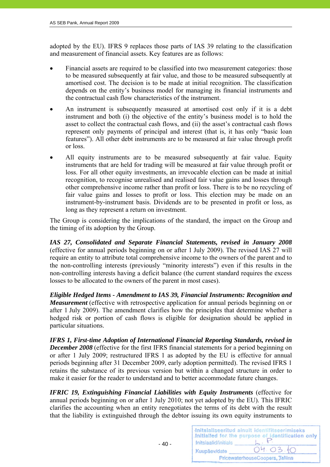adopted by the EU). IFRS 9 replaces those parts of IAS 39 relating to the classification and measurement of financial assets. Key features are as follows:

- Financial assets are required to be classified into two measurement categories: those to be measured subsequently at fair value, and those to be measured subsequently at amortised cost. The decision is to be made at initial recognition. The classification depends on the entity's business model for managing its financial instruments and the contractual cash flow characteristics of the instrument.
- An instrument is subsequently measured at amortised cost only if it is a debt instrument and both (i) the objective of the entity's business model is to hold the asset to collect the contractual cash flows, and (ii) the asset's contractual cash flows represent only payments of principal and interest (that is, it has only "basic loan features"). All other debt instruments are to be measured at fair value through profit or loss.
- All equity instruments are to be measured subsequently at fair value. Equity instruments that are held for trading will be measured at fair value through profit or loss. For all other equity investments, an irrevocable election can be made at initial recognition, to recognise unrealised and realised fair value gains and losses through other comprehensive income rather than profit or loss. There is to be no recycling of fair value gains and losses to profit or loss. This election may be made on an instrument-by-instrument basis. Dividends are to be presented in profit or loss, as long as they represent a return on investment.

The Group is considering the implications of the standard, the impact on the Group and the timing of its adoption by the Group.

*IAS 27, Consolidated and Separate Financial Statements, revised in January 2008* (effective for annual periods beginning on or after 1 July 2009). The revised IAS 27 will require an entity to attribute total comprehensive income to the owners of the parent and to the non-controlling interests (previously "minority interests") even if this results in the non-controlling interests having a deficit balance (the current standard requires the excess losses to be allocated to the owners of the parent in most cases).

*Eligible Hedged Items - Amendment to IAS 39, Financial Instruments: Recognition and Measurement* (effective with retrospective application for annual periods beginning on or after 1 July 2009). The amendment clarifies how the principles that determine whether a hedged risk or portion of cash flows is eligible for designation should be applied in particular situations.

*IFRS 1, First-time Adoption of International Financial Reporting Standards, revised in December 2008* (effective for the first IFRS financial statements for a period beginning on or after 1 July 2009; restructured IFRS 1 as adopted by the EU is effective for annual periods beginning after 31 December 2009, early adoption permitted). The revised IFRS 1 retains the substance of its previous version but within a changed structure in order to make it easier for the reader to understand and to better accommodate future changes.

*IFRIC 19, Extinguishing Financial Liabilities with Equity Instruments (effective for* annual periods beginning on or after 1 July 2010; not yet adopted by the EU). This IFRIC clarifies the accounting when an entity renegotiates the terms of its debt with the result that the liability is extinguished through the debtor issuing its own equity instruments to

 $-40-$ 

|                      | Initsialiseeritud ainult identifitseerimiseks<br>Initialled for the purpose of identification only |
|----------------------|----------------------------------------------------------------------------------------------------|
| Initsiaalid/initials |                                                                                                    |
| Kuupäev/date         | 04.03.10                                                                                           |
|                      | PricewaterhouseCoopers, Tallinn                                                                    |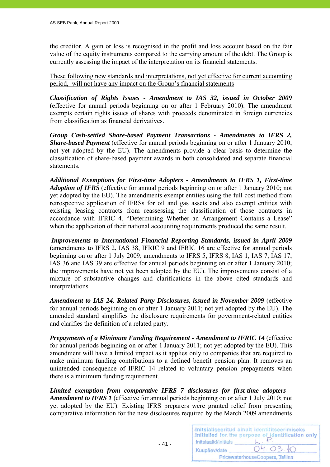the creditor. A gain or loss is recognised in the profit and loss account based on the fair value of the equity instruments compared to the carrying amount of the debt. The Group is currently assessing the impact of the interpretation on its financial statements.

These following new standards and interpretations, not yet effective for current accounting period, will not have any impact on the Group's financial statements

*Classification of Rights Issues - Amendment to IAS 32, issued in October 2009* (effective for annual periods beginning on or after 1 February 2010). The amendment exempts certain rights issues of shares with proceeds denominated in foreign currencies from classification as financial derivatives.

*Group Cash-settled Share-based Payment Transactions - Amendments to IFRS 2, Share-based Payment* (effective for annual periods beginning on or after 1 January 2010, not yet adopted by the EU). The amendments provide a clear basis to determine the classification of share-based payment awards in both consolidated and separate financial statements.

*Additional Exemptions for First-time Adopters - Amendments to IFRS 1, First-time Adoption of IFRS* (effective for annual periods beginning on or after 1 January 2010; not yet adopted by the EU). The amendments exempt entities using the full cost method from retrospective application of IFRSs for oil and gas assets and also exempt entities with existing leasing contracts from reassessing the classification of those contracts in accordance with IFRIC 4, "Determining Whether an Arrangement Contains a Lease" when the application of their national accounting requirements produced the same result.

 *Improvements to International Financial Reporting Standards, issued in April 2009* (amendments to IFRS 2, IAS 38, IFRIC 9 and IFRIC 16 are effective for annual periods beginning on or after 1 July 2009; amendments to IFRS 5, IFRS 8, IAS 1, IAS 7, IAS 17, IAS 36 and IAS 39 are effective for annual periods beginning on or after 1 January 2010; the improvements have not yet been adopted by the EU). The improvements consist of a mixture of substantive changes and clarifications in the above cited standards and interpretations.

*Amendment to IAS 24, Related Party Disclosures, issued in November 2009* (effective for annual periods beginning on or after 1 January 2011; not yet adopted by the EU). The amended standard simplifies the disclosure requirements for government-related entities and clarifies the definition of a related party.

*Prepayments of a Minimum Funding Requirement - Amendment to IFRIC 14* (effective for annual periods beginning on or after 1 January 2011; not yet adopted by the EU). This amendment will have a limited impact as it applies only to companies that are required to make minimum funding contributions to a defined benefit pension plan. It removes an unintended consequence of IFRIC 14 related to voluntary pension prepayments when there is a minimum funding requirement.

*Limited exemption from comparative IFRS 7 disclosures for first-time adopters - Amendment to IFRS 1* (effective for annual periods beginning on or after 1 July 2010; not yet adopted by the EU). Existing IFRS preparers were granted relief from presenting comparative information for the new disclosures required by the March 2009 amendments

- 41 -

|                      | Initsialiseeritud ainult identifitseerimiseks<br>Initialled for the purpose of identification only |
|----------------------|----------------------------------------------------------------------------------------------------|
| Initsiaalid/initials |                                                                                                    |
| Kuupäev/date         | 04.03.10                                                                                           |
|                      | PricewaterhouseCoopers, Tallinn                                                                    |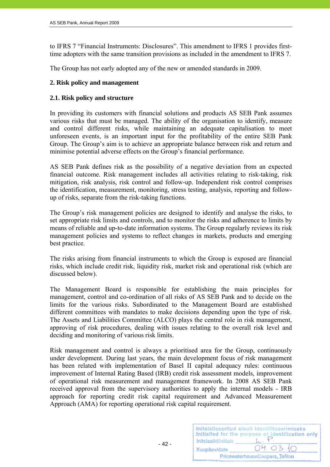to IFRS 7 "Financial Instruments: Disclosures". This amendment to IFRS 1 provides firsttime adopters with the same transition provisions as included in the amendment to IFRS 7.

The Group has not early adopted any of the new or amended standards in 2009.

# **2. Risk policy and management**

# **2.1. Risk policy and structure**

In providing its customers with financial solutions and products AS SEB Pank assumes various risks that must be managed. The ability of the organisation to identify, measure and control different risks, while maintaining an adequate capitalisation to meet unforeseen events, is an important input for the profitability of the entire SEB Pank Group. The Group's aim is to achieve an appropriate balance between risk and return and minimise potential adverse effects on the Group's financial performance.

AS SEB Pank defines risk as the possibility of a negative deviation from an expected financial outcome. Risk management includes all activities relating to risk-taking, risk mitigation, risk analysis, risk control and follow-up. Independent risk control comprises the identification, measurement, monitoring, stress testing, analysis, reporting and followup of risks, separate from the risk-taking functions.

The Group's risk management policies are designed to identify and analyse the risks, to set appropriate risk limits and controls, and to monitor the risks and adherence to limits by means of reliable and up-to-date information systems. The Group regularly reviews its risk management policies and systems to reflect changes in markets, products and emerging best practice.

The risks arising from financial instruments to which the Group is exposed are financial risks, which include credit risk, liquidity risk, market risk and operational risk (which are discussed below).

The Management Board is responsible for establishing the main principles for management, control and co-ordination of all risks of AS SEB Pank and to decide on the limits for the various risks. Subordinated to the Management Board are established different committees with mandates to make decisions depending upon the type of risk. The Assets and Liabilities Committee (ALCO) plays the central role in risk management, approving of risk procedures, dealing with issues relating to the overall risk level and deciding and monitoring of various risk limits.

Risk management and control is always a prioritised area for the Group, continuously under development. During last years, the main development focus of risk management has been related with implementation of Basel II capital adequacy rules: continuous improvement of Internal Rating Based (IRB) credit risk assessment models, improvement of operational risk measurement and management framework. In 2008 AS SEB Pank received approval from the supervisory authorities to apply the internal models - IRB approach for reporting credit risk capital requirement and Advanced Measurement Approach (AMA) for reporting operational risk capital requirement.

| Initsiaalid/initials            | Initsialiseeritud ainult identifitseerimiseks<br>.initialled for the purpose of identification only |  |
|---------------------------------|-----------------------------------------------------------------------------------------------------|--|
| Kuupäev/date                    | 04.03.10                                                                                            |  |
| PricewaterhouseCoopers, Tallinn |                                                                                                     |  |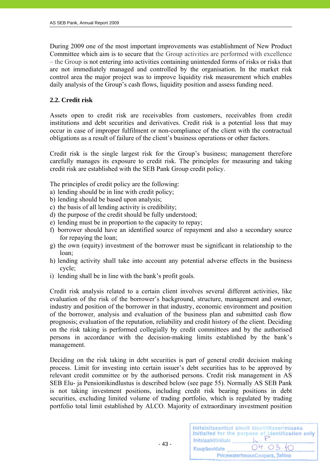During 2009 one of the most important improvements was establishment of New Product Committee which aim is to secure that the Group activities are performed with excellence – the Group is not entering into activities containing unintended forms of risks or risks that are not immediately managed and controlled by the organisation. In the market risk control area the major project was to improve liquidity risk measurement which enables daily analysis of the Group's cash flows, liquidity position and assess funding need.

# **2.2. Credit risk**

Assets open to credit risk are receivables from customers, receivables from credit institutions and debt securities and derivatives. Credit risk is a potential loss that may occur in case of improper fulfilment or non-compliance of the client with the contractual obligations as a result of failure of the client's business operations or other factors.

Credit risk is the single largest risk for the Group's business; management therefore carefully manages its exposure to credit risk. The principles for measuring and taking credit risk are established with the SEB Pank Group credit policy.

The principles of credit policy are the following:

- a) lending should be in line with credit policy;
- b) lending should be based upon analysis;
- c) the basis of all lending activity is credibility;
- d) the purpose of the credit should be fully understood;
- e) lending must be in proportion to the capacity to repay;
- f) borrower should have an identified source of repayment and also a secondary source for repaying the loan;
- g) the own (equity) investment of the borrower must be significant in relationship to the loan;
- h) lending activity shall take into account any potential adverse effects in the business cycle;
- i) lending shall be in line with the bank's profit goals.

- 43 -

Credit risk analysis related to a certain client involves several different activities, like evaluation of the risk of the borrower's background, structure, management and owner, industry and position of the borrower in that industry, economic environment and position of the borrower, analysis and evaluation of the business plan and submitted cash flow prognosis; evaluation of the reputation, reliability and credit history of the client. Deciding on the risk taking is performed collegially by credit committees and by the authorised persons in accordance with the decision-making limits established by the bank's management.

Deciding on the risk taking in debt securities is part of general credit decision making process. Limit for investing into certain issuer's debt securities has to be approved by relevant credit committee or by the authorised persons. Credit risk management in AS SEB Elu- ja Pensionikindlustus is described below (see page 55). Normally AS SEB Pank is not taking investment positions, including credit risk bearing positions in debt securities, excluding limited volume of trading portfolio, which is regulated by trading portfolio total limit established by ALCO. Majority of extraordinary investment position

| Initsiaalid/initials            | Initsialiseeritud ainult identifitseerimiseks<br>Initialled for the purpose of identification only |  |  |
|---------------------------------|----------------------------------------------------------------------------------------------------|--|--|
| Kuupäev/date                    | 04.03.10                                                                                           |  |  |
| PricewaterhouseCoopers, Tallinn |                                                                                                    |  |  |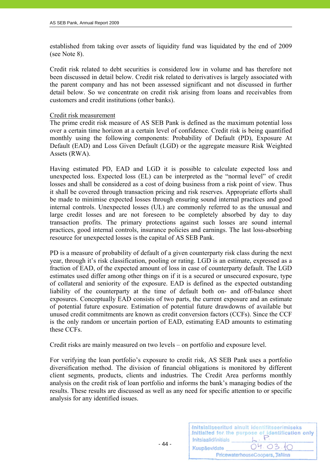established from taking over assets of liquidity fund was liquidated by the end of 2009 (see Note 8).

Credit risk related to debt securities is considered low in volume and has therefore not been discussed in detail below. Credit risk related to derivatives is largely associated with the parent company and has not been assessed significant and not discussed in further detail below. So we concentrate on credit risk arising from loans and receivables from customers and credit institutions (other banks).

# Credit risk measurement

The prime credit risk measure of AS SEB Pank is defined as the maximum potential loss over a certain time horizon at a certain level of confidence. Credit risk is being quantified monthly using the following components: Probability of Default (PD), Exposure At Default (EAD) and Loss Given Default (LGD) or the aggregate measure Risk Weighted Assets (RWA).

Having estimated PD, EAD and LGD it is possible to calculate expected loss and unexpected loss. Expected loss (EL) can be interpreted as the "normal level" of credit losses and shall be considered as a cost of doing business from a risk point of view. Thus it shall be covered through transaction pricing and risk reserves. Appropriate efforts shall be made to minimise expected losses through ensuring sound internal practices and good internal controls. Unexpected losses (UL) are commonly referred to as the unusual and large credit losses and are not foreseen to be completely absorbed by day to day transaction profits. The primary protections against such losses are sound internal practices, good internal controls, insurance policies and earnings. The last loss-absorbing resource for unexpected losses is the capital of AS SEB Pank.

PD is a measure of probability of default of a given counterparty risk class during the next year, through it's risk classification, pooling or rating. LGD is an estimate, expressed as a fraction of EAD, of the expected amount of loss in case of counterparty default. The LGD estimates used differ among other things on if it is a secured or unsecured exposure, type of collateral and seniority of the exposure. EAD is defined as the expected outstanding liability of the counterparty at the time of default both on- and off-balance sheet exposures. Conceptually EAD consists of two parts, the current exposure and an estimate of potential future exposure. Estimation of potential future drawdowns of available but unused credit commitments are known as credit conversion factors (CCFs). Since the CCF is the only random or uncertain portion of EAD, estimating EAD amounts to estimating these CCFs.

Credit risks are mainly measured on two levels – on portfolio and exposure level.

- 44 -

For verifying the loan portfolio's exposure to credit risk, AS SEB Pank uses a portfolio diversification method. The division of financial obligations is monitored by different client segments, products, clients and industries*.* The Credit Area performs monthly analysis on the credit risk of loan portfolio and informs the bank's managing bodies of the results. These results are discussed as well as any need for specific attention to or specific analysis for any identified issues.

|                      | Initsialiseeritud ainult identifitseerimiseks<br>Initialled for the purpose of identification only |
|----------------------|----------------------------------------------------------------------------------------------------|
| Initsiaalid/initials |                                                                                                    |
| Kuupäev/date         | 04.03.10                                                                                           |
|                      | PricewaterhouseCoopers, Tallinn                                                                    |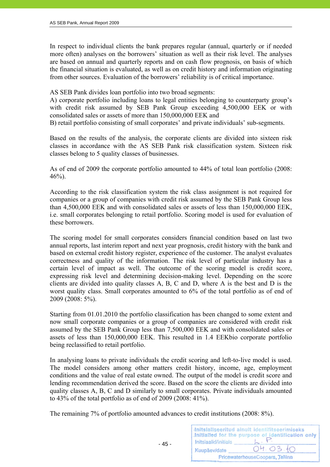In respect to individual clients the bank prepares regular (annual, quarterly or if needed more often) analyses on the borrowers' situation as well as their risk level. The analyses are based on annual and quarterly reports and on cash flow prognosis, on basis of which the financial situation is evaluated, as well as on credit history and information originating from other sources. Evaluation of the borrowers' reliability is of critical importance.

AS SEB Pank divides loan portfolio into two broad segments:

A) corporate portfolio including loans to legal entities belonging to counterparty group's with credit risk assumed by SEB Pank Group exceeding 4,500,000 EEK or with consolidated sales or assets of more than 150,000,000 EEK and

B) retail portfolio consisting of small corporates' and private individuals' sub-segments.

Based on the results of the analysis, the corporate clients are divided into sixteen risk classes in accordance with the AS SEB Pank risk classification system. Sixteen risk classes belong to 5 quality classes of businesses.

As of end of 2009 the corporate portfolio amounted to 44% of total loan portfolio (2008:  $46%$ ).

According to the risk classification system the risk class assignment is not required for companies or a group of companies with credit risk assumed by the SEB Pank Group less than 4,500,000 EEK and with consolidated sales or assets of less than 150,000,000 EEK, i.e. small corporates belonging to retail portfolio. Scoring model is used for evaluation of these borrowers.

The scoring model for small corporates considers financial condition based on last two annual reports, last interim report and next year prognosis, credit history with the bank and based on external credit history register, experience of the customer. The analyst evaluates correctness and quality of the information. The risk level of particular industry has a certain level of impact as well. The outcome of the scoring model is credit score, expressing risk level and determining decision-making level. Depending on the score clients are divided into quality classes A, B, C and D, where A is the best and D is the worst quality class. Small corporates amounted to 6% of the total portfolio as of end of 2009 (2008: 5%).

Starting from 01.01.2010 the portfolio classification has been changed to some extent and now small corporate companies or a group of companies are considered with credit risk assumed by the SEB Pank Group less than 7,500,000 EEK and with consolidated sales or assets of less than 150,000,000 EEK. This resulted in 1.4 EEKbio corporate portfolio being reclassified to retail portfolio.

In analysing loans to private individuals the credit scoring and left-to-live model is used. The model considers among other matters credit history, income, age, employment conditions and the value of real estate owned. The output of the model is credit score and lending recommendation derived the score. Based on the score the clients are divided into quality classes A, B, C and D similarly to small corporates. Private individuals amounted to 43% of the total portfolio as of end of 2009 (2008: 41%).

The remaining 7% of portfolio amounted advances to credit institutions (2008: 8%).

|                      | Initsialiseeritud ainult identifitseerimiseks<br>Initialled for the purpose of identification only |
|----------------------|----------------------------------------------------------------------------------------------------|
| Initsiaalid/initials |                                                                                                    |
| Kuupäev/date         | 04.03.10                                                                                           |
|                      | PricewaterhouseCoopers, Tallinn                                                                    |

 $-45$  -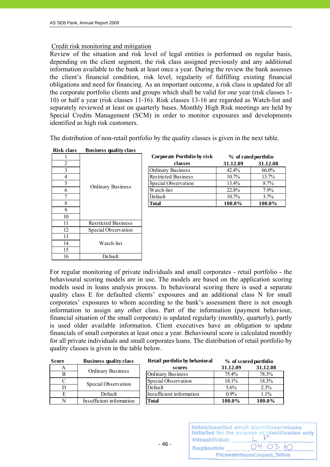# Credit risk monitoring and mitigation

Review of the situation and risk level of legal entities is performed on regular basis, depending on the client segment, the risk class assigned previously and any additional information available to the bank at least once a year. During the review the bank assesses the client's financial condition, risk level, regularity of fulfilling existing financial obligations and need for financing. As an important outcome, a risk class is updated for all the corporate portfolio clients and groups which shall be valid for one year (risk classes 1- 10) or half a year (risk classes 11-16). Risk classes 13-16 are regarded as Watch-list and separately reviewed at least on quarterly bases. Monthly High Risk meetings are held by Special Credits Management (SCM) in order to monitor exposures and developments identified as high risk customers.

The distribution of non-retail portfolio by the quality classes is given in the next table.

| risk ciass<br>Dustriess quality class |                            |  |
|---------------------------------------|----------------------------|--|
|                                       |                            |  |
| 2                                     |                            |  |
| $\overline{\mathbf{3}}$               |                            |  |
| $\overline{4}$                        |                            |  |
| 5                                     | Ordinary Business          |  |
| 6                                     |                            |  |
| 7                                     |                            |  |
| 8                                     |                            |  |
| 9                                     |                            |  |
| 10                                    |                            |  |
| 11                                    | <b>Restricted Business</b> |  |
| 12                                    | Special Observation        |  |
| 13                                    |                            |  |
| 14                                    | Watch-list                 |  |
| 15                                    |                            |  |
| 16                                    | Default                    |  |

- 46 -

# **Risk class Business quality class**

| <b></b>                 | Dustiness quanty enass   |                             |          |                      |  |
|-------------------------|--------------------------|-----------------------------|----------|----------------------|--|
|                         |                          | Corporate Portfolio by risk |          | % of rated portfolio |  |
| $\overline{\mathbf{c}}$ |                          | classes                     | 31.12.09 | 31.12.08             |  |
|                         | <b>Ordinary Business</b> | <b>Ordinary Business</b>    | $42.4\%$ | $66.0\%$             |  |
| 4                       |                          | <b>Restricted Business</b>  | $10.7\%$ | 13.7%                |  |
| 5                       |                          | Special Observation         | 13.4%    | 8.7%                 |  |
| 6                       |                          | Watch-list                  | 22.8%    | $7.9\%$              |  |
|                         |                          | Default                     | $10.7\%$ | 3.7%                 |  |
| 8                       |                          | <b>Total</b>                | 100.0%   | 100.0%               |  |
|                         |                          |                             |          |                      |  |

For regular monitoring of private individuals and small corporates - retail portfolio - the behavioural scoring models are in use. The models are based on the application scoring models used in loans analysis process. In behavioural scoring there is used a separate quality class E for defaulted clients' exposures and an additional class N for small corporates' exposures to whom according to the bank's assessment there is not enough information to assign any other class. Part of the information (payment behaviour, financial situation of the small corporate) is updated regularly (monthly, quarterly), partly is used older available information. Client executives have an obligation to update financials of small corporates at least once a year. Behavioural score is calculated monthly for all private individuals and small corporates loans. The distribution of retail portfolio by quality classes is given in the table below.

| 31.12.09<br>A<br>scores<br>Ordinary Business<br><b>Ordinary Business</b><br>75.4%<br>В<br>Special Observation<br>18.1%<br>C | 31.12.08 |
|-----------------------------------------------------------------------------------------------------------------------------|----------|
|                                                                                                                             |          |
|                                                                                                                             | 78.3%    |
|                                                                                                                             | 18.3%    |
| Special Observation<br>Default<br>$5.6\%$<br>D                                                                              | 2.3%     |
| Insufficient information<br>$0.9\%$<br>Е<br>Default                                                                         | $1.1\%$  |
| Insufficient information<br>N<br>100.0%<br><b>Total</b>                                                                     | 100.0%   |

| 04.03.10<br>Kuupäev/date        |  | Initsialiseeritud ainult identifitseerimiseks<br>Initialled for the purpose of identification only |  |
|---------------------------------|--|----------------------------------------------------------------------------------------------------|--|
| PricewaterhouseCoopers, Tallinn |  |                                                                                                    |  |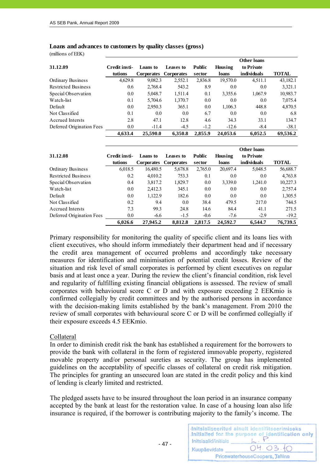#### **Loans and advances to customers by quality classes (gross)**

(millions of EEK)

|                            |               |                       |           |               |          | <b>Other loans</b> |              |
|----------------------------|---------------|-----------------------|-----------|---------------|----------|--------------------|--------------|
| 31.12.09                   | Credit insti- | Loans to              | Leases to | <b>Public</b> | Housing  | to Private         |              |
|                            | tutions       | Corporates Corporates |           | sector        | loans    | individuals        | <b>TOTAL</b> |
| Ordinary Business          | 4,629.8       | 9,082.3               | 2,552.1   | 2,836.8       | 19,570.0 | 4,511.1            | 43,182.1     |
| <b>Restricted Business</b> | 0.6           | 2,768.4               | 543.2     | 8.9           | 0.0      | 0.0                | 3,321.1      |
| Special Observation        | 0.0           | 5,048.7               | 1,511.4   | 0.1           | 3,355.6  | 1,067.9            | 10,983.7     |
| Watch-list                 | 0.1           | 5,704.6               | 1,370.7   | 0.0           | 0.0      | 0.0                | 7,075.4      |
| Default                    | 0.0           | 2,950.3               | 365.1     | 0.0           | 1,106.3  | 448.8              | 4,870.5      |
| Not Classified             | 0.1           | 0.0                   | 0.0       | 6.7           | 0.0      | 0.0                | 6.8          |
| Accrued Intersts           | 2.8           | 47.1                  | 12.8      | 4.6           | 34.3     | 33.1               | 134.7        |
| Deferred Origination Fees  | 0.0           | $-11.4$               | $-4.5$    | $-1.2$        | $-12.6$  | $-8.4$             | $-38.1$      |
|                            | 4,633.4       | 25.590.0              | 6.350.8   | 2,855.9       | 24,053.6 | 6.052.5            | 69.536.2     |

|                            |               |            |                   |               |          | <b>Other loans</b> |          |
|----------------------------|---------------|------------|-------------------|---------------|----------|--------------------|----------|
| 31.12.08                   | Credit insti- | Loans to   | Leases to         | <b>Public</b> | Housing  | to Private         |          |
|                            | tutions       | Corporates | <b>Corporates</b> | sector        | loans    | individuals        | TOTAL    |
| Ordinary Business          | 6,018.5       | 16,480.5   | 5,678.8           | 2,765.0       | 20,697.4 | 5,048.5            | 56,688.7 |
| <b>Restricted Business</b> | 0.2           | 4,010.2    | 753.3             | 0.1           | 0.0      | 0.0                | 4,763.8  |
| Special Observation        | 0.4           | 3,817.2    | 1,829.7           | 0.0           | 3,339.0  | 1,241.0            | 10,227.3 |
| Watch-list                 | 0.0           | 2,412.3    | 345.1             | 0.0           | 0.0      | 0.0                | 2,757.4  |
| Default                    | 0.0           | 1,122.9    | 182.6             | 0.0           | 0.0      | 0.0                | 1,305.5  |
| Not Classified             | 0.2           | 9.4        | 0.0               | 38.4          | 479.5    | 217.0              | 744.5    |
| Accrued Intersts           | 7.3           | 99.3       | 24.8              | 14.6          | 84.4     | 41.1               | 271.5    |
| Deferred Origination Fees  | 0.0           | $-6.6$     | $-1.5$            | $-0.6$        | $-7.6$   | $-2.9$             | $-19.2$  |
|                            | 6,026.6       | 27,945.2   | 8,812.8           | 2,817.5       | 24.592.7 | 6.544.7            | 76,739.5 |

Primary responsibility for monitoring the quality of specific client and its loans lies with client executives, who should inform immediately their department head and if necessary the credit area management of occurred problems and accordingly take necessary measures for identification and minimisation of potential credit losses. Review of the situation and risk level of small corporates is performed by client executives on regular basis and at least once a year. During the review the client's financial condition, risk level and regularity of fulfilling existing financial obligations is assessed. The review of small corporates with behavioural score C or D and with exposure exceeding 2 EEKmio is confirmed collegially by credit committees and by the authorised persons in accordance with the decision-making limits established by the bank's management. From 2010 the review of small corporates with behavioural score C or D will be confirmed collegially if their exposure exceeds 4.5 EEKmio.

#### Collateral

In order to diminish credit risk the bank has established a requirement for the borrowers to provide the bank with collateral in the form of registered immovable property, registered movable property and/or personal sureties as security. The group has implemented guidelines on the acceptability of specific classes of collateral on credit risk mitigation. The principles for granting an unsecured loan are stated in the credit policy and this kind of lending is clearly limited and restricted.

The pledged assets have to be insured throughout the loan period in an insurance company accepted by the bank at least for the restoration value. In case of a housing loan also life insurance is required, if the borrower is contributing majority to the family's income. The

|                      | Initsialiseeritud ainult identifitseerimiseks<br>Initialled for the purpose of identification only |
|----------------------|----------------------------------------------------------------------------------------------------|
| Initsiaalid/initials |                                                                                                    |
| Kuupäev/date         | 04.03.10                                                                                           |
|                      | PricewaterhouseCoopers, Tallinn                                                                    |

- 47 -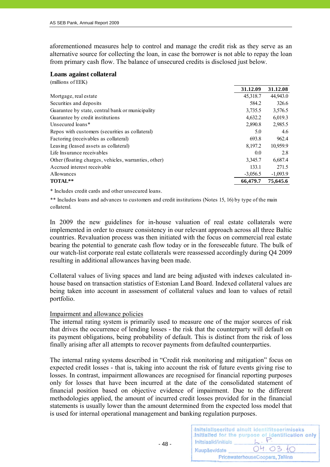aforementioned measures help to control and manage the credit risk as they serve as an alternative source for collecting the loan, in case the borrower is not able to repay the loan from primary cash flow. The balance of unsecured credits is disclosed just below.

#### **Loans against collateral**

 $($  millions of  $\mathbb{R}^n$ 

| (millions of EEK)                                     |            |            |
|-------------------------------------------------------|------------|------------|
|                                                       | 31.12.09   | 31.12.08   |
| Mortgage, real estate                                 | 45,318.7   | 44,943.0   |
| Securities and deposits                               | 584.2      | 326.6      |
| Guarantee by state, central bank or municipality      | 3,735.5    | 3,576.5    |
| Guarantee by credit institutions                      | 4,632.2    | 6,019.3    |
| Unsecured loans*                                      | 2,890.8    | 2,985.5    |
| Repos with customers (securities as collateral)       | 5.0        | 4.6        |
| Factoring (receivables as collateral)                 | 693.8      | 962.4      |
| Leasing (leased assets as collateral)                 | 8,197.2    | 10,959.9   |
| Life Insurance receivables                            | 0.0        | 2.8        |
| Other (floating charges, vehicles, warranties, other) | 3,345.7    | 6,687.4    |
| Accrued interest receivable                           | 133.1      | 271.5      |
| Allowances                                            | $-3,056.5$ | $-1,093.9$ |
| TOTAL**                                               | 66,479.7   | 75,645.6   |
|                                                       |            |            |

\* Includes credit cards and other unsecured loans.

\*\* Includes loans and advances to customers and credit institutions (Notes 15, 16) by type of the main collateral.

In 2009 the new guidelines for in-house valuation of real estate collaterals were implemented in order to ensure consistency in our relevant approach across all three Baltic countries. Revaluation process was then initiated with the focus on commercial real estate bearing the potential to generate cash flow today or in the foreseeable future. The bulk of our watch-list corporate real estate collaterals were reassessed accordingly during Q4 2009 resulting in additional allowances having been made.

Collateral values of living spaces and land are being adjusted with indexes calculated inhouse based on transaction statistics of Estonian Land Board. Indexed collateral values are being taken into account in assessment of collateral values and loan to values of retail portfolio.

# Impairment and allowance policies

- 48 -

The internal rating system is primarily used to measure one of the major sources of risk that drives the occurrence of lending losses - the risk that the counterparty will default on its payment obligations, being probability of default. This is distinct from the risk of loss finally arising after all attempts to recover payments from defaulted counterparties.

The internal rating systems described in "Credit risk monitoring and mitigation" focus on expected credit losses - that is, taking into account the risk of future events giving rise to losses. In contrast, impairment allowances are recognised for financial reporting purposes only for losses that have been incurred at the date of the consolidated statement of financial position based on objective evidence of impairment. Due to the different methodologies applied, the amount of incurred credit losses provided for in the financial statements is usually lower than the amount determined from the expected loss model that is used for internal operational management and banking regulation purposes.

| Initsiaalid/initials | Initsialiseeritud ainult identifitseerimiseks<br>Initialled for the purpose of identification only |
|----------------------|----------------------------------------------------------------------------------------------------|
| Kuupäev/date         | 04.03.10                                                                                           |
|                      | PricewaterhouseCoopers, Tallinn                                                                    |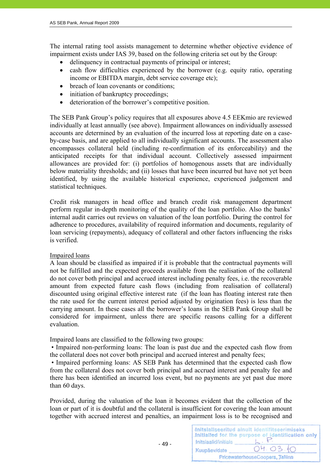The internal rating tool assists management to determine whether objective evidence of impairment exists under IAS 39, based on the following criteria set out by the Group:

- delinquency in contractual payments of principal or interest;
- cash flow difficulties experienced by the borrower (e.g. equity ratio, operating income or EBITDA margin, debt service coverage etc);
- breach of loan covenants or conditions:
- initiation of bankruptcy proceedings;
- deterioration of the borrower's competitive position.

The SEB Pank Group's policy requires that all exposures above 4.5 EEKmio are reviewed individually at least annually (see above). Impairment allowances on individually assessed accounts are determined by an evaluation of the incurred loss at reporting date on a caseby-case basis, and are applied to all individually significant accounts. The assessment also encompasses collateral held (including re-confirmation of its enforceability) and the anticipated receipts for that individual account. Collectively assessed impairment allowances are provided for: (i) portfolios of homogenous assets that are individually below materiality thresholds; and (ii) losses that have been incurred but have not yet been identified, by using the available historical experience, experienced judgement and statistical techniques.

Credit risk managers in head office and branch credit risk management department perform regular in-depth monitoring of the quality of the loan portfolio. Also the banks' internal audit carries out reviews on valuation of the loan portfolio. During the control for adherence to procedures, availability of required information and documents, regularity of loan servicing (repayments), adequacy of collateral and other factors influencing the risks is verified.

# Impaired loans

A loan should be classified as impaired if it is probable that the contractual payments will not be fulfilled and the expected proceeds available from the realisation of the collateral do not cover both principal and accrued interest including penalty fees, i.e. the recoverable amount from expected future cash flows (including from realisation of collateral) discounted using original effective interest rate (if the loan has floating interest rate then the rate used for the current interest period adjusted by origination fees) is less than the carrying amount. In these cases all the borrower's loans in the SEB Pank Group shall be considered for impairment, unless there are specific reasons calling for a different evaluation.

Impaired loans are classified to the following two groups:

• Impaired non-performing loans: The loan is past due and the expected cash flow from the collateral does not cover both principal and accrued interest and penalty fees;

 • Impaired performing loans: AS SEB Pank has determined that the expected cash flow from the collateral does not cover both principal and accrued interest and penalty fee and there has been identified an incurred loss event, but no payments are yet past due more than 60 days.

Provided, during the valuation of the loan it becomes evident that the collection of the loan or part of it is doubtful and the collateral is insufficient for covering the loan amount together with accrued interest and penalties, an impairment loss is to be recognised and

|                      | Initsialiseeritud ainult identifitseerimiseks<br>Initialled for the purpose of identification only |
|----------------------|----------------------------------------------------------------------------------------------------|
| Initsiaalid/initials |                                                                                                    |
| Kuupäev/date         | 04.03.10                                                                                           |
|                      | PricewaterhouseCoopers, Tallinn                                                                    |

- 49 -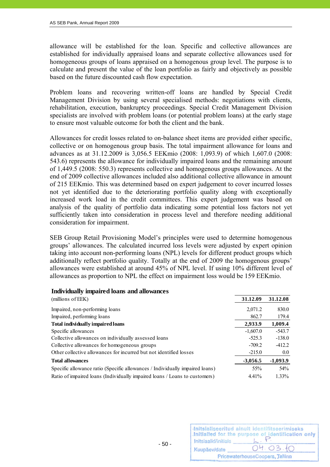allowance will be established for the loan. Specific and collective allowances are established for individually appraised loans and separate collective allowances used for homogeneous groups of loans appraised on a homogenous group level. The purpose is to calculate and present the value of the loan portfolio as fairly and objectively as possible based on the future discounted cash flow expectation.

Problem loans and recovering written-off loans are handled by Special Credit Management Division by using several specialised methods: negotiations with clients, rehabilitation, execution, bankruptcy proceedings. Special Credit Management Division specialists are involved with problem loans (or potential problem loans) at the early stage to ensure most valuable outcome for both the client and the bank.

Allowances for credit losses related to on-balance sheet items are provided either specific, collective or on homogenous group basis. The total impairment allowance for loans and advances as at 31.12.2009 is 3,056.5 EEKmio (2008: 1,093.9) of which 1,607.0 (2008: 543.6) represents the allowance for individually impaired loans and the remaining amount of 1,449.5 (2008: 550.3) represents collective and homogenous groups allowances. At the end of 2009 collective allowances included also additional collective allowance in amount of 215 EEKmio. This was determined based on expert judgement to cover incurred losses not yet identified due to the deteriorating portfolio quality along with exceptionally increased work load in the credit committees. This expert judgement was based on analysis of the quality of portfolio data indicating some potential loss factors not yet sufficiently taken into consideration in process level and therefore needing additional consideration for impairment.

SEB Group Retail Provisioning Model's principles were used to determine homogenous groups' allowances. The calculated incurred loss levels were adjusted by expert opinion taking into account non-performing loans (NPL) levels for different product groups which additionally reflect portfolio quality. Totally at the end of 2009 the homogenous groups' allowances were established at around 45% of NPL level. If using 10% different level of allowances as proportion to NPL the effect on impairment loss would be 159 EEKmio.

#### **Individually impaired loans and allowances**

| (millions of EEK)                                                            | 31.12.09   | 31.12.08   |
|------------------------------------------------------------------------------|------------|------------|
| Impaired, non-performing loans                                               | 2,071.2    | 830.0      |
| Impaired, performing loans                                                   | 862.7      | 179.4      |
| Total individually impaired loans                                            | 2,933.9    | 1,009.4    |
| Specific allowances                                                          | $-1,607.0$ | $-543.7$   |
| Collective allowances on individually assessed loans                         | $-525.3$   | $-138.0$   |
| Collective allowances for homogeneous groups                                 | $-709.2$   | $-412.2$   |
| Other collective allowances for incurred but not identified losses           | $-215.0$   | $0.0\,$    |
| <b>Total allowances</b>                                                      | $-3,056.5$ | $-1,093.9$ |
| Specific allowance ratio (Specific allowances / Individually impaired loans) | 55%        | 54%        |
| Ratio of impaired loans (Individually impaired loans / Loans to customers)   | $4.41\%$   | $1.33\%$   |

| Initsiaalid/initials | Initsialiseeritud ainult identifitseerimiseks<br>Initialled for the purpose of identification only |
|----------------------|----------------------------------------------------------------------------------------------------|
| Kuupäev/date         | 04.03.10                                                                                           |
|                      | PricewaterhouseCoopers, Tallinn                                                                    |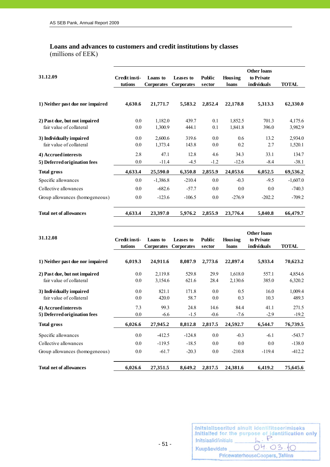# **Loans and advances to customers and credit institutions by classes**

(millions of EEK)

| 31.12.09                                                  | Credit insti-<br>tutions | Loans to<br><b>Corporates</b> | Leases to<br><b>Corporates</b> | <b>Public</b><br>sector | Housing<br>loans   | <b>Other loans</b><br>to Private<br>individuals | <b>TOTAL</b>       |
|-----------------------------------------------------------|--------------------------|-------------------------------|--------------------------------|-------------------------|--------------------|-------------------------------------------------|--------------------|
| 1) Neither past due nor impaired                          | 4,630.6                  | 21,771.7                      | 5,583.2                        | 2,852.4                 | 22,178.8           | 5,313.3                                         | 62,330.0           |
| 2) Past due, but not impaired<br>fair value of collateral | $0.0\,$<br>$0.0\,$       | 1,182.0<br>1,300.9            | 439.7<br>444.1                 | 0.1<br>0.1              | 1,852.5<br>1,841.8 | 701.3<br>396.0                                  | 4,175.6<br>3,982.9 |
| 3) Individually impaired<br>fair value of collateral      | 0.0<br>$0.0\,$           | 2,600.6<br>1,373.4            | 319.6<br>143.8                 | 0.0<br>0.0              | 0.6<br>0.2         | 13.2<br>2.7                                     | 2,934.0<br>1,520.1 |
| 4) Accrued interests<br>5) Deferred origination fees      | 2.8<br>0.0               | 47.1<br>$-11.4$               | 12.8<br>$-4.5$                 | 4.6<br>$-1.2$           | 34.3<br>$-12.6$    | 33.1<br>$-8.4$                                  | 134.7<br>$-38.1$   |
| <b>Total gross</b>                                        | 4,633.4                  | 25,590.0                      | 6,350.8                        | 2,855.9                 | 24,053.6           | 6,052.5                                         | 69,536.2           |
| Specific allowances                                       | $0.0\,$                  | $-1,386.8$                    | $-210.4$                       | 0.0                     | $-0.3$             | $-9.5$                                          | $-1,607.0$         |
| Collective allowances                                     | $0.0\,$                  | $-682.6$                      | $-57.7$                        | 0.0                     | $0.0\,$            | 0.0                                             | $-740.3$           |
| Group allowances (homogeneous)                            | $0.0\,$                  | $-123.6$                      | $-106.5$                       | $0.0\,$                 | $-276.9$           | $-202.2$                                        | $-709.2$           |
| <b>Total net of allowances</b>                            | 4,633.4                  | 23,397.0                      | 5,976.2                        | 2,855.9                 | 23,776.4           | 5,840.8                                         | 66,479.7           |

| 31.12.08                         | Credit insti- | Loans to          | Leases to         | <b>Public</b> | Housing  | <b>Other loans</b><br>to Private |              |
|----------------------------------|---------------|-------------------|-------------------|---------------|----------|----------------------------------|--------------|
|                                  | tutions       | <b>Corporates</b> | <b>Corporates</b> | sector        | loans    | individuals                      | <b>TOTAL</b> |
| 1) Neither past due nor impaired | 6,019.3       | 24,911.6          | 8,087.9           | 2,773.6       | 22,897.4 | 5,933.4                          | 70,623.2     |
| 2) Past due, but not impaired    | $0.0\,$       | 2,119.8           | 529.8             | 29.9          | 1,618.0  | 557.1                            | 4,854.6      |
| fair value of collateral         | $0.0\,$       | 3,154.6           | 621.6             | 28.4          | 2,130.6  | 385.0                            | 6,320.2      |
| 3) Individually impaired         | 0.0           | 821.1             | 171.8             | 0.0           | 0.5      | 16.0                             | 1,009.4      |
| fair value of collateral         | $0.0\,$       | 420.0             | 58.7              | $0.0\,$       | 0.3      | 10.3                             | 489.3        |
| 4) Accrued interests             | 7.3           | 99.3              | 24.8              | 14.6          | 84.4     | 41.1                             | 271.5        |
| 5) Deferred origination fees     | 0.0           | $-6.6$            | $-1.5$            | $-0.6$        | $-7.6$   | $-2.9$                           | $-19.2$      |
| <b>Total gross</b>               | 6,026.6       | 27,945.2          | 8,812.8           | 2,817.5       | 24,592.7 | 6,544.7                          | 76,739.5     |
| Specific allowances              | 0.0           | $-412.5$          | $-124.8$          | 0.0           | $-0.3$   | $-6.1$                           | $-543.7$     |
| Collective allowances            | 0.0           | $-119.5$          | $-18.5$           | 0.0           | 0.0      | 0.0                              | $-138.0$     |
| Group allowances (homogeneous)   | 0.0           | $-61.7$           | $-20.3$           | 0.0           | $-210.8$ | $-119.4$                         | $-412.2$     |
| <b>Total net of allowances</b>   | 6,026.6       | 27,351.5          | 8,649.2           | 2,817.5       | 24,381.6 | 6,419.2                          | 75,645.6     |

| Initsiaalid/initials | Initsialiseeritud ainult identifitseerimiseks<br>Initialled for the purpose of identification only |
|----------------------|----------------------------------------------------------------------------------------------------|
| Kuupäev/date         | 04.03.10                                                                                           |
|                      | PricewaterhouseCoopers, Tallinn                                                                    |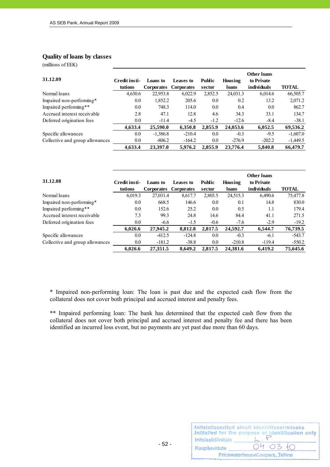#### **Quality of loans by classes**

(millions of EEK)

|                                 |               |                   |                   |               |          | <b>Other loans</b> |              |
|---------------------------------|---------------|-------------------|-------------------|---------------|----------|--------------------|--------------|
| 31.12.09                        | Credit insti- | Loans to          | Leases to         | <b>Public</b> | Housing  | to Private         |              |
|                                 | tutions       | <b>Corporates</b> | <b>Corporates</b> | sector        | loans    | individuals        | <b>TOTAL</b> |
| Normal loans                    | 4,630.6       | 22,953.8          | 6,022.9           | 2,852.5       | 24,031.3 | 6,014.6            | 66,505.7     |
| Impaired non-performing*        | $0.0\,$       | 1,852.2           | 205.6             | 0.0           | 0.2      | 13.2               | 2,071.2      |
| Impaired performing**           | 0.0           | 748.3             | 114.0             | 0.0           | 0.4      | 0.0                | 862.7        |
| Accrued interest receivable     | 2.8           | 47.1              | 12.8              | 4.6           | 34.3     | 33.1               | 134.7        |
| Deferred origination fees       | $0.0\,$       | $-11.4$           | $-4.5$            | $-1.2$        | $-12.6$  | $-8.4$             | $-38.1$      |
|                                 | 4,633.4       | 25,590.0          | 6,350.8           | 2,855.9       | 24,053.6 | 6,052.5            | 69,536.2     |
| Specific allowances             | 0.0           | $-1,386.8$        | $-210.4$          | 0.0           | $-0.3$   | $-9.5$             | $-1,607.0$   |
| Collective and group allowances | 0.0           | $-806.2$          | $-164.2$          | 0.0           | $-276.9$ | $-202.2$           | $-1,449.5$   |
|                                 | 4.633.4       | 23.397.0          | 5.976.2           | 2,855.9       | 23,776.4 | 5,840.8            | 66,479.7     |

| 31.12.08                        | Credit insti-<br>tutions | Loans to<br>Corporates | Leases to<br><b>Corporates</b> | <b>Public</b><br>sector | Housing<br>loans | Other loans<br>to Private<br>individuals | <b>TOTAL</b> |
|---------------------------------|--------------------------|------------------------|--------------------------------|-------------------------|------------------|------------------------------------------|--------------|
| Normal loans                    | 6,019.3                  | 27,031.4               | 8,617.7                        | 2,803.5                 | 24,515.3         | 6,490.6                                  | 75,477.8     |
| Impaired non-performing*        | 0.0                      | 668.5                  | 146.6                          | 0.0                     | 0.1              | 14.8                                     | 830.0        |
| Impaired performing**           | 0.0                      | 152.6                  | 25.2                           | 0.0                     | 0.5              | 1.1                                      | 179.4        |
| Accrued interest receivable     | 7.3                      | 99.3                   | 24.8                           | 14.6                    | 84.4             | 41.1                                     | 271.5        |
| Deferred origination fees       | 0.0                      | $-6.6$                 | $-1.5$                         | $-0.6$                  | $-7.6$           | $-2.9$                                   | $-19.2$      |
|                                 | 6,026.6                  | 27,945.2               | 8,812.8                        | 2,817.5                 | 24,592.7         | 6,544.7                                  | 76,739.5     |
| Specific allowances             | 0.0                      | $-412.5$               | $-124.8$                       | 0.0                     | $-0.3$           | $-6.1$                                   | $-543.7$     |
| Collective and group allowances | 0.0                      | $-181.2$               | $-38.8$                        | 0.0                     | $-210.8$         | $-119.4$                                 | $-550.2$     |
|                                 | 6,026.6                  | 27,351.5               | 8.649.2                        | 2,817.5                 | 24.381.6         | 6,419.2                                  | 75,645.6     |

\* Impaired non-performing loan: The loan is past due and the expected cash flow from the collateral does not cover both principal and accrued interest and penalty fees.

\*\* Impaired performing loan: The bank has determined that the expected cash flow from the collateral does not cover both principal and accrued interest and penalty fee and there has been identified an incurred loss event, but no payments are yet past due more than 60 days.

| Initsiaalid/initials            | Initsialiseeritud ainult identifitseerimiseks<br>Initialled for the purpose of identification only |  |  |
|---------------------------------|----------------------------------------------------------------------------------------------------|--|--|
| Kuupäev/date                    | 04.03.10                                                                                           |  |  |
| PricewaterhouseCoopers, Tallinn |                                                                                                    |  |  |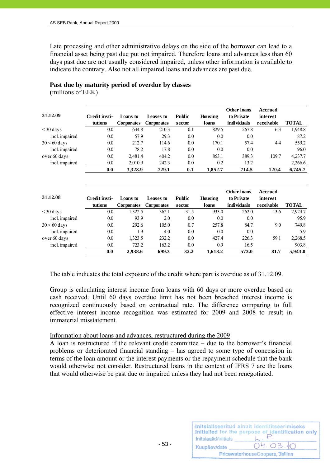Late processing and other administrative delays on the side of the borrower can lead to a financial asset being past due put not impaired. Therefore loans and advances less than 60 days past due are not usually considered impaired, unless other information is available to indicate the contrary. Also not all impaired loans and advances are past due.

# **Past due by maturity period of overdue by classes**

(millions of EEK)

| 31.12.09       | Credit insti- | Loans to          | Leases to         | <b>Public</b> | Housing | <b>Other loans</b><br>to Private | Accrued<br>interest |              |
|----------------|---------------|-------------------|-------------------|---------------|---------|----------------------------------|---------------------|--------------|
|                | tutions       | <b>Corporates</b> | <b>Corporates</b> | sector        | loans   | individuals                      | receivable          | <b>TOTAL</b> |
| $\leq$ 30 days | 0.0           | 634.8             | 210.3             | 0.1           | 829.5   | 267.8                            | 6.3                 | 1,948.8      |
| incl. impaired | 0.0           | 57.9              | 29.3              | 0.0           | 0.0     | 0.0                              |                     | 87.2         |
| $30 < 60$ days | 0.0           | 212.7             | 114.6             | 0.0           | 170.1   | 57.4                             | 4.4                 | 559.2        |
| incl. impaired | 0.0           | 78.2              | 17.8              | $0.0\,$       | 0.0     | 0.0                              |                     | 96.0         |
| over 60 days   | 0.0           | 2,481.4           | 404.2             | 0.0           | 853.1   | 389.3                            | 109.7               | 4,237.7      |
| incl. impaired | 0.0           | 2,010.9           | 242.3             | 0.0           | 0.2     | 13.2                             |                     | 2,266.6      |
|                | 0.0           | 3,328.9           | 729.1             | 0.1           | 1,852.7 | 714.5                            | 120.4               | 6,745.7      |

| 31.12.08       | Credit insti-<br>tutions | Loans to<br><b>Corporates</b> | Leases to<br><b>Corporates</b> | <b>Public</b><br>sector | Housing<br>loans | Other loans<br>to Private<br>individuals | Accrued<br>interest<br>receivable | <b>TOTAL</b> |
|----------------|--------------------------|-------------------------------|--------------------------------|-------------------------|------------------|------------------------------------------|-----------------------------------|--------------|
| $\leq$ 30 days | $0.0\,$                  | 1.322.5                       | 362.1                          | 31.5                    | 933.0            | 262.0                                    | 13.6                              | 2,924.7      |
| incl. impaired | 0.0                      | 93.9                          | 2.0                            | 0.0                     | 0.0              | 0.0                                      |                                   | 95.9         |
| $30 < 60$ days | 0.0                      | 292.6                         | 105.0                          | 0.7                     | 257.8            | 84.7                                     | 9.0                               | 749.8        |
| incl. impaired | 0.0                      | 1.9                           | 4.0                            | 0.0                     | 0.0              | 0.0                                      |                                   | 5.9          |
| over 60 days   | 0.0                      | 1,323.5                       | 232.2                          | 0.0                     | 427.4            | 226.3                                    | 59.1                              | 2,268.5      |
| incl. impaired | 0.0                      | 723.2                         | 163.2                          | 0.0                     | 0.9              | 16.5                                     |                                   | 903.8        |
|                | 0.0                      | 2,938.6                       | 699.3                          | 32.2                    | 1,618.2          | 573.0                                    | 81.7                              | 5,943.0      |

The table indicates the total exposure of the credit where part is overdue as of 31.12.09.

Group is calculating interest income from loans with 60 days or more overdue based on cash received. Until 60 days overdue limit has not been breached interest income is recognized continuously based on contractual rate. The difference comparing to full effective interest income recognition was estimated for 2009 and 2008 to result in immaterial misstatement.

#### Information about loans and advances, restructured during the 2009

A loan is restructured if the relevant credit committee – due to the borrower's financial problems or deteriorated financial standing – has agreed to some type of concession in terms of the loan amount or the interest payments or the repayment schedule that the bank would otherwise not consider. Restructured loans in the context of IFRS 7 are the loans that would otherwise be past due or impaired unless they had not been renegotiated.

| Initsiaalid/initials | Initsialiseeritud ainult identifitseerimiseks<br>Initialled for the purpose of identification only |
|----------------------|----------------------------------------------------------------------------------------------------|
| Kuupäev/date         | 04.03.10                                                                                           |
|                      | PricewaterhouseCoopers, Tallinn                                                                    |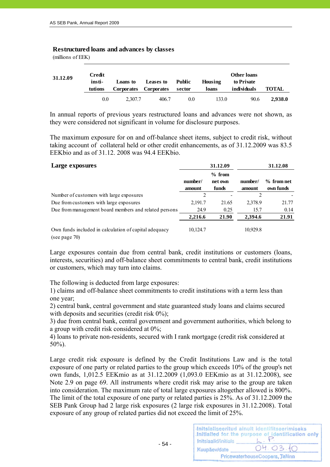#### **Restructured loans and advances by classes**

(millions of EEK)

| 31.12.09 | Credit<br>insti-<br>tutions | Loans to<br>Corporates Corporates | <b>Leases to</b> | Public<br>sector | Housing<br>loans | <b>Other loans</b><br>to Private<br>individuals | <b>TOTAL</b> |
|----------|-----------------------------|-----------------------------------|------------------|------------------|------------------|-------------------------------------------------|--------------|
|          | 0.0                         | 2.307.7                           | 406.7            | 0.0              | 133.0            | 90.6                                            | 2.938.0      |

In annual reports of previous years restructured loans and advances were not shown, as they were considered not significant in volume for disclosure purposes.

The maximum exposure for on and off-balance sheet items, subject to credit risk, without taking account of collateral held or other credit enhancements, as of 31.12.2009 was 83.5 EEKbio and as of 31.12. 2008 was 94.4 EEKbio.

| Large exposures                                                        |                   | 31.12.09                     |                   | 31.12.08                  |
|------------------------------------------------------------------------|-------------------|------------------------------|-------------------|---------------------------|
|                                                                        | number/<br>amount | $%$ from<br>net own<br>funds | number/<br>amount | $%$ from net<br>own funds |
| Number of customers with large exposures                               | $\mathfrak{D}$    |                              | $\mathfrak{D}$    |                           |
| Due from customers with large exposures                                | 2,191.7           | 21.65                        | 2,378.9           | 21.77                     |
| Due from management board members and related persons                  | 24.9              | 0.25                         | 15.7              | 0.14                      |
|                                                                        | 2,216.6           | 21.90                        | 2,394.6           | 21.91                     |
| Own funds included in calculation of capital adequacy<br>(see page 70) | 10,124.7          |                              | 10,929.8          |                           |

Large exposures contain due from central bank, credit institutions or customers (loans, interests, securities) and off-balance sheet commitments to central bank, credit institutions or customers, which may turn into claims.

The following is deducted from large exposures:

1) claims and off-balance sheet commitments to credit institutions with a term less than one year;

2) central bank, central government and state guaranteed study loans and claims secured with deposits and securities (credit risk  $0\%$ ):

3) due from central bank, central government and government authorities, which belong to a group with credit risk considered at 0%;

4) loans to private non-residents, secured with I rank mortgage (credit risk considered at 50%).

Large credit risk exposure is defined by the Credit Institutions Law and is the total exposure of one party or related parties to the group which exceeds 10% of the group's net own funds, 1,012.5 EEKmio as at 31.12.2009 (1,093.0 EEKmio as at 31.12.2008), see Note 2.9 on page 69. All instruments where credit risk may arise to the group are taken into consideration. The maximum rate of total large exposures altogether allowed is 800%. The limit of the total exposure of one party or related parties is 25%. As of 31.12.2009 the SEB Pank Group had 2 large risk exposures (2 large risk exposures in 31.12.2008). Total exposure of any group of related parties did not exceed the limit of 25%.

| Initsiaalid/initials            | Initsialiseeritud ainult identifitseerimiseks<br>Initialled for the purpose of identification only |  |  |
|---------------------------------|----------------------------------------------------------------------------------------------------|--|--|
| Kuupäev/date                    | 04.03.10                                                                                           |  |  |
| PricewaterhouseCoopers, Tallinn |                                                                                                    |  |  |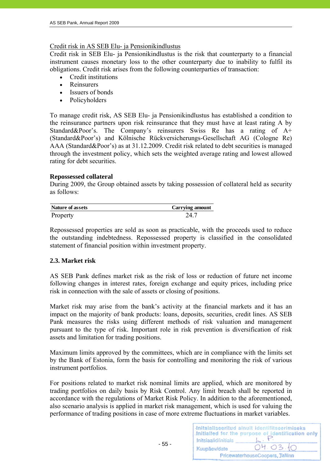# Credit risk in AS SEB Elu- ja Pensionikindlustus

Credit risk in SEB Elu- ja Pensionikindlustus is the risk that counterparty to a financial instrument causes monetary loss to the other counterparty due to inability to fulfil its obligations. Credit risk arises from the following counterparties of transaction:

- Credit institutions
- Reinsurers
- Issuers of bonds
- Policyholders

To manage credit risk, AS SEB Elu- ja Pensionikindlustus has established a condition to the reinsurance partners upon risk reinsurance that they must have at least rating A by Standard&Poor's. The Company's reinsurers Swiss Re has a rating of A+ (Standard&Poor's) and Kölnische Rückversicherungs-Gesellschaft AG (Cologne Re) AAA (Standard&Poor's) as at 31.12.2009. Credit risk related to debt securities is managed through the investment policy, which sets the weighted average rating and lowest allowed rating for debt securities.

# **Repossessed collateral**

During 2009, the Group obtained assets by taking possession of collateral held as security as follows:

| Nature of assets | Carrying amount |
|------------------|-----------------|
| Property         | 24 7            |

Repossessed properties are sold as soon as practicable, with the proceeds used to reduce the outstanding indebtedness. Repossessed property is classified in the consolidated statement of financial position within investment property.

# **2.3. Market risk**

AS SEB Pank defines market risk as the risk of loss or reduction of future net income following changes in interest rates, foreign exchange and equity prices, including price risk in connection with the sale of assets or closing of positions.

Market risk may arise from the bank's activity at the financial markets and it has an impact on the majority of bank products: loans, deposits, securities, credit lines. AS SEB Pank measures the risks using different methods of risk valuation and management pursuant to the type of risk. Important role in risk prevention is diversification of risk assets and limitation for trading positions.

Maximum limits approved by the committees, which are in compliance with the limits set by the Bank of Estonia, form the basis for controlling and monitoring the risk of various instrument portfolios.

For positions related to market risk nominal limits are applied, which are monitored by trading portfolios on daily basis by Risk Control. Any limit breach shall be reported in accordance with the regulations of Market Risk Policy. In addition to the aforementioned, also scenario analysis is applied in market risk management, which is used for valuing the performance of trading positions in case of more extreme fluctuations in market variables.

| Initsiaalid/initials            | Initsialiseeritud ainult identifitseerimiseks<br>Initialled for the purpose of identification only |  |  |
|---------------------------------|----------------------------------------------------------------------------------------------------|--|--|
| Kuupäev/date                    | 04.03.10                                                                                           |  |  |
| PricewaterhouseCoopers, Tallinn |                                                                                                    |  |  |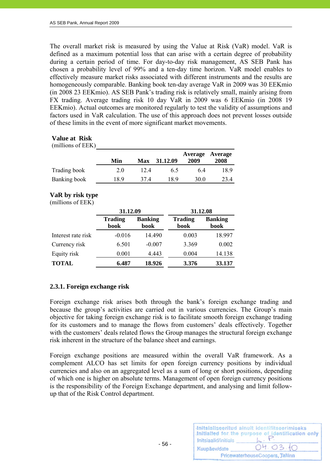The overall market risk is measured by using the Value at Risk (VaR) model. VaR is defined as a maximum potential loss that can arise with a certain degree of probability during a certain period of time. For day-to-day risk management, AS SEB Pank has chosen a probability level of 99% and a ten-day time horizon. VaR model enables to effectively measure market risks associated with different instruments and the results are homogeneously comparable. Banking book ten-day average VaR in 2009 was 30 EEKmio (in 2008 23 EEKmio). AS SEB Pank's trading risk is relatively small, mainly arising from FX trading. Average trading risk 10 day VaR in 2009 was 6 EEKmio (in 2008 19 EEKmio). Actual outcomes are monitored regularly to test the validity of assumptions and factors used in VaR calculation. The use of this approach does not prevent losses outside of these limits in the event of more significant market movements.

#### **Value at Risk**

| (millions of EEK) |     |     |          |                 |                 |
|-------------------|-----|-----|----------|-----------------|-----------------|
|                   | Min | Max | 31.12.09 | Average<br>2009 | Average<br>2008 |
| Trading book      | 2.0 | 124 | 6.5      | 64              | 18.9            |
| Banking book      | 189 | 374 | 189      | 30.0            | 23.4            |

# **VaR by risk type**

#### (millions of EEK)

|                    | 31.12.09               |                        |                        | 31.12.08               |  |
|--------------------|------------------------|------------------------|------------------------|------------------------|--|
|                    | <b>Trading</b><br>book | <b>Banking</b><br>book | <b>Trading</b><br>book | <b>Banking</b><br>book |  |
| Interest rate risk | $-0.016$               | 14.490                 | 0.003                  | 18.997                 |  |
| Currency risk      | 6.501                  | $-0.007$               | 3.369                  | 0.002                  |  |
| Equity risk        | 0.001                  | 4.443                  | 0.004                  | 14.138                 |  |
| <b>TOTAL</b>       | 6.487                  | 18.926                 | 3.376                  | 33.137                 |  |

# **2.3.1. Foreign exchange risk**

Foreign exchange risk arises both through the bank's foreign exchange trading and because the group's activities are carried out in various currencies. The Group's main objective for taking foreign exchange risk is to facilitate smooth foreign exchange trading for its customers and to manage the flows from customers' deals effectively. Together with the customers' deals related flows the Group manages the structural foreign exchange risk inherent in the structure of the balance sheet and earnings.

Foreign exchange positions are measured within the overall VaR framework. As a complement ALCO has set limits for open foreign currency positions by individual currencies and also on an aggregated level as a sum of long or short positions, depending of which one is higher on absolute terms. Management of open foreign currency positions is the responsibility of the Foreign Exchange department, and analysing and limit followup that of the Risk Control department.

| Initsiaalid/initials | Initsialiseeritud ainult identifitseerimiseks<br>Initialled for the purpose of identification only |
|----------------------|----------------------------------------------------------------------------------------------------|
| Kuupäev/date         | 04.03.10                                                                                           |
|                      | PricewaterhouseCoopers, Tallinn                                                                    |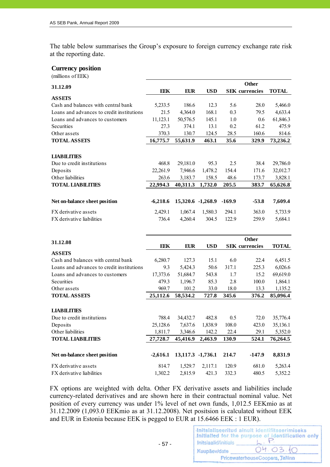The table below summarises the Group's exposure to foreign currency exchange rate risk at the reporting date.

#### **Currency position**

(millions of EEK)

| 31.12.09                                          |                  |                    |                  |                | <b>Other</b>          |                    |
|---------------------------------------------------|------------------|--------------------|------------------|----------------|-----------------------|--------------------|
|                                                   | EEK              | <b>EUR</b>         | <b>USD</b>       |                | <b>SEK</b> currencies | <b>TOTAL</b>       |
| <b>ASSETS</b>                                     |                  |                    |                  |                |                       |                    |
| Cash and balances with central bank               | 5,233.5          | 186.6              | 12.3             | 5.6            | 28.0                  | 5,466.0            |
| Loans and advances to credit institutions         | 21.5             | 4,364.0            | 168.1            | 0.3            | 79.5                  | 4,633.4            |
| Loans and advances to customers                   | 11,123.1         | 50,576.5           | 145.1            | 1.0            | 0.6                   | 61,846.3           |
| Securities                                        | 27.3             | 374.1              | 13.1             | 0.2            | 61.2                  | 475.9              |
| Other assets                                      | 370.3            | 130.7              | 124.5            | 28.5           | 160.6                 | 814.6              |
| <b>TOTAL ASSETS</b>                               | 16,775.7         | 55,631.9           | 463.1            | 35.6           | 329.9                 | 73,236.2           |
|                                                   |                  |                    |                  |                |                       |                    |
| <b>LIABILITIES</b>                                |                  |                    |                  |                |                       |                    |
| Due to credit institutions                        | 468.8            | 29,181.0           | 95.3             | 2.5            | 38.4                  | 29,786.0           |
| Deposits                                          | 22,261.9         | 7,946.6            | 1,478.2          | 154.4          | 171.6                 | 32,012.7           |
| Other liabilities                                 | 263.6            | 3,183.7            | 158.5            | 48.6           | 173.7                 | 3,828.1            |
| <b>TOTAL LIABILITIES</b>                          | 22,994.3         | 40,311.3           | 1,732.0          | 205.5          | 383.7                 | 65,626.8           |
|                                                   |                  |                    |                  |                |                       |                    |
|                                                   |                  | 15,320.6 -1,268.9  |                  | $-169.9$       | $-53.8$               | 7,609.4            |
| Net on-balance sheet position                     | $-6,218.6$       |                    |                  |                |                       |                    |
| FX derivative assets                              | 2,429.1          | 1,067.4            | 1,580.3          | 294.1          | 363.0                 | 5,733.9            |
| FX derivative liabilities                         | 736.4            | 4,260.4            | 304.5            | 122.9          | 259.9                 | 5,684.1            |
|                                                   |                  |                    |                  |                |                       |                    |
|                                                   |                  |                    |                  |                | <b>Other</b>          |                    |
| 31.12.08                                          |                  |                    |                  |                |                       |                    |
|                                                   | <b>EEK</b>       | <b>EUR</b>         | <b>USD</b>       |                | <b>SEK</b> currencies | <b>TOTAL</b>       |
| <b>ASSETS</b>                                     |                  |                    |                  |                |                       |                    |
| Cash and balances with central bank               | 6,280.7          | 127.3              | 15.1             | 6.0            | 22.4                  | 6,451.5            |
| Loans and advances to credit institutions         | 9.3              | 5,424.3            | 50.6             | 317.1          | 225.3                 | 6,026.6            |
| Loans and advances to customers                   | 17,373.6         | 51,684.7           | 543.8            | 1.7            | 15.2                  | 69,619.0           |
| Securities                                        | 479.3            | 1,196.7            | 85.3             | 2.8            | 100.0                 | 1,864.1            |
| Other assets                                      | 969.7            | 101.2              | 33.0             | 18.0           | 13.3                  | 1,135.2            |
| <b>TOTAL ASSETS</b>                               | 25,112.6         | 58,534.2           | 727.8            | 345.6          | 376.2                 | 85,096.4           |
|                                                   |                  |                    |                  |                |                       |                    |
| <b>LIABILITIES</b>                                |                  |                    |                  |                |                       |                    |
| Due to credit institutions                        | 788.4            | 34,432.7           | 482.8            | 0.5            | 72.0                  | 35,776.4           |
| Deposits                                          | 25,128.6         | 7,637.6            | 1,838.9          | 108.0          | 423.0                 | 35,136.1           |
| Other liabilities                                 | 1,811.7          | 3,346.6            | 142.2            | 22.4           | 29.1                  | 5,352.0            |
|                                                   |                  |                    |                  |                |                       |                    |
| <b>TOTAL LIABILITIES</b>                          | 27,728.7         | 45,416.9           | 2,463.9          | 130.9          | 524.1                 | 76,264.5           |
|                                                   |                  |                    |                  |                |                       |                    |
| Net on-balance sheet position                     | $-2,616.1$       | 13,117.3 -1,736.1  |                  | 214.7          | $-147.9$              | 8,831.9            |
|                                                   |                  |                    |                  |                |                       |                    |
| FX derivative assets<br>FX derivative liabilities | 814.7<br>1,302.2 | 1,529.7<br>2,815.9 | 2,117.1<br>421.3 | 120.9<br>332.3 | 681.0<br>480.5        | 5,263.4<br>5,352.2 |

FX options are weighted with delta. Other FX derivative assets and liabilities include currency-related derivatives and are shown here in their contractual nominal value. Net position of every currency was under 1% level of net own funds, 1,012.5 EEKmio as at 31.12.2009 (1,093.0 EEKmio as at 31.12.2008). Net positsion is calculated without EEK and EUR in Estonia because EEK is pegged to EUR at 15.6466 EEK : 1 EUR).

- 57 -

| Initsiaalid/initials            | Initsialiseeritud ainult identifitseerimiseks<br>Initialled for the purpose of identification only |  |  |  |  |  |
|---------------------------------|----------------------------------------------------------------------------------------------------|--|--|--|--|--|
| Kuupäev/date                    | 04.03.10                                                                                           |  |  |  |  |  |
| PricewaterhouseCoopers, Tallinn |                                                                                                    |  |  |  |  |  |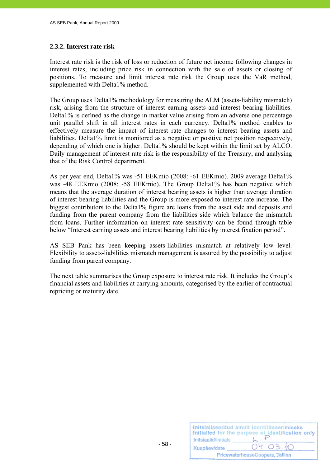# **2.3.2. Interest rate risk**

Interest rate risk is the risk of loss or reduction of future net income following changes in interest rates, including price risk in connection with the sale of assets or closing of positions. To measure and limit interest rate risk the Group uses the VaR method, supplemented with Delta1% method.

The Group uses Delta1% methodology for measuring the ALM (assets-liability mismatch) risk, arising from the structure of interest earning assets and interest bearing liabilities. Delta1% is defined as the change in market value arising from an adverse one percentage unit parallel shift in all interest rates in each currency. Delta1% method enables to effectively measure the impact of interest rate changes to interest bearing assets and liabilities. Delta1% limit is monitored as a negative or positive net position respectively, depending of which one is higher. Delta1% should be kept within the limit set by ALCO. Daily management of interest rate risk is the responsibility of the Treasury, and analysing that of the Risk Control department.

As per year end, Delta1% was -51 EEKmio (2008: -61 EEKmio). 2009 average Delta1% was -48 EEKmio (2008: -58 EEKmio). The Group Delta1% has been negative which means that the average duration of interest bearing assets is higher than average duration of interest bearing liabilities and the Group is more exposed to interest rate increase. The biggest contributors to the Delta1% figure are loans from the asset side and deposits and funding from the parent company from the liabilities side which balance the mismatch from loans. Further information on interest rate sensitivity can be found through table below "Interest earning assets and interest bearing liabilities by interest fixation period".

AS SEB Pank has been keeping assets-liabilities mismatch at relatively low level. Flexibility to assets-liabilities mismatch management is assured by the possibility to adjust funding from parent company.

The next table summarises the Group exposure to interest rate risk. It includes the Group's financial assets and liabilities at carrying amounts, categorised by the earlier of contractual repricing or maturity date.

| Initsiaalid/initials | Initsialiseeritud ainult identifitseerimiseks<br>Initialled for the purpose of identification only |
|----------------------|----------------------------------------------------------------------------------------------------|
| Kuupäev/date         | 04.03.10                                                                                           |
|                      | PricewaterhouseCoopers, Tallinn                                                                    |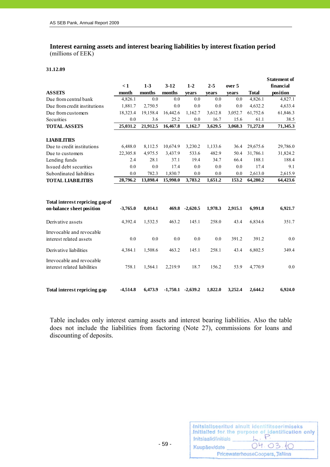# **Interest earning assets and interest bearing liabilities by interest fixation period**  (millions of EEK)

#### **31.12.09**

|                                                              | $\leq 1$   | $1-3$    | $3-12$   | $1 - 2$               | $2 - 5$ | over 5  |              | <b>Statement of</b><br>financial |
|--------------------------------------------------------------|------------|----------|----------|-----------------------|---------|---------|--------------|----------------------------------|
| <b>ASSETS</b>                                                | month      | months   | months   | years                 | years   | years   | <b>Total</b> | position                         |
| Due from central bank                                        | 4,826.1    | 0.0      | 0.0      | 0.0                   | 0.0     | 0.0     | 4,826.1      | 4,827.1                          |
| Due from credit institutions                                 | 1,881.7    | 2,750.5  | 0.0      | 0.0                   | 0.0     | 0.0     | 4,632.2      | 4,633.4                          |
| Due from customers                                           | 18,323.4   | 19,158.4 | 16,442.6 | 1,162.7               | 3,612.8 | 3,052.7 | 61,752.6     | 61,846.3                         |
| Securities                                                   | 0.0        | 3.6      | 25.2     | 0.0                   | 16.7    | 15.6    | 61.1         | 38.5                             |
| <b>TOTAL ASSETS</b>                                          | 25,031.2   | 21,912.5 | 16,467.8 | 1,162.7               | 3,629.5 | 3,068.3 | 71,272.0     | 71,345.3                         |
| <b>LIABILITIES</b>                                           |            |          |          |                       |         |         |              |                                  |
| Due to credit institutions                                   | 6,488.0    | 8,112.5  | 10,674.9 | 3,230.2               | 1,133.6 | 36.4    | 29,675.6     | 29,786.0                         |
| Due to customers                                             | 22,305.8   | 4,975.5  | 3,437.9  | 533.6                 | 482.9   | 50.4    | 31,786.1     | 31,824.2                         |
| Lending funds                                                | 2.4        | 28.1     | 37.1     | 19.4                  | 34.7    | 66.4    | 188.1        | 188.4                            |
| Issued debt securities                                       | 0.0        | 0.0      | 17.4     | 0.0                   | 0.0     | 0.0     | 17.4         | 9.1                              |
| Subordinated liabilities                                     | 0.0        | 782.3    | 1,830.7  | 0.0                   | 0.0     | 0.0     | 2,613.0      | 2,615.9                          |
| <b>TOTAL LIABILITIES</b>                                     | 28,796.2   | 13,898.4 | 15,998.0 | 3,783.2               | 1,651.2 | 153.2   | 64,280.2     | 64,423.6                         |
|                                                              |            |          |          |                       |         |         |              |                                  |
| Total interest repricing gap of<br>on-balance sheet position | $-3,765.0$ | 8,014.1  | 469.8    | $-2,620.5$            | 1,978.3 | 2,915.1 | 6,991.8      | 6,921.7                          |
| Derivative assets                                            | 4,392.4    | 1,532.5  | 463.2    | 145.1                 | 258.0   | 43.4    | 6,834.6      | 351.7                            |
| Irrevocable and revocable<br>interest related assets         | 0.0        | 0.0      | 0.0      | 0.0                   | 0.0     | 391.2   | 391.2        | 0.0                              |
| Derivative liabilities                                       | 4,384.1    | 1,508.6  | 463.2    | 145.1                 | 258.1   | 43.4    | 6,802.5      | 349.4                            |
| Irrevocable and revocable<br>interest related liabilities    | 758.1      | 1,564.1  | 2,219.9  | 18.7                  | 156.2   | 53.9    | 4,770.9      | 0.0                              |
| Total interest repricing gap                                 | $-4.514.8$ | 6.473.9  |          | $-1,750.1$ $-2,639.2$ | 1.822.0 | 3.252.4 | 2.644.2      | 6.924.0                          |

Table includes only interest earning assets and interest bearing liabilities. Also the table does not include the liabilities from factoring (Note 27), commissions for loans and discounting of deposits.

- 59 -

| Initsiaalid/initials | Initsialiseeritud ainult identifitseerimiseks<br>Initialled for the purpose of identification only |
|----------------------|----------------------------------------------------------------------------------------------------|
| Kuupäev/date         | 04.03.10                                                                                           |
|                      | PricewaterhouseCoopers, Tallinn                                                                    |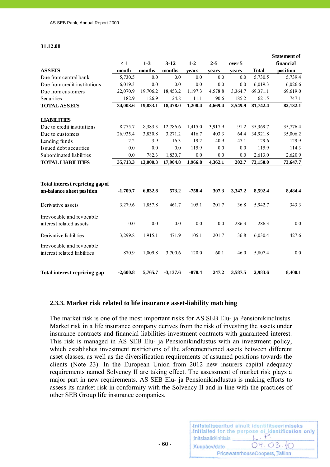#### **31.12.08**

|                                                              |            |          |            |          |         |         |              | <b>Statement of</b> |
|--------------------------------------------------------------|------------|----------|------------|----------|---------|---------|--------------|---------------------|
|                                                              | $\leq 1$   | $1-3$    | $3-12$     | $1 - 2$  | $2 - 5$ | over 5  |              | financial           |
| <b>ASSETS</b>                                                | month      | months   | months     | vears    | vears   | vears   | <b>Total</b> | position            |
| Due from central bank                                        | 5,730.5    | 0.0      | 0.0        | 0.0      | 0.0     | 0.0     | 5,730.5      | 5,739.4             |
| Due from credit institutions                                 | 6,019.3    | 0.0      | 0.0        | 0.0      | 0.0     | 0.0     | 6,019.3      | 6,026.6             |
| Due from customers                                           | 22,070.9   | 19,706.2 | 18,453.2   | 1,197.3  | 4,578.8 | 3,364.7 | 69,371.1     | 69,619.0            |
| Securities                                                   | 182.9      | 126.9    | 24.8       | 11.1     | 90.6    | 185.2   | 621.5        | 747.1               |
| <b>TOTAL ASSETS</b>                                          | 34,003.6   | 19,833.1 | 18,478.0   | 1,208.4  | 4,669.4 | 3,549.9 | 81,742.4     | 82,132.1            |
| <b>LIABILITIES</b>                                           |            |          |            |          |         |         |              |                     |
| Due to credit institutions                                   | 8,775.7    | 8,383.3  | 12,786.6   | 1,415.0  | 3,917.9 | 91.2    | 35,369.7     | 35,776.4            |
| Due to customers                                             | 26,935.4   | 3,830.8  | 3,271.2    | 416.7    | 403.3   | 64.4    | 34,921.8     | 35,006.2            |
| Lending funds                                                | 2.2        | 3.9      | 16.3       | 19.2     | 40.9    | 47.1    | 129.6        | 129.9               |
| Issued debt securities                                       | 0.0        | 0.0      | 0.0        | 115.9    | 0.0     | 0.0     | 115.9        | 114.3               |
| Subordinated liabilities                                     | 0.0        | 782.3    | 1,830.7    | 0.0      | 0.0     | 0.0     | 2,613.0      | 2,620.9             |
| <b>TOTAL LIABILITIES</b>                                     | 35,713.3   | 13,000.3 | 17,904.8   | 1,966.8  | 4,362.1 | 202.7   | 73,150.0     | 73,647.7            |
| Total interest repricing gap of<br>on-balance sheet position | $-1,709.7$ | 6,832.8  | 573.2      | $-758.4$ | 307.3   | 3,347.2 | 8,592.4      | 8,484.4             |
| Derivative assets                                            | 3,279.6    | 1,857.8  | 461.7      | 105.1    | 201.7   | 36.8    | 5,942.7      | 343.3               |
| Irrevocable and revocable<br>interest related assets         | 0.0        | 0.0      | 0.0        | 0.0      | 0.0     | 286.3   | 286.3        | 0.0                 |
| Derivative liabilities                                       | 3,299.8    | 1,915.1  | 471.9      | 105.1    | 201.7   | 36.8    | 6,030.4      | 427.6               |
| Irrevocable and revocable<br>interest related liabilities    | 870.9      | 1,009.8  | 3,700.6    | 120.0    | 60.1    | 46.0    | 5,807.4      | 0.0                 |
| Total interest repricing gap                                 | $-2,600.8$ | 5,765.7  | $-3,137.6$ | $-878.4$ | 247.2   | 3,587.5 | 2,983.6      | 8,400.1             |

#### **2.3.3. Market risk related to life insurance asset-liability matching**

 $- 60 -$ 

The market risk is one of the most important risks for AS SEB Elu- ja Pensionikindlustus. Market risk in a life insurance company derives from the risk of investing the assets under insurance contracts and financial liabilities investment contracts with guaranteed interest. This risk is managed in AS SEB Elu- ja Pensionikindlustus with an investment policy, which establishes investment restrictions of the aforementioned assets between different asset classes, as well as the diversification requirements of assumed positions towards the clients (Note 23). In the European Union from 2012 new insurers capital adequacy requirements named Solvency II are taking effect. The assessment of market risk plays a major part in new requirements. AS SEB Elu- ja Pensionikindlustus is making efforts to assess its market risk in conformity with the Solvency II and in line with the practices of other SEB Group life insurance companies.

|                      | Initsialiseeritud ainult identifitseerimiseks<br>Initialled for the purpose of identification only |
|----------------------|----------------------------------------------------------------------------------------------------|
| Initsiaalid/initials |                                                                                                    |
| Kuupäev/date         | 04.03.10                                                                                           |
|                      | PricewaterhouseCoopers, Tallinn                                                                    |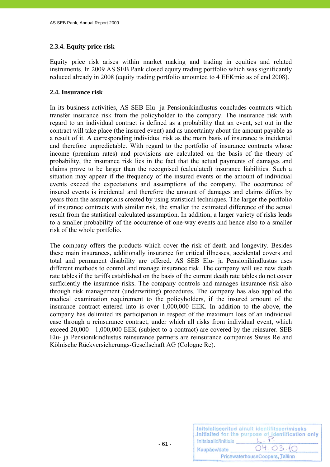# **2.3.4. Equity price risk**

Equity price risk arises within market making and trading in equities and related instruments. In 2009 AS SEB Pank closed equity trading portfolio which was significantly reduced already in 2008 (equity trading portfolio amounted to 4 EEKmio as of end 2008).

# **2.4. Insurance risk**

In its business activities, AS SEB Elu- ja Pensionikindlustus concludes contracts which transfer insurance risk from the policyholder to the company. The insurance risk with regard to an individual contract is defined as a probability that an event, set out in the contract will take place (the insured event) and as uncertainty about the amount payable as a result of it. A corresponding individual risk as the main basis of insurance is incidental and therefore unpredictable. With regard to the portfolio of insurance contracts whose income (premium rates) and provisions are calculated on the basis of the theory of probability, the insurance risk lies in the fact that the actual payments of damages and claims prove to be larger than the recognised (calculated) insurance liabilities. Such a situation may appear if the frequency of the insured events or the amount of individual events exceed the expectations and assumptions of the company. The occurrence of insured events is incidental and therefore the amount of damages and claims differs by years from the assumptions created by using statistical techniques. The larger the portfolio of insurance contracts with similar risk, the smaller the estimated difference of the actual result from the statistical calculated assumption. In addition, a larger variety of risks leads to a smaller probability of the occurrence of one-way events and hence also to a smaller risk of the whole portfolio.

The company offers the products which cover the risk of death and longevity. Besides these main insurances, additionally insurance for critical illnesses, accidental covers and total and permanent disability are offered. AS SEB Elu- ja Pensionikindlustus uses different methods to control and manage insurance risk. The company will use new death rate tables if the tariffs established on the basis of the current death rate tables do not cover sufficiently the insurance risks. The company controls and manages insurance risk also through risk management (underwriting) procedures. The company has also applied the medical examination requirement to the policyholders, if the insured amount of the insurance contract entered into is over 1,000,000 EEK. In addition to the above, the company has delimited its participation in respect of the maximum loss of an individual case through a reinsurance contract, under which all risks from individual event, which exceed 20,000 - 1,000,000 EEK (subject to a contract) are covered by the reinsurer. SEB Elu- ja Pensionikindlustus reinsurance partners are reinsurance companies Swiss Re and Kölnische Rückversicherungs-Gesellschaft AG (Cologne Re).

| Initsiaalid/initials            | Initsialiseeritud ainult identifitseerimiseks<br>Initialled for the purpose of identification only |  |  |  |  |  |
|---------------------------------|----------------------------------------------------------------------------------------------------|--|--|--|--|--|
| Kuupäev/date                    | 04.03.10                                                                                           |  |  |  |  |  |
| PricewaterhouseCoopers, Tallinn |                                                                                                    |  |  |  |  |  |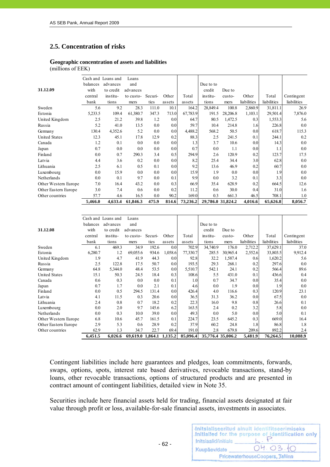# **2.5. Concentration of risks**

#### **Geographic concentration of assets and liabilities**  (millions of EEK)

|                      |          | Cash and Loans and | Loans     |         |        |          |                   |          |             |             |             |
|----------------------|----------|--------------------|-----------|---------|--------|----------|-------------------|----------|-------------|-------------|-------------|
|                      | balances | advances           | and       |         |        |          | Due to to         |          |             |             |             |
| 31.12.09             | with     | to credit          | advances  |         |        |          | credit            | Due to   |             |             |             |
|                      | central  | institu-           | to custo- | Securi- | Other  | Total    | institu-          | custo-   | Other       | Total       | Contingent  |
|                      | bank     | tions              | mers      | ties    | assets | assets   | tions             | mers     | liabilities | liabilities | liabilities |
| Sweden               | 5.6      | 9.2                | 28.3      | 111.0   | 10.1   | 164.2    | 28,849.4          | 100.8    | 2,860.9     | 31,811.1    | 26.9        |
| Estonia              | 5,233.5  | 109.4              | 61,380.7  | 347.3   | 713.0  | 67,783.9 | 191.5             | 28,206.8 | 1,103.1     | 29,501.4    | 7,876.0     |
| United Kingdom       | 2.5      | 21.2               | 39.8      | 1.2     | 0.0    | 64.7     | 80.5              | 1,472.5  | 0.3         | 1,553.3     | 5.6         |
| Russia               | 5.2      | 41.0               | 13.5      | 0.0     | 0.0    | 59.7     | 10.4              | 214.8    | 1.6         | 226.8       | 0.0         |
| Germany              | 130.4    | 4,352.6            | 5.2       | 0.0     | 0.0    | 4,488.2  | 568.2             | 50.5     | 0.0         | 618.7       | 115.3       |
| <b>United States</b> | 12.3     | 45.1               | 17.8      | 12.9    | 0.2    | 88.3     | 2.5               | 241.5    | 0.1         | 244.1       | 0.2         |
| Canada               | 1.2      | 0.1                | 0.0       | 0.0     | 0.0    | 1.3      | 3.7               | 10.6     | 0.0         | 14.3        | 0.0         |
| Japan                | 0.7      | 0.0                | 0.0       | 0.0     | 0.0    | 0.7      | 0.0               | 1.1      | 0.0         | 1.11        | 0.0         |
| Finland              | 0.0      | 0.7                | 290.3     | 3.4     | 0.5    | 294.9    | 2.6               | 120.9    | 0.2         | 123.7       | 17.5        |
| Latvia               | 4.4      | 3.6                | 0.2       | 0.0     | 0.0    | 8.2      | 25.4              | 34.4     | 3.0         | 62.8        | 0.0         |
| Lithuania            | 2.5      | 6.1                | 0.5       | 0.1     | 0.0    | 9.2      | 13.6              | 46.9     | 0.2         | 60.7        | 0.0         |
| Luxembourg           | 0.0      | 15.9               | 0.0       | 0.0     | 0.0    | 15.9     | 1.9               | 0.0      | 0.0         | 1.9         | 0.0         |
| Netherlands          | 0.0      | 0.1                | 9.7       | 0.0     | 0.1    | 9.9      | 0.0               | 3.2      | 0.1         | 3.3         | 0.0         |
| Other Western Europe | 7.0      | 16.4               | 43.2      | 0.0     | 0.3    | 66.9     | 35.4              | 628.9    | 0.2         | 664.5       | 12.6        |
| Other Eastern Europe | 3.0      | 7.4                | 0.6       | 0.0     | 0.2    | 11.2     | 0.6               | 30.0     | 0.4         | 31.0        | 1.6         |
| Other countries      | 57.7     | 4.6                | 16.5      | 0.0     | 90.2   | 169.0    | 0.3               | 661.3    | 46.5        | 708.1       | 1.0         |
|                      | 5,466.0  | 4,633.4            | 61,846.3  | 475.9   | 814.6  | 73,236.2 | 29,786.0 31,824.2 |          | 4,016.6     | 65,626.8    | 8,056.7     |

|                      |          | Cash and Loans and | Loans                    |         |         |          |           |                   |             |             |             |
|----------------------|----------|--------------------|--------------------------|---------|---------|----------|-----------|-------------------|-------------|-------------|-------------|
|                      | balances | advances           | and                      |         |         |          | Due to to |                   |             |             |             |
| 31.12.08             | with     | to credit          | advances                 |         |         |          | credit    | Due to            |             |             |             |
|                      | central  | institu-           | to custo-                | Securi- | Other   | Total    | institu-  | custo-            | Other       | Total       | Contingent  |
|                      | bank     | tions              | mers                     | ties    | assets  | assets   | tions     | mers              | liabilities | liabilities | liabilities |
| Sweden               | 6.1      | 469.3              | 34.9                     | 192.6   | 0.0     | 702.9    | 34,740.9  | 176.0             | 2,712.2     | 37,629.1    | 37.0        |
| Estonia              | 6,280.7  | 1.2                | 69,055.6                 | 934.6   | 1,058.6 | 77,330.7 | 285.5     | 30,965.4          | 2,552.6     | 33,803.5    | 9,912.4     |
| United Kingdom       | 1.9      | 4.7                | 41.9                     | 44.3    | 0.0     | 92.8     | 32.2      | 1,587.4           | 0.6         | 1,620.2     | 5.6         |
| Russia               | 2.5      | 122.8              | 17.5                     | 50.7    | 0.0     | 193.5    | 29.3      | 268.1             | 0.2         | 297.6       | 0.0         |
| Germany              | 64.8     | 5,344.0            | 48.4                     | 53.5    | 0.0     | 5,510.7  | 542.1     | 24.1              | 0.2         | 566.4       | 89.6        |
| <b>United States</b> | 15.1     | 50.3               | 24.5                     | 18.4    | 0.3     | 108.6    | 5.5       | 431.0             | 0.1         | 436.6       | 0.4         |
| Canada               | 0.6      | 0.3                | 0.0                      | 0.0     | 0.1     | 1.0      | 0.7       | 34.7              | 0.0         | 35.4        | 0.0         |
| Japan                | 0.7      | 1.7                | 0.0                      | 2.1     | 0.1     | 4.6      | 0.0       | 1.9               | 0.0         | 1.9         | 0.0         |
| Finland              | 0.0      | 0.5                | 294.5                    | 131.4   | 0.0     | 426.4    | 4.0       | 116.6             | 0.3         | 120.9       | 23.1        |
| Latvia               | 4.1      | 11.5               | 0.3                      | 20.6    | 0.0     | 36.5     | 31.3      | 36.2              | 0.0         | 67.5        | 0.0         |
| Lithuania            | 2.4      | 0.8                | 0.7                      | 18.2    | 0.2     | 22.3     | 16.0      | 9.8               | 0.8         | 26.6        | 0.1         |
| Luxembourg           | 0.0      | 2.0                | 9.7                      | 145.6   | 6.2     | 163.5    | 2.4       | 0.2               | 3.2         | 5.8         | 0.0         |
| Netherlands          | 0.0      | 0.3                | 10.0                     | 39.0    | 0.0     | 49.3     | 0.0       | 5.0               | 0.0         | 5.0         | 0.1         |
| Other Western Europe | 6.8      | 10.6               | 45.7                     | 161.5   | 0.1     | 224.7    | 23.5      | 645.2             | 0.3         | 669.0       | 16.4        |
| Other Eastern Europe | 2.9      | 5.3                | 0.6                      | 28.9    | 0.2     | 37.9     | 60.2      | 24.8              | 1.8         | 86.8        | 1.8         |
| Other countries      | 62.9     | 1.3                | 34.7                     | 22.7    | 69.4    | 191.0    | 2.8       | 679.8             | 209.6       | 892.2       | 2.4         |
|                      | 6,451.5  | 6,026.6            | 69,619.0 1,864.1 1,135.2 |         |         | 85,096.4 |           | 35,776.4 35,006.2 | 5,481.9     | 76,264.5    | 10,088.9    |

Contingent liabilities include here guarantees and pledges, loan commitments, forwards, swaps, options, spots, interest rate based derivatives, revocable transactions, stand-by loans, other revocable transactions, options of structured products and are presented in contract amount of contingent liabilities, detailed view in Note 35.

Securities include here financial assets held for trading, financial assets designated at fair value through profit or loss, available-for-sale financial assets, investments in associates.

- 62 -

| Initsiaalid/initials | Initsialiseeritud ainult identifitseerimiseks<br>Initialled for the purpose of identification only |
|----------------------|----------------------------------------------------------------------------------------------------|
| Kuupäev/date         | 04.03.10                                                                                           |
|                      | PricewaterhouseCoopers, Tallinn                                                                    |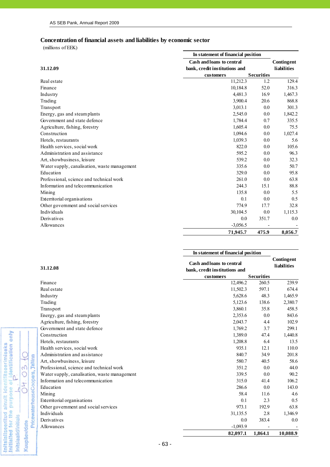#### **Concentration of financial assets and liabilities by economic sector**

 $(millions of EEK)$ 

Initsialiseeritud ainult identifitseerimiseks<br>Initialied for the purpose of identification only<br>Initsiaalid/initials

 $\overline{\mathcal{L}}$ 

**Initsiaalid/initials** Kuupäev/date

04.03.10

PricewaterhouseCoopers, Jallinn

|                                              | In statement of financial position |                   |                    |  |
|----------------------------------------------|------------------------------------|-------------------|--------------------|--|
|                                              | Cash and loans to central          |                   | Contingent         |  |
| 31.12.09                                     | bank, credit institutions and      |                   | <b>liabilities</b> |  |
|                                              | customers                          | <b>Securities</b> |                    |  |
| Real estate                                  | 11,212.3                           | 1.2               | 129.4              |  |
| Finance                                      | 10,184.8                           | 52.0              | 316.3              |  |
| Industry                                     | 4,481.3                            | 16.9              | 1,467.3            |  |
| Trading                                      | 3,900.4                            | 20.6              | 868.8              |  |
| Transport                                    | 3,013.1                            | 0.0               | 301.3              |  |
| Energy, gas and steam plants                 | 2,545.0                            | 0.0               | 1,842.2            |  |
| Government and state defence                 | 1,784.4                            | 0.7               | 335.5              |  |
| Agriculture, fishing, forestry               | 1,605.4                            | 0.0               | 75.5               |  |
| Construction                                 | 1,094.6                            | 0.0               | 1,027.4            |  |
| Hotels, restaurants                          | 1,039.3                            | 0.0               | 5.6                |  |
| Health services, social work                 | 822.0                              | 0.0               | 105.6              |  |
| Administration and assistance                | 595.2                              | 0.0               | 96.3               |  |
| Art, showbusiness, leisure                   | 539.2                              | 0.0               | 32.3               |  |
| Water supply, canalisation, waste management | 335.6                              | 0.0               | 50.7               |  |
| Education                                    | 329.0                              | 0.0               | 95.8               |  |
| Professional, science and technical work     | 261.0                              | 0.0               | 63.8               |  |
| Information and telecommunication            | 244.3                              | 15.1              | 88.8               |  |
| Mining                                       | 135.8                              | 0.0               | 5.5                |  |
| Exterritorial organisations                  | 0.1                                | 0.0               | 0.5                |  |
| Other government and social services         | 774.9                              | 17.7              | 32.8               |  |
| Individuals                                  | 30,104.5                           | 0.0               | 1,115.3            |  |
| Derivatives                                  | 0.0                                | 351.7             | 0.0                |  |
| Allowances                                   | $-3,056.5$                         |                   |                    |  |
|                                              | 71,945.7                           | 475.9             | 8,056.7            |  |

|                                              | In statement of financial position                         |                   |          |  |  |
|----------------------------------------------|------------------------------------------------------------|-------------------|----------|--|--|
| 31.12.08                                     | Cash and loans to central<br>bank, credit institutions and |                   |          |  |  |
|                                              | customers                                                  | <b>Securities</b> |          |  |  |
| Finance                                      | 12,496.2                                                   | 260.5             | 239.9    |  |  |
| Real estate                                  | 11,502.3                                                   | 597.1             | 674.4    |  |  |
| Industry                                     | 5,628.6                                                    | 48.3              | 1,465.9  |  |  |
| Trading                                      | 5,123.6                                                    | 138.6             | 2,380.7  |  |  |
| Transport                                    | 3,860.1                                                    | 35.8              | 458.5    |  |  |
| Energy, gas and steamplants                  | 2,353.6                                                    | 0.0               | 843.6    |  |  |
| Agriculture, fishing, forestry               | 2,043.7                                                    | 4.4               | 102.9    |  |  |
| Government and state defence                 | 1,769.2                                                    | 3.7               | 299.1    |  |  |
| Construction                                 | 1,389.0                                                    | 47.4              | 1,440.8  |  |  |
| Hotels, restaurants                          | 1,208.8                                                    | 6.4               | 13.5     |  |  |
| Health services, social work                 | 935.1                                                      | 12.1              | 110.0    |  |  |
| Administration and assistance                | 840.7                                                      | 34.9              | 201.8    |  |  |
| Art, showbusiness, leisure                   | 580.7                                                      | 40.5              | 58.6     |  |  |
| Professional, science and technical work     | 351.2                                                      | 0.0               | 44.0     |  |  |
| Water supply, canalisation, waste management | 339.5                                                      | 0.0               | 90.2     |  |  |
| Information and telecommunication            | 315.0                                                      | 41.4              | 106.2    |  |  |
| Education                                    | 286.6                                                      | 0.0               | 143.0    |  |  |
| Mining                                       | 58.4                                                       | 11.6              | 4.6      |  |  |
| Exterritorial organisations                  | 0.1                                                        | 2.3               | 0.5      |  |  |
| Other government and social services         | 973.1                                                      | 192.9             | 63.8     |  |  |
| Individuals                                  | 31,135.5                                                   | 2.8               | 1,346.9  |  |  |
| Derivatives                                  | 0.0                                                        | 383.4             | 0.0      |  |  |
| Allowances                                   | $-1,093.9$                                                 |                   |          |  |  |
|                                              | 82,097.1                                                   | 1.864.1           | 10,088.9 |  |  |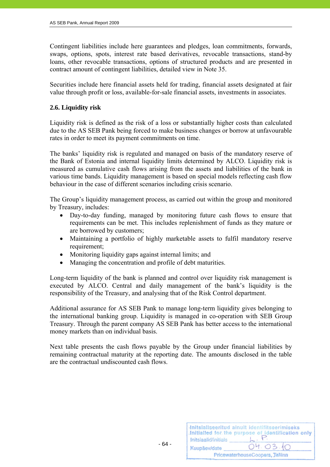Contingent liabilities include here guarantees and pledges, loan commitments, forwards, swaps, options, spots, interest rate based derivatives, revocable transactions, stand-by loans, other revocable transactions, options of structured products and are presented in contract amount of contingent liabilities, detailed view in Note 35.

Securities include here financial assets held for trading, financial assets designated at fair value through profit or loss, available-for-sale financial assets, investments in associates.

# **2.6. Liquidity risk**

Liquidity risk is defined as the risk of a loss or substantially higher costs than calculated due to the AS SEB Pank being forced to make business changes or borrow at unfavourable rates in order to meet its payment commitments on time.

The banks' liquidity risk is regulated and managed on basis of the mandatory reserve of the Bank of Estonia and internal liquidity limits determined by ALCO. Liquidity risk is measured as cumulative cash flows arising from the assets and liabilities of the bank in various time bands. Liquidity management is based on special models reflecting cash flow behaviour in the case of different scenarios including crisis scenario.

The Group's liquidity management process, as carried out within the group and monitored by Treasury, includes:

- Day-to-day funding, managed by monitoring future cash flows to ensure that requirements can be met. This includes replenishment of funds as they mature or are borrowed by customers;
- Maintaining a portfolio of highly marketable assets to fulfil mandatory reserve requirement:
- Monitoring liquidity gaps against internal limits; and
- Managing the concentration and profile of debt maturities.

Long-term liquidity of the bank is planned and control over liquidity risk management is executed by ALCO. Central and daily management of the bank's liquidity is the responsibility of the Treasury, and analysing that of the Risk Control department.

Additional assurance for AS SEB Pank to manage long-term liquidity gives belonging to the international banking group. Liquidity is managed in co-operation with SEB Group Treasury. Through the parent company AS SEB Pank has better access to the international money markets than on individual basis.

Next table presents the cash flows payable by the Group under financial liabilities by remaining contractual maturity at the reporting date. The amounts disclosed in the table are the contractual undiscounted cash flows.

| Initsiaalid/initials | Initsialiseeritud ainult identifitseerimiseks<br>Initialled for the purpose of identification only |
|----------------------|----------------------------------------------------------------------------------------------------|
| Kuupäev/date         | 04.03.10                                                                                           |
|                      | PricewaterhouseCoopers, Tallinn                                                                    |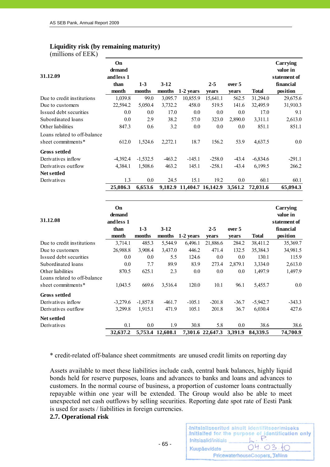#### **Liquidity risk (by remaining maturity)**   $(m<sub>i</sub>)$ llions of  $FFK$ )

| $\mu$ (Think of LET $\mu$ )  |               |            |                  |                           |                   |                |              |                       |
|------------------------------|---------------|------------|------------------|---------------------------|-------------------|----------------|--------------|-----------------------|
|                              | On            |            |                  |                           |                   |                |              | Carrying              |
| 31.12.09                     | demand        |            |                  |                           |                   |                |              | value in              |
|                              | and less 1    | $1-3$      | $3-12$           |                           |                   |                |              | statement of          |
|                              | than<br>month | months     | months           | 1-2 years                 | $2 - 5$           | over 5         | <b>Total</b> | financial<br>position |
| Due to credit institutions   | 1,039.8       | 99.0       | 3,095.7          | 10,855.9                  | vears<br>15,641.1 | years<br>562.5 | 31,294.0     | 29,675.6              |
| Due to customers             | 22,594.2      | 5,050.4    | 3,732.2          | 458.0                     | 519.5             | 141.6          | 32,495.9     | 31,910.3              |
| Issued debt securities       | 0.0           | 0.0        | 17.0             | 0.0                       | 0.0               | 0.0            | 17.0         | 9.1                   |
| Subordinated loans           | 0.0           | 2.9        | 38.2             | 57.0                      | 323.0             | 2,890.0        | 3,311.1      | 2,613.0               |
| Other liabilities            | 847.3         | 0.6        | 3.2              | 0.0                       | 0.0               | 0.0            | 851.1        | 851.1                 |
| Loans related to off-balance |               |            |                  |                           |                   |                |              |                       |
| sheet commitments*           | 612.0         | 1,524.6    | 2,272.1          | 18.7                      | 156.2             | 53.9           | 4,637.5      | 0.0                   |
|                              |               |            |                  |                           |                   |                |              |                       |
| <b>Gross settled</b>         |               |            |                  |                           |                   |                |              |                       |
| Derivatives inflow           | $-4,392.4$    | $-1,532.5$ | $-463.2$         | $-145.1$                  | $-258.0$          | $-43.4$        | $-6,834.6$   | $-291.1$              |
| Derivatives outflow          | 4,384.1       | 1,508.6    | 463.2            | 145.1                     | $-258.1$          | $-43.4$        | 6,199.5      | 266.2                 |
| Net settled                  |               |            |                  |                           |                   |                |              |                       |
| Derivatives                  | 1.3           | 0.0        | 24.5             | 15.1                      | 19.2              | 0.0            | 60.1         | 60.1                  |
|                              | 25,086.3      | 6,653.6    |                  | 9,182.9 11,404.7 16,142.9 |                   | 3,561.2        | 72,031.6     | 65,094.3              |
|                              |               |            |                  |                           |                   |                |              |                       |
|                              | On            |            |                  |                           |                   |                |              | Carrying              |
|                              | demand        |            |                  |                           |                   |                |              | value in              |
| 31.12.08                     | and less 1    |            |                  |                           |                   |                |              | statement of          |
|                              | than          | $1-3$      | $3-12$           |                           | $2 - 5$           | over 5         |              | financial             |
|                              | month         | months     |                  | months 1-2 years          | years             | years          | <b>Total</b> | position              |
| Due to credit institutions   | 3,714.1       | 485.3      | 5,544.9          | 6,496.1                   | 21,886.6          | 284.2          | 38,411.2     | 35,369.7              |
| Due to customers             | 26,988.8      | 3,908.4    | 3,437.0          | 446.2                     | 471.4             | 132.5          | 35,384.3     | 34,981.5              |
| Issued debt securities       | 0.0           | 0.0        | 5.5              | 124.6                     | 0.0               | 0.0            | 130.1        | 115.9                 |
| Subordinated loans           | 0.0           | 7.7        | 89.9             | 83.9                      | 273.4             | 2,879.1        | 3,334.0      | 2,613.0               |
| Other liabilities            | 870.5         | 625.1      | 2.3              | 0.0                       | 0.0               | 0.0            | 1,497.9      | 1,497.9               |
| Loans related to off-balance |               |            |                  |                           |                   |                |              |                       |
| sheet commitments*           | 1,043.5       | 669.6      | 3,516.4          | 120.0                     | 10.1              | 96.1           | 5,455.7      | 0.0                   |
| <b>Gross settled</b>         |               |            |                  |                           |                   |                |              |                       |
| Derivatives inflow           | $-3,279.6$    | $-1,857.8$ | $-461.7$         | $-105.1$                  | $-201.8$          | $-36.7$        | $-5,942.7$   | $-343.3$              |
| Derivatives outflow          | 3,299.8       | 1,915.1    | 471.9            | 105.1                     | 201.8             | 36.7           | 6,030.4      | 427.6                 |
| Net settled                  |               |            |                  |                           |                   |                |              |                       |
| Derivatives                  | 0.1           | 0.0        | 1.9              | 30.8                      | 5.8               | 0.0            | 38.6         | 38.6                  |
|                              | 32,637.2      |            | 5,753.4 12,608.1 |                           | 7,301.6 22,647.3  | 3,391.9        | 84,339.5     | 74,700.9              |

\* credit-related off-balance sheet commitments are unused credit limits on reporting day

Assets available to meet these liabilities include cash, central bank balances, highly liquid bonds held for reserve purposes, loans and advances to banks and loans and advances to customers. In the normal course of business, a proportion of customer loans contractually repayable within one year will be extended. The Group would also be able to meet unexpected net cash outflows by selling securities. Reporting date spot rate of Eesti Pank is used for assets / liabilities in foreign currencies.

# **2.7. Operational risk**

|                      | Initsialiseeritud ainult identifitseerimiseks<br>Initialled for the purpose of identification only |
|----------------------|----------------------------------------------------------------------------------------------------|
| Initsiaalid/initials |                                                                                                    |
| Kuupäev/date         | 04.03.10                                                                                           |
|                      | PricewaterhouseCoopers, Tallinn                                                                    |

- 65 -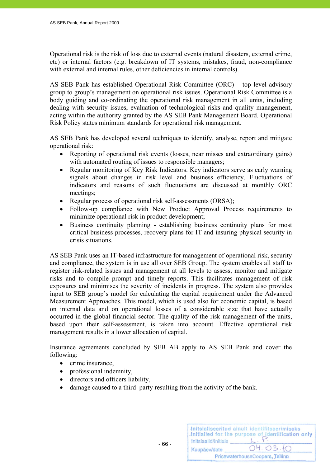Operational risk is the risk of loss due to external events (natural disasters, external crime, etc) or internal factors (e.g. breakdown of IT systems, mistakes, fraud, non-compliance with external and internal rules, other deficiencies in internal controls).

AS SEB Pank has established Operational Risk Committee (ORC) – top level advisory group to group's management on operational risk issues. Operational Risk Committee is a body guiding and co-ordinating the operational risk management in all units, including dealing with security issues, evaluation of technological risks and quality management, acting within the authority granted by the AS SEB Pank Management Board. Operational Risk Policy states minimum standards for operational risk management.

AS SEB Pank has developed several techniques to identify, analyse, report and mitigate operational risk:

- Reporting of operational risk events (losses, near misses and extraordinary gains) with automated routing of issues to responsible managers;
- Regular monitoring of Key Risk Indicators. Key indicators serve as early warning signals about changes in risk level and business efficiency. Fluctuations of indicators and reasons of such fluctuations are discussed at monthly ORC meetings;
- Regular process of operational risk self-assessments (ORSA);
- Follow-up compliance with New Product Approval Process requirements to minimize operational risk in product development;
- Business continuity planning establishing business continuity plans for most critical business processes, recovery plans for IT and insuring physical security in crisis situations.

AS SEB Pank uses an IT-based infrastructure for management of operational risk, security and compliance, the system is in use all over SEB Group. The system enables all staff to register risk-related issues and management at all levels to assess, monitor and mitigate risks and to compile prompt and timely reports. This facilitates management of risk exposures and minimises the severity of incidents in progress. The system also provides input to SEB group's model for calculating the capital requirement under the Advanced Measurement Approaches. This model, which is used also for economic capital, is based on internal data and on operational losses of a considerable size that have actually occurred in the global financial sector. The quality of the risk management of the units, based upon their self-assessment, is taken into account. Effective operational risk management results in a lower allocation of capital.

Insurance agreements concluded by SEB AB apply to AS SEB Pank and cover the following:

- crime insurance,
- professional indemnity,
- directors and officers liability.
- damage caused to a third party resulting from the activity of the bank.

|                      | Initsialiseeritud ainult identifitseerimiseks<br>.Initialled for the purpose of identification only |
|----------------------|-----------------------------------------------------------------------------------------------------|
| Initsiaalid/initials |                                                                                                     |
| Kuupäev/date         | 04.03.10                                                                                            |
|                      | PricewaterhouseCoopers, Tallinn                                                                     |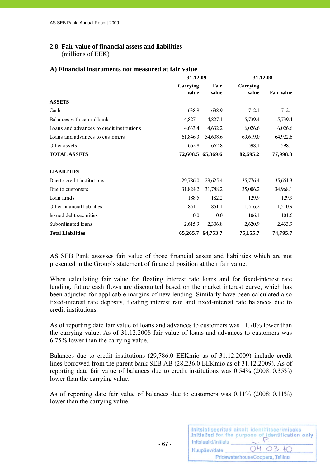# **2.8. Fair value of financial assets and liabilities**

(millions of EEK)

# **A) Financial instruments not measured at fair value**

|                                           | 31.12.09 |                   | 31.12.08 |                   |
|-------------------------------------------|----------|-------------------|----------|-------------------|
|                                           | Carrying | Fair              | Carrying |                   |
|                                           | value    | value             | value    | <b>Fair value</b> |
| <b>ASSETS</b>                             |          |                   |          |                   |
| Cash                                      | 638.9    | 638.9             | 712.1    | 712.1             |
| Balances with central bank                | 4,827.1  | 4,827.1           | 5,739.4  | 5,739.4           |
| Loans and advances to credit institutions | 4,633.4  | 4,632.2           | 6,026.6  | 6,026.6           |
| Loans and advances to customers           | 61,846.3 | 54,608.6          | 69,619.0 | 64,922.6          |
| Other assets                              | 662.8    | 662.8             | 598.1    | 598.1             |
| <b>TOTAL ASSETS</b>                       |          | 72,608.5 65,369.6 | 82,695.2 | 77,998.8          |
|                                           |          |                   |          |                   |
| <b>LIABILITIES</b>                        |          |                   |          |                   |
| Due to credit institutions                | 29,786.0 | 29,625.4          | 35,776.4 | 35,651.3          |
| Due to customers                          | 31,824.2 | 31,788.2          | 35,006.2 | 34,968.1          |
| Loan funds                                | 188.5    | 182.2             | 129.9    | 129.9             |
| Other financial liabilities               | 851.1    | 851.1             | 1,516.2  | 1,510.9           |
| Issued debt securities                    | $0.0\,$  | 0.0               | 106.1    | 101.6             |
| Subordinated loans                        | 2,615.9  | 2,306.8           | 2,620.9  | 2,433.9           |
| <b>Total Liabilities</b>                  |          | 65,265.7 64,753.7 | 75,155.7 | 74,795.7          |

AS SEB Pank assesses fair value of those financial assets and liabilities which are not presented in the Group's statement of financial position at their fair value.

When calculating fair value for floating interest rate loans and for fixed-interest rate lending, future cash flows are discounted based on the market interest curve, which has been adjusted for applicable margins of new lending. Similarly have been calculated also fixed-interest rate deposits, floating interest rate and fixed-interest rate balances due to credit institutions.

As of reporting date fair value of loans and advances to customers was 11.70% lower than the carrying value. As of 31.12.2008 fair value of loans and advances to customers was 6.75% lower than the carrying value.

Balances due to credit institutions (29,786.0 EEKmio as of 31.12.2009) include credit lines borrowed from the parent bank SEB AB (28,236.0 EEKmio as of 31.12.2009). As of reporting date fair value of balances due to credit institutions was 0.54% (2008: 0.35%) lower than the carrying value.

As of reporting date fair value of balances due to customers was 0.11% (2008: 0.11%) lower than the carrying value.

- 67 -

|                      | Initsialiseeritud ainult identifitseerimiseks<br>Initialled for the purpose of identification only |
|----------------------|----------------------------------------------------------------------------------------------------|
| Initsiaalid/initials |                                                                                                    |
| Kuupäev/date         | 04.03.10                                                                                           |
|                      | PricewaterhouseCoopers, Tallinn                                                                    |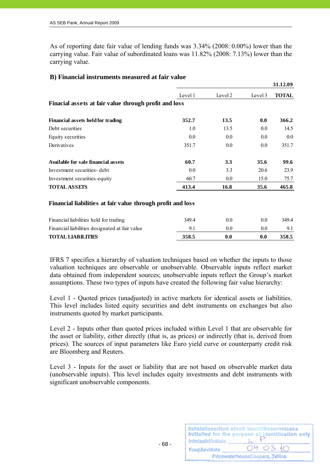As of reporting date fair value of lending funds was 3.34% (2008: 0.00%) lower than the carrying value. Fair value of subordinated loans was 11.82% (2008: 7.13%) lower than the carrying value.

|                                                       |         |         |         | 31.12.09     |
|-------------------------------------------------------|---------|---------|---------|--------------|
|                                                       | Level 1 | Level 2 | Level 3 | <b>TOTAL</b> |
| Finacial assets at fair value through profit and loss |         |         |         |              |
| <b>Financial assets held for trading</b>              | 352.7   | 13.5    | 0.0     | 366.2        |
| Debt securities                                       | 1.0     | 13.5    | 0.0     | 14.5         |
| Equity securities                                     | 0.0     | 0.0     | 0.0     | $0.0\,$      |
| Derivatives                                           | 351.7   | 0.0     | 0.0     | 351.7        |
| Available for sale financial assets                   | 60.7    | 3.3     | 35.6    | 99.6         |
| Investment securities - debt                          | 0.0     | 3.3     | 20.6    | 23.9         |
| Investment securities-equity                          | 60.7    | 0.0     | 15.0    | 75.7         |
| <b>TOTAL ASSETS</b>                                   | 413.4   | 16.8    | 35.6    | 465.8        |

# **B) Financial instruments measured at fair value**

#### **Financial liabilities at fair value through profit and loss**

| <b>TOTAL LIABILITIES</b>                       | 358.5 | 0.0 | 0.0 | 358.5 |
|------------------------------------------------|-------|-----|-----|-------|
| Financial liabilities designated at fair value |       |     | 0.0 |       |
| Financial liabilities held for trading         | 349.4 | 0.0 | 0.0 | 349.4 |

IFRS 7 specifies a hierarchy of valuation techniques based on whether the inputs to those valuation techniques are observable or unobservable. Observable inputs reflect market data obtained from independent sources; unobservable inputs reflect the Group's market assumptions. These two types of inputs have created the following fair value hierarchy:

Level 1 - Quoted prices (unadjusted) in active markets for identical assets or liabilities. This level includes listed equity securities and debt instruments on exchanges but also instruments quoted by market participants.

Level 2 - Inputs other than quoted prices included within Level 1 that are observable for the asset or liability, either directly (that is, as prices) or indirectly (that is, derived from prices). The sources of input parameters like Euro yield curve or counterparty credit risk are Bloomberg and Reuters.

Level 3 - Inputs for the asset or liability that are not based on observable market data (unobservable inputs). This level includes equity investments and debt instruments with significant unobservable components.

|                      | Initsialiseeritud ainult identifitseerimiseks<br>Initialled for the purpose of identification only |
|----------------------|----------------------------------------------------------------------------------------------------|
| Initsiaalid/initials |                                                                                                    |
| Kuupäev/date         | 04.03.10                                                                                           |
|                      | PricewaterhouseCoopers, Tallinn                                                                    |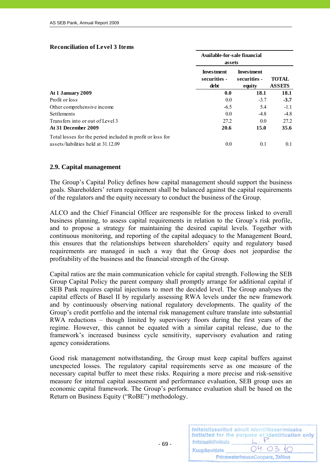| <b>Reconciliation of Level 3 Items</b> |  |  |
|----------------------------------------|--|--|
|----------------------------------------|--|--|

|                                                                                                   | Available-for-sale financial<br>assets    |                                             |                               |
|---------------------------------------------------------------------------------------------------|-------------------------------------------|---------------------------------------------|-------------------------------|
|                                                                                                   | <b>Investment</b><br>securities -<br>debt | <b>Investment</b><br>securities -<br>equity | <b>TOTAL</b><br><b>ASSETS</b> |
| At 1 January 2009                                                                                 | 0.0                                       | <b>18.1</b>                                 | 18.1                          |
| Profit or loss                                                                                    | 0.0                                       | $-3.7$                                      | $-3.7$                        |
| Other comprehensive income                                                                        | $-6.5$                                    | 5.4                                         | $-1.1$                        |
| <b>Settlements</b>                                                                                | 0.0                                       | $-4.8$                                      | $-4.8$                        |
| Transfers into or out of Level 3                                                                  | 27.2                                      | 0.0                                         | 27.2                          |
| At 31 December 2009                                                                               | 20.6                                      | 15.0                                        | 35.6                          |
| Total losses for the period included in profit or loss for<br>assets/liabilities held at 31.12.09 | 0.0                                       | 0.1                                         | 0.1                           |

#### **2.9. Capital management**

The Group's Capital Policy defines how capital management should support the business goals. Shareholders' return requirement shall be balanced against the capital requirements of the regulators and the equity necessary to conduct the business of the Group.

ALCO and the Chief Financial Officer are responsible for the process linked to overall business planning, to assess capital requirements in relation to the Group's risk profile, and to propose a strategy for maintaining the desired capital levels. Together with continuous monitoring, and reporting of the capital adequacy to the Management Board, this ensures that the relationships between shareholders' equity and regulatory based requirements are managed in such a way that the Group does not jeopardise the profitability of the business and the financial strength of the Group.

Capital ratios are the main communication vehicle for capital strength. Following the SEB Group Capital Policy the parent company shall promptly arrange for additional capital if SEB Pank requires capital injections to meet the decided level. The Group analyses the capital effects of Basel II by regularly assessing RWA levels under the new framework and by continuously observing national regulatory developments. The quality of the Group's credit portfolio and the internal risk management culture translate into substantial RWA reductions – though limited by supervisory floors during the first years of the regime. However, this cannot be equated with a similar capital release, due to the framework's increased business cycle sensitivity, supervisory evaluation and rating agency considerations.

Good risk management notwithstanding, the Group must keep capital buffers against unexpected losses. The regulatory capital requirements serve as one measure of the necessary capital buffer to meet these risks. Requiring a more precise and risk-sensitive measure for internal capital assessment and performance evaluation, SEB group uses an economic capital framework. The Group's performance evaluation shall be based on the Return on Business Equity ("RoBE") methodology.

 $- 69 -$ 

|                      | Initsialiseeritud ainult identifitseerimiseks<br>Initialled for the purpose of identification only |
|----------------------|----------------------------------------------------------------------------------------------------|
| Initsiaalid/initials |                                                                                                    |
| Kuupäev/date         | 04.03.10                                                                                           |
|                      | PricewaterhouseCoopers, Tallinn                                                                    |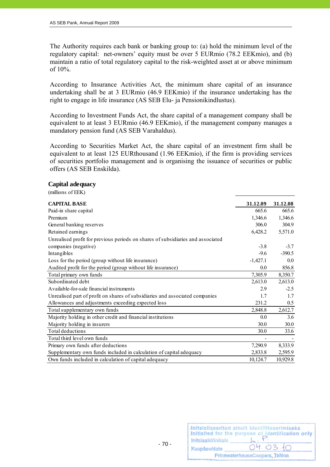The Authority requires each bank or banking group to: (a) hold the minimum level of the regulatory capital: net-owners' equity must be over 5 EURmio (78.2 EEKmio), and (b) maintain a ratio of total regulatory capital to the risk-weighted asset at or above minimum of 10%.

According to Insurance Activities Act, the minimum share capital of an insurance undertaking shall be at 3 EURmio (46.9 EEKmio) if the insurance undertaking has the right to engage in life insurance (AS SEB Elu- ja Pensionikindlustus).

According to Investment Funds Act, the share capital of a management company shall be equivalent to at least 3 EURmio (46.9 EEKmio), if the management company manages a mandatory pension fund (AS SEB Varahaldus).

According to Securities Market Act, the share capital of an investment firm shall be equivalent to at least 125 EURthousand (1.96 EEKmio), if the firm is providing services of securities portfolio management and is organising the issuance of securities or public offers (AS SEB Enskilda).

#### **Capital adequacy**

(millions of EEK)

| <b>CAPITAL BASE</b>                                                             | 31.12.09   | 31.12.08 |
|---------------------------------------------------------------------------------|------------|----------|
| Paid-in share capital                                                           | 665.6      | 665.6    |
| Premium                                                                         | 1,346.6    | 1,346.6  |
| General banking reserves                                                        | 306.0      | 304.9    |
| Retained earnings                                                               | 6,428.2    | 5,571.0  |
| Unrealised profit for previous periods on shares of subsidiaries and associated |            |          |
| companies (negative)                                                            | $-3.8$     | $-3.7$   |
| Intangibles                                                                     | $-9.6$     | $-390.5$ |
| Loss for the period (group without life insurance)                              | $-1,427.1$ | 0.0      |
| Audited profit for the period (group without life insurance)                    | 0.0        | 856.8    |
| Total primary own funds                                                         | 7,305.9    | 8,350.7  |
| Subordinated debt                                                               | 2,613.0    | 2,613.0  |
| Available-for-sale financial instruments                                        | 2.9        | $-2.5$   |
| Unrealised part of profit on shares of subsidiaries and associated companies    | 1.7        | 1.7      |
| Allowances and adjustments exceeding expected loss                              | 231.2      | 0.5      |
| Total supplementary own funds                                                   | 2,848.8    | 2,612.7  |
| Majority holding in other credit and financial institutions                     | 0.0        | 3.6      |
| Majority holding in insurers                                                    | 30.0       | 30.0     |
| Total deductions                                                                | 30.0       | 33.6     |
| Total third level own funds                                                     |            |          |
| Primary own funds after deductions                                              | 7,290.9    | 8,333.9  |
| Supplementary own funds included in calculation of capital adequacy             | 2,833.8    | 2,595.9  |
| Own funds included in calculation of capital adequacy                           | 10,124.7   | 10,929.8 |

|                      | Initsialiseeritud ainult identifitseerimiseks<br>Initialled for the purpose of identification only |
|----------------------|----------------------------------------------------------------------------------------------------|
| Initsiaalid/initials |                                                                                                    |
| Kuupäev/date         | 04.03.10                                                                                           |
|                      | PricewaterhouseCoopers, Tallinn                                                                    |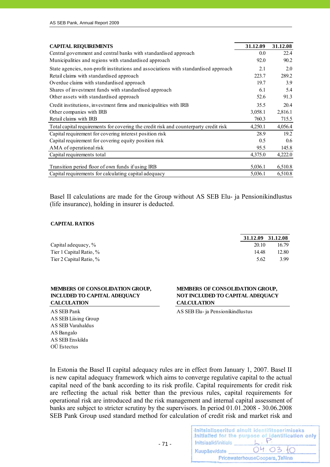| <b>CAPITAL REQUIREMENTS</b>                                                          | 31.12.09 | 31.12.08 |
|--------------------------------------------------------------------------------------|----------|----------|
| Central government and central banks with standardised approach                      | 0.0      | 22.4     |
| Municipalities and regions with standardised approach                                | 92.0     | 90.2     |
| State agencies, non-profit institutions and associations with standardised approach  | 2.1      | 2.0      |
| Retail claims with standardised approach                                             | 223.7    | 289.2    |
| Overdue claims with standardised approach                                            | 19.7     | 3.9      |
| Shares of investment funds with standardised approach                                | 6.1      | 5.4      |
| Other assets with standardised approach                                              | 52.6     | 91.3     |
| Credit institutions, investment firms and municipalities with IRB                    | 35.5     | 20.4     |
| Other companies with IRB                                                             | 3,058.1  | 2,816.1  |
| Retail claims with IRB                                                               | 760.3    | 715.5    |
| Total capital requirements for covering the credit risk and counterparty credit risk | 4,250.1  | 4,056.4  |
| Capital requirement for covering interest position risk                              | 28.9     | 19.2     |
| Capital requirement for covering equity position risk                                | 0.5      | 0.6      |
| AMA of operational risk                                                              | 95.5     | 145.8    |
| Capital requirements total                                                           | 4,375.0  | 4,222.0  |
| Transition period floor of own funds if using IRB                                    | 5,036.1  | 6,510.8  |
| Capital requirements for calculating capital adequacy                                | 5,036.1  | 6,510.8  |

Basel II calculations are made for the Group without AS SEB Elu- ja Pensionikindlustus (life insurance), holding in insurer is deducted.

#### **CAPITAL RATIOS**

|                         | 31.12.09 31.12.08 |       |
|-------------------------|-------------------|-------|
| Capital adequacy, %     | 20.10             | 16.79 |
| Tier 1 Capital Ratio, % | 14.48             | 12.80 |
| Tier 2 Capital Ratio, % | 5.62              | 3.99  |

#### **MEMBERS OF CONSOLIDATION GROUP, INCLUDED TO CAPITAL ADEQUACY CALCULATION**

AS SEB Liising Group AS SEB Varahaldus AS Bangalo AS SEB Enskilda OÜ Estectus

#### **MEMBERS OF CONSOLIDATION GROUP, NOT INCLUDED TO CAPITAL ADEQUACY CALCULATION**

AS SEB Pank AS SEB Elu- ja Pensionikindlustus

In Estonia the Basel II capital adequacy rules are in effect from January 1, 2007. Basel II is new capital adequacy framework which aims to converge regulative capital to the actual capital need of the bank according to its risk profile. Capital requirements for credit risk are reflecting the actual risk better than the previous rules, capital requirements for operational risk are introduced and the risk management and internal capital assessment of banks are subject to stricter scrutiny by the supervisors. In period 01.01.2008 - 30.06.2008 SEB Pank Group used standard method for calculation of credit risk and market risk and

|                      | Initsialiseeritud ainult identifitseerimiseks<br>Initialled for the purpose of identification only |
|----------------------|----------------------------------------------------------------------------------------------------|
| Initsiaalid/initials |                                                                                                    |
| Kuupäev/date         | 04.03.10                                                                                           |
|                      | PricewaterhouseCoopers, Tallinn                                                                    |

 $- 71 -$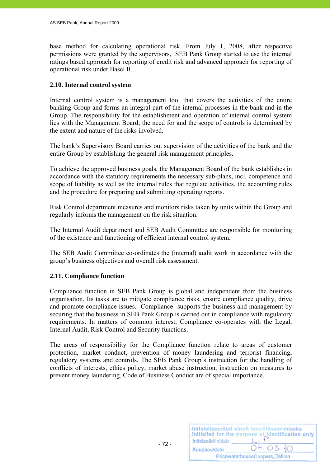base method for calculating operational risk. From July 1, 2008, after respective permissions were granted by the supervisors, SEB Pank Group started to use the internal ratings based approach for reporting of credit risk and advanced approach for reporting of operational risk under Basel II.

## **2.10. Internal control system**

Internal control system is a management tool that covers the activities of the entire banking Group and forms an integral part of the internal processes in the bank and in the Group. The responsibility for the establishment and operation of internal control system lies with the Management Board; the need for and the scope of controls is determined by the extent and nature of the risks involved.

The bank's Supervisory Board carries out supervision of the activities of the bank and the entire Group by establishing the general risk management principles.

To achieve the approved business goals, the Management Board of the bank establishes in accordance with the statutory requirements the necessary sub-plans, incl. competence and scope of liability as well as the internal rules that regulate activities, the accounting rules and the procedure for preparing and submitting operating reports.

Risk Control department measures and monitors risks taken by units within the Group and regularly informs the management on the risk situation.

The Internal Audit department and SEB Audit Committee are responsible for monitoring of the existence and functioning of efficient internal control system.

The SEB Audit Committee co-ordinates the (internal) audit work in accordance with the group's business objectives and overall risk assessment.

### **2.11. Compliance function**

Compliance function in SEB Pank Group is global and independent from the business organisation. Its tasks are to mitigate compliance risks, ensure compliance quality, drive and promote compliance issues. Compliance supports the business and management by securing that the business in SEB Pank Group is carried out in compliance with regulatory requirements. In matters of common interest, Compliance co-operates with the Legal, Internal Audit, Risk Control and Security functions.

The areas of responsibility for the Compliance function relate to areas of customer protection, market conduct, prevention of money laundering and terrorist financing, regulatory systems and controls. The SEB Pank Group's instruction for the handling of conflicts of interests, ethics policy, market abuse instruction, instruction on measures to prevent money laundering, Code of Business Conduct are of special importance.

| Initsiaalid/initials | Initsialiseeritud ainult identifitseerimiseks<br>Initialled for the purpose of identification only |
|----------------------|----------------------------------------------------------------------------------------------------|
| Kuupäev/date         | 04.03.10                                                                                           |
|                      | PricewaterhouseCoopers, Tallinn                                                                    |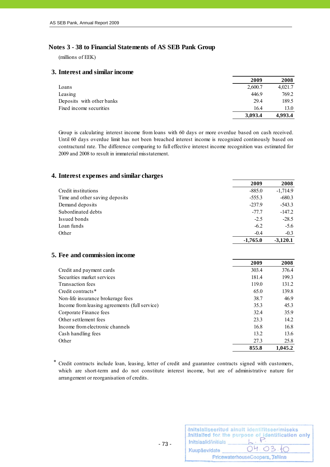### **Notes 3 - 38 to Financial Statements of AS SEB Pank Group**

(millions of EEK)

#### **3. Interest and similar income**

|                           | 2009    | 2008    |
|---------------------------|---------|---------|
| Loans                     | 2,600.7 | 4,021.7 |
| Leasing                   | 446.9   | 769.2   |
| Deposits with other banks | 29.4    | 189.5   |
| Fixed income securities   | 16.4    | 13.0    |
|                           | 3,093.4 | 4,993.4 |

Group is calculating interest income from loans with 60 days or more overdue based on cash received. Until 60 days overdue limit has not been breached interest income is recognized continously based on contractural rate. The difference comparing to full effective interest income recognition was estimated for 2009 and 2008 to result in immaterial misstatement.

#### **4. Interest expenses and similar charges**

|                                | 2009       | 2008       |
|--------------------------------|------------|------------|
| Credit institutions            | $-885.0$   | $-1,714.9$ |
| Time and other saving deposits | $-555.3$   | $-680.3$   |
| Demand deposits                | $-237.9$   | $-543.3$   |
| Subordinated debts             | $-77.7$    | $-147.2$   |
| Issued bonds                   | $-2.5$     | $-28.5$    |
| Loan funds                     | $-6.2$     | $-5.6$     |
| Other                          | $-0.4$     | $-0.3$     |
|                                | $-1,765.0$ | $-3.120.1$ |

#### **5. Fee and commission income**

|                                               | 2009  | 2008    |
|-----------------------------------------------|-------|---------|
| Credit and payment cards                      | 303.4 | 376.4   |
| Securities market services                    | 181.4 | 199.3   |
| Transaction fees                              | 119.0 | 131.2   |
| Credit contracts*                             | 65.0  | 139.8   |
| Non-life insurance brokerage fees             | 38.7  | 46.9    |
| Income from leasing agreements (full service) | 35.3  | 45.3    |
| Corporate Finance fees                        | 32.4  | 35.9    |
| Other settlement fees                         | 23.3  | 14.2    |
| Income from electronic channels               | 16.8  | 16.8    |
| Cash handling fees                            | 13.2  | 13.6    |
| Other                                         | 27.3  | 25.8    |
|                                               | 855.8 | 1.045.2 |

\* Credit contracts include loan, leasing, letter of credit and guarantee contracts signed with customers, which are short-term and do not constitute interest income, but are of administrative nature for arrangement or reorganisation of credits.

|                      | Initsialiseeritud ainult identifitseerimiseks<br>Initialled for the purpose of identification only |
|----------------------|----------------------------------------------------------------------------------------------------|
| Initsiaalid/initials |                                                                                                    |
| Kuupäev/date         | 04.03.10                                                                                           |
|                      | PricewaterhouseCoopers, Tallinn                                                                    |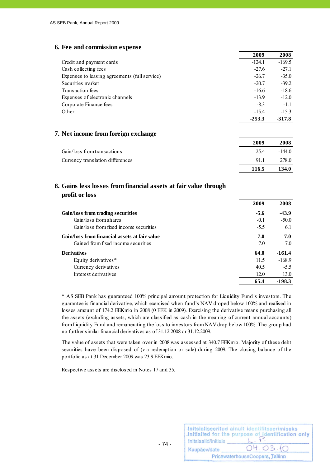### **6. Fee and commission expense**

|                                               | 2009     | 2008     |
|-----------------------------------------------|----------|----------|
| Credit and payment cards                      | $-124.1$ | $-169.5$ |
| Cash collecting fees                          | $-27.6$  | $-27.1$  |
| Expenses to leasing agreements (full service) | $-26.7$  | $-35.0$  |
| Securities market                             | $-20.7$  | $-39.2$  |
| Transaction fees                              | $-16.6$  | $-18.6$  |
| Expenses of electronic channels               | $-13.9$  | $-12.0$  |
| Corporate Finance fees                        | $-8.3$   | $-1.1$   |
| Other                                         | $-15.4$  | $-15.3$  |
|                                               | $-253.3$ | $-317.8$ |

### **7. Net income from foreign exchange**

|                                  | 2009  | 2008     |
|----------------------------------|-------|----------|
| Gain/loss from transactions      | 25.4  | $-144.0$ |
| Currency translation differences | 91.1  | 278.0    |
|                                  | 116.5 | 134.0    |

## **8. Gains less losses from financial assets at fair value through profit or loss**

|                                               | 2009   | 2008     |
|-----------------------------------------------|--------|----------|
| Gain/loss from trading securities             | $-5.6$ | $-43.9$  |
| Gain/loss from shares                         | $-0.1$ | $-50.0$  |
| Gain/loss from fixed income securities        | $-5.5$ | 6.1      |
| Gain/loss from financial assets at fair value | 7.0    | 7.0      |
| Gained from fixed income securities           | 7.0    | 7.0      |
| <b>Derivatives</b>                            | 64.0   | $-161.4$ |
| Equity derivatives*                           | 11.5   | $-168.9$ |
| Currency derivatives                          | 40.5   | $-5.5$   |
| Interest derivatives                          | 12.0   | 13.0     |
|                                               | 65.4   | $-198.3$ |

\* AS SEB Pank has guaranteed 100% principal amount protection for Liquidity Fund´s investors. The guarantee is financial derivative, which exercised when fund's NAV droped below 100% and realised in losses amount of 174.2 EEKmio in 2008 (0 EEK in 2009). Exercising the derivative means purchasing all the assets (excluding assets, which are classified as cash in the meaning of current annual accounts) from Liquidity Fund and remunerating the loss to investors from NAV drop below 100%. The group had no further similar financial derivatives as of 31.12.2008 or 31.12.2009.

The value of assets that were taken over in 2008 was assessed at 340.7 EEKmio. Majority of these debt securities have been disposed of (via redemption or sale) during 2009. The closing balance of the portfolio as at 31 December 2009 was 23.9 EEKmio.

Respective assets are disclosed in Notes 17 and 35.

|                      | Initsialiseeritud ainult identifitseerimiseks<br>Initialled for the purpose of identification only |
|----------------------|----------------------------------------------------------------------------------------------------|
| Initsiaalid/initials |                                                                                                    |
| Kuupäev/date         | 04.03.10                                                                                           |
|                      | PricewaterhouseCoopers, Tallinn                                                                    |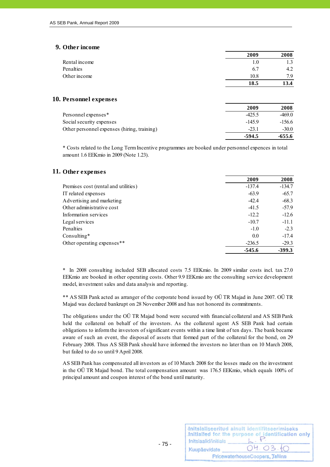### **9. Other income**

|               | 2009    | 2008 |
|---------------|---------|------|
| Rental income | $1.0\,$ |      |
| Penalties     | 6.7     | 4.2  |
| Other income  | 10.8    | 7 Q  |
|               | 18.5    | 13.4 |

#### **10. Personnel expenses**

|                                             | 2009     | 2008     |
|---------------------------------------------|----------|----------|
| Personnel expenses*                         | $-425.5$ | $-469.0$ |
| Social security expenses                    | $-145.9$ | $-156.6$ |
| Other personnel expenses (hiring, training) | $-23.1$  | $-30.0$  |
|                                             | $-594.5$ | -655.6   |

\* Costs related to the Long Term Incentive programmes are booked under personnel expences in total amount 1.6 EEKmio in 2009 (Note 1.23).

#### **11. Other expenses**

|                                      | 2009     | 2008     |
|--------------------------------------|----------|----------|
| Premises cost (rental and utilities) | $-137.4$ | $-134.7$ |
| IT related expenses                  | $-63.9$  | $-65.7$  |
| Advertising and marketing            | $-42.4$  | $-68.3$  |
| Other administrative cost            | $-41.5$  | $-57.9$  |
| Information services                 | $-12.2$  | $-12.6$  |
| Legal services                       | $-10.7$  | $-11.1$  |
| Penalties                            | $-1.0$   | $-2.3$   |
| Consulting $*$                       | 0.0      | $-17.4$  |
| Other operating expenses**           | $-236.5$ | $-29.3$  |
|                                      | $-545.6$ | $-399.3$ |

\* In 2008 consulting included SEB allocated costs 7.5 EEKmio. In 2009 similar costs incl. tax 27.0 EEKmio are booked in other operating costs. Other 9.9 EEKmio are the consulting service development model, investment sales and data analysis and reporting.

\*\* AS SEB Pank acted as arranger of the corporate bond issued by OÜ TR Majad in June 2007. OÜ TR Majad was declared bankrupt on 28 November 2008 and has not honored its commitments.

The obligations under the OÜ TR Majad bond were secured with financial collateral and AS SEB Pank held the collateral on behalf of the investors. As the collateral agent AS SEB Pank had certain obligations to inform the investors of significant events within a time limit of ten days. The bank became aware of such an event, the disposal of assets that formed part of the collateral for the bond, on 29 February 2008. Thus AS SEB Pank should have informed the investors no later than on 10 March 2008, but failed to do so until 9 April 2008.

AS SEB Pank has compensated all investors as of 10 March 2008 for the losses made on the investment in the OÜ TR Majad bond. The total compensation amount was 176.5 EEKmio, which equals 100% of principal amount and coupon interest of the bond until maturity.

| Initsiaalid/initials | Initsialiseeritud ainult identifitseerimiseks<br>Initialled for the purpose of identification only |
|----------------------|----------------------------------------------------------------------------------------------------|
| Kuupäev/date         | 04.03.10                                                                                           |
|                      | PricewaterhouseCoopers, Tallinn                                                                    |

 $- 75 -$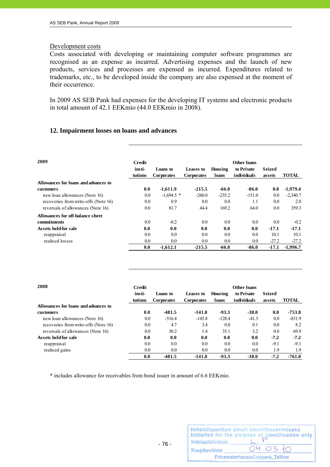### Development costs

Costs associated with developing or maintaining computer software programmes are recognised as an expense as incurred. Advertising expenses and the launch of new products, services and processes are expensed as incurred. Expenditures related to trademarks, etc., to be developed inside the company are also expensed at the moment of their occurrence.

In 2009 AS SEB Pank had expenses for the developing IT systems and electronic products in total amount of 42.1 EEKmio (44.0 EEKmio in 2008).

### **12. Impairment losses on loans and advances**

| 2009                                 | Credit<br>insti-<br>tutions | Loans to<br><b>Corporates</b> | Leases to<br><b>Corporates</b> | Housing<br>loans | Other loans<br>to Private<br><i>individuals</i> | Seized<br>assets | <b>TOTAL</b> |
|--------------------------------------|-----------------------------|-------------------------------|--------------------------------|------------------|-------------------------------------------------|------------------|--------------|
| Allowances for loans and advances to |                             |                               |                                |                  |                                                 |                  |              |
| customers                            | 0.0                         | $-1,611.9$                    | $-215.5$                       | -66.0            | -86.0                                           | 0.0              | $-1,979.4$   |
| new loan allowances (Note 16)        | 0.0                         | $-1,694.5$ *                  | $-260.0$                       | $-235.2$         | $-151.0$                                        | 0.0              | $-2,340.7$   |
| recoveries from write-offs (Note 16) | 0.0                         | 0.9                           | 0.0                            | 0.0              | 1.1                                             | 0.0              | 2.0          |
| reversals of allowances (Note 16)    | 0.0                         | 81.7                          | 44.4                           | 169.2            | 64.0                                            | 0.0              | 359.3        |
| Allowances for off-balance sheet     |                             |                               |                                |                  |                                                 |                  |              |
| commitments                          | 0.0                         | $-0.2$                        | 0.0                            | 0.0              | 0.0                                             | 0.0              | $-0.2$       |
| Assets held for sale                 | 0.0                         | 0.0                           | 0.0                            | 0.0              | 0.0                                             | $-17.1$          | $-17.1$      |
| reappraisal                          | 0.0                         | 0.0                           | 0.0                            | 0.0              | 0.0                                             | 10.1             | 10.1         |
| realised losses                      | 0.0                         | 0.0                           | 0.0                            | 0.0              | 0.0                                             | $-27.2$          | $-27.2$      |
|                                      | 0.0                         | $-1,612.1$                    | $-215.5$                       | $-66.0$          | -86.0                                           | $-17.1$          | $-1.996.7$   |

| 2008                                 | Credit  |                   |                   |          | Other loans |        |              |
|--------------------------------------|---------|-------------------|-------------------|----------|-------------|--------|--------------|
|                                      | insti-  | Loans to          | Leases to         | Housing  | to Private  | Seized |              |
|                                      | tutions | <b>Corporates</b> | <b>Corporates</b> | loans    | individuals | assets | <b>TOTAL</b> |
| Allowances for loans and advances to |         |                   |                   |          |             |        |              |
| customers                            | 0.0     | $-481.5$          | $-141.0$          | $-93.3$  | $-38.0$     | 0.0    | -753.8       |
| new loan allowances (Note 16)        | 0.0     | $-516.4$          | $-145.8$          | $-128.4$ | $-41.3$     | 0.0    | $-831.9$     |
| recoveries from write-offs (Note 16) | 0.0     | 4.7               | 3.4               | 0.0      | 0.1         | 0.0    | 8.2          |
| reversals of allowances (Note 16)    | 0.0     | 30.2              | 1.4               | 35.1     | 3.2         | 0.0    | 69.9         |
| Assets held for sale                 | 0.0     | 0.0               | 0.0               | 0.0      | 0.0         | $-7.2$ | $-7.2$       |
| reappraisal                          | 0.0     | 0.0               | 0.0               | 0.0      | 0.0         | $-9.1$ | $-9.1$       |
| realised gains                       | 0.0     | 0.0               | 0.0               | 0.0      | 0.0         | 1.9    | 1.9          |
|                                      | 0.0     | $-481.5$          | $-141.0$          | $-93.3$  | $-38.0$     | $-7.2$ | $-761.0$     |

\* includes allowance for receivables from bond issuer in amount of 6.6 EEKmio.

| Initsiaalid/initials | Initsialiseeritud ainult identifitseerimiseks<br>Initialled for the purpose of identification only |
|----------------------|----------------------------------------------------------------------------------------------------|
| Kuupäev/date         | 04.03.10                                                                                           |
|                      | PricewaterhouseCoopers, Tallinn                                                                    |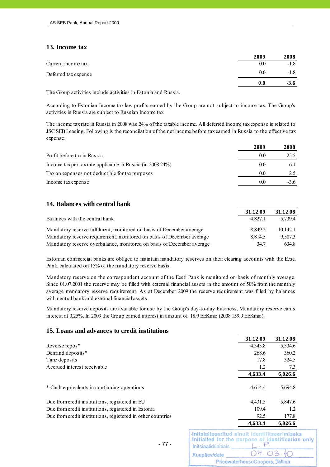### **13. Income tax**

|                      | 2009 | 2008   |
|----------------------|------|--------|
| Current income tax   | 0.0  | $-1.8$ |
| Deferred tax expense | 0.0  | $-1.8$ |
|                      | 0.0  | $-3.6$ |

The Group activities include activities in Estonia and Russia.

According to Estonian Income tax law profits earned by the Group are not subject to income tax. The Group's activities in Russia are subject to Russian Income tax.

The income tax rate in Russia in 2008 was 24% of the taxable income. All deferred income tax expense is related to JSC SEB Leasing. Following is the reconcilation of the net income before taxearned in Russia to the effective tax expense:

|                                                            | 2009 | 2008   |
|------------------------------------------------------------|------|--------|
| Profit before tax in Russia                                | 0.0  | 25.5   |
| Income tax per tax rate applicable in Russia (in 2008 24%) | 0.0  | $-6.1$ |
| Tax on expenses not deductible for tax purposes            | 0.0  |        |
| Income tax expense                                         | 0.0  | $-3.6$ |

### **14. Balances with central bank**

|                                                                       | 31.12.09 | 31.12.08 |
|-----------------------------------------------------------------------|----------|----------|
| Balances with the central bank                                        | 4.827.1  | 5.739.4  |
| Mandatory reserve fulfilment, monitored on basis of December average  | 8.849.2  | 10.142.1 |
| Mandatory reserve requirement, monitored on basis of December average | 8.814.5  | 9.507.3  |
| Mandatory reserve overbalance, monitored on basis of December average | 34.7     | 634.8    |

Estonian commercial banks are obliged to maintain mandatory reserves on their clearing accounts with the Eesti Pank, calculated on 15% of the mandatory reserve basis.

Mandatory reserve on the correspondent account of the Eesti Pank is monitored on basis of monthly average. Since 01.07.2001 the reserve may be filled with external financial assets in the amount of 50% from the monthly average mandatory reserve requirement. As at December 2009 the reserve requirement was filled by balances with central bank and external financial assets.

Mandatory reserve deposits are available for use by the Group's day-to-day business. Mandatory reserve earns interest at 0,25%. In 2009 the Group earned interest in amount of 18.9 EEKmio (2008 159.9 EEKmio).

### **15. Loans and advances to credit institutions**

|                                                             | 31.12.09 | 31.12.08 |
|-------------------------------------------------------------|----------|----------|
| Reverse repos <sup>*</sup>                                  | 4,345.8  | 5,334.6  |
| Demand deposits*                                            | 268.6    | 360.2    |
| Time deposits                                               | 17.8     | 324.5    |
| Accrued interest receivable                                 | 1.2      | 7.3      |
|                                                             | 4,633.4  | 6,026.6  |
| * Cash equivalents in continuing operations                 | 4.614.4  | 5,694.8  |
| Due from credit institutions, registered in EU              | 4.431.5  | 5,847.6  |
| Due from credit institutions, registered in Estonia         | 109.4    | 1.2      |
| Due from credit institutions, registered in other countries | 92.5     | 177.8    |
|                                                             | 4.633.4  | 6,026.6  |

| Initsiaalid/initials | Initsialiseeritud ainult identifitseerimiseks<br>Initialled for the purpose of identification only |
|----------------------|----------------------------------------------------------------------------------------------------|
| Kuupäev/date         | 04.03.10                                                                                           |
|                      | PricewaterhouseCoopers, Tallinn                                                                    |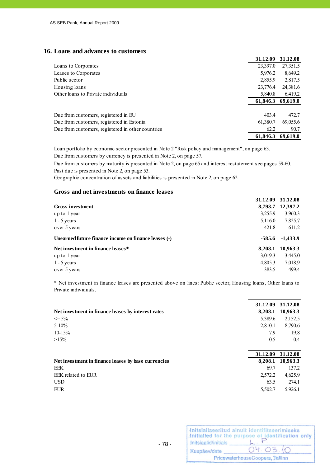### **16. Loans and advances to customers**

|                                                   | 31.12.09 | 31.12.08 |
|---------------------------------------------------|----------|----------|
| Loans to Corporates                               | 23,397.0 | 27,351.5 |
| Leases to Corporates                              | 5,976.2  | 8,649.2  |
| Public sector                                     | 2,855.9  | 2,817.5  |
| Housing loans                                     | 23,776.4 | 24,381.6 |
| Other loans to Private individuals                | 5,840.8  | 6,419.2  |
|                                                   | 61,846.3 | 69,619.0 |
| Due from customers, registered in EU              | 403.4    | 472.7    |
| Due from customers, registered in Estonia         | 61,380.7 | 69,055.6 |
| Due from customers, registered in other countries | 62.2     | 90.7     |
|                                                   | 61.846.3 | 69,619.0 |

Due from customers by currency is presented in Note 2, on page 57. Loan portfolio by economic sector presented in Note 2 "Risk policy and management", on page 63.

Past due is presented in Note 2, on page 53. Due from customers by maturity is presented in Note 2, on page 65 and interest restatement see pages 59-60.

Geographic concentration of assets and liabilities is presented in Note 2, on page 62.

### **Gross and net investments on finance leases**

|                                                      | 31.12.09 | 31.12.08   |
|------------------------------------------------------|----------|------------|
| Gross investment                                     | 8,793.7  | 12,397.2   |
| up to 1 year                                         | 3,255.9  | 3,960.3    |
| $1 - 5$ years                                        | 5,116.0  | 7,825.7    |
| over 5 years                                         | 421.8    | 611.2      |
| Unearned future finance income on finance leases (-) | $-585.6$ | $-1,433.9$ |
| Net investment in finance leases*                    | 8,208.1  | 10,963.3   |
|                                                      |          |            |
| up to 1 year                                         | 3,019.3  | 3,445.0    |
| $1 - 5$ years                                        | 4,805.3  | 7,018.9    |

\* Net investment in finance leases are presented above on lines: Public sector, Housing loans, Other loans to Private individuals.

|                                                     | 31.12.09 | 31.12.08         |
|-----------------------------------------------------|----------|------------------|
| Net investment in finance leases by interest rates  |          | 8,208.1 10,963.3 |
| $\leq$ 5%                                           | 5,389.6  | 2,152.5          |
| $5 - 10\%$                                          | 2,810.1  | 8,790.6          |
| $10-15%$                                            | 7.9      | 19.8             |
| $>15\%$                                             | 0.5      | 0.4              |
|                                                     |          |                  |
|                                                     | 31.12.09 | 31.12.08         |
| Net investment in finance leases by base currencies |          | 8,208.1 10,963.3 |
| <b>EEK</b>                                          | 69.7     | 137.2            |
| EEK related to EUR                                  | 2,572.2  | 4,625.9          |
| <b>USD</b>                                          | 63.5     | 274.1            |

| Initsiaalid/initials | Initsialiseeritud ainult identifitseerimiseks<br>Initialled for the purpose of identification only |
|----------------------|----------------------------------------------------------------------------------------------------|
| Kuupäev/date         | 04.03.10                                                                                           |
|                      | PricewaterhouseCoopers, Tallinn                                                                    |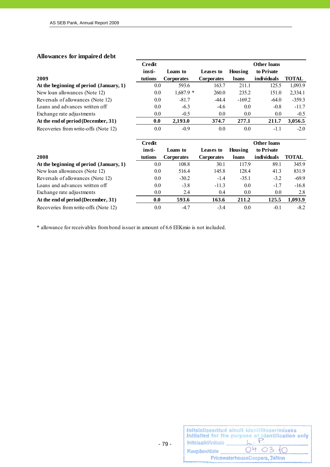# **Allowances for impaired debt**

|                                         | <b>Credit</b> |                   |                   |          | <b>Other loans</b> |              |
|-----------------------------------------|---------------|-------------------|-------------------|----------|--------------------|--------------|
|                                         | insti-        | Loans to          | Leases to         | Housing  | to Private         |              |
| 2009                                    | tutions       | <b>Corporates</b> | <b>Corporates</b> | loans    | individuals        | <b>TOTAL</b> |
| At the beginning of period (January, 1) | $0.0\,$       | 593.6             | 163.7             | 211.1    | 125.5              | 1,093.9      |
| New loan allowances (Note 12)           | 0.0           | $1,687.9*$        | 260.0             | 235.2    | 151.0              | 2,334.1      |
| Reversals of allowances (Note 12)       | 0.0           | $-81.7$           | $-44.4$           | $-169.2$ | $-64.0$            | $-359.3$     |
| Loans and advances written off          | 0.0           | $-6.3$            | $-4.6$            | 0.0      | $-0.8$             | $-11.7$      |
| Exchange rate adjustments               | 0.0           | $-0.5$            | 0.0               | 0.0      | 0.0                | $-0.5$       |
| At the end of period (December, 31)     | 0.0           | 2,193.0           | 374.7             | 277.1    | 211.7              | 3,056.5      |
| Recoveries from write-offs (Note 12)    | 0.0           | $-0.9$            | 0.0               | 0.0      | $-1.1$             | $-2.0$       |
|                                         | Credit        |                   |                   |          | <b>Other loans</b> |              |

|                                         | 32 V.H.L |                   |                   |         | уликі інші  |         |
|-----------------------------------------|----------|-------------------|-------------------|---------|-------------|---------|
|                                         | insti-   | Loans to          | Leases to         | Housing | to Private  |         |
| 2008                                    | tutions  | <b>Corporates</b> | <b>Corporates</b> | loans   | individuals | TOTAL   |
| At the beginning of period (January, 1) | 0.0      | 108.8             | 30.1              | 117.9   | 89.1        | 345.9   |
| New loan allowances (Note 12)           | 0.0      | 516.4             | 145.8             | 128.4   | 41.3        | 831.9   |
| Reversals of allowances (Note 12)       | 0.0      | $-30.2$           | $-1.4$            | $-35.1$ | $-3.2$      | $-69.9$ |
| Loans and advances written off          | 0.0      | $-3.8$            | $-11.3$           | 0.0     | $-1.7$      | $-16.8$ |
| Exchange rate adjustments               | 0.0      | 2.4               | 0.4               | 0.0     | 0.0         | 2.8     |
| At the end of period (December, 31)     | 0.0      | 593.6             | 163.6             | 211.2   | 125.5       | 1,093.9 |
| Recoveries from write-offs (Note 12)    | 0.0      | $-4.7$            | $-3.4$            | 0.0     | $-0.1$      | $-8.2$  |

\* allowance for receivables from bond issuer in amount of 6.6 EEKmio is not included.

|                      | Initsialiseeritud ainult identifitseerimiseks<br>Initialled for the purpose of identification only |
|----------------------|----------------------------------------------------------------------------------------------------|
| Initsiaalid/initials |                                                                                                    |
| Kuupäev/date         | 04.03.10                                                                                           |
|                      | PricewaterhouseCoopers, Tallinn                                                                    |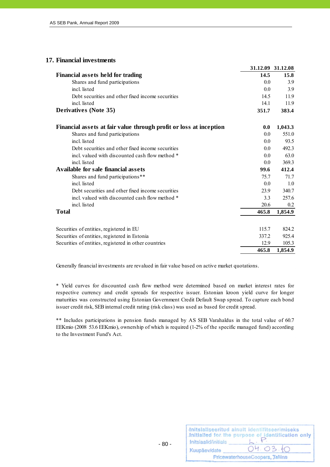### **17. Financial investments**

|                                                                    |       | 31.12.09 31.12.08 |
|--------------------------------------------------------------------|-------|-------------------|
| <b>Financial assets held for trading</b>                           | 14.5  | 15.8              |
| Shares and fund participations                                     | 0.0   | 3.9               |
| incl. listed                                                       | 0.0   | 3.9               |
| Debt securities and other fixed income securities                  | 14.5  | 11.9              |
| incl. listed                                                       | 14.1  | 11.9              |
| <b>Derivatives (Note 35)</b>                                       | 351.7 | 383.4             |
| Financial assets at fair value through profit or loss at inception | 0.0   | 1,043.3           |
| Shares and fund participations                                     | 0.0   | 551.0             |
| incl. listed                                                       | 0.0   | 93.5              |
| Debt securities and other fixed income securities                  | 0.0   | 492.3             |
| incl. valued with discounted cash flow method *                    | 0.0   | 63.0              |
| incl. listed                                                       | 0.0   | 369.3             |
| Available for sale financial assets                                | 99.6  | 412.4             |
| Shares and fund participations**                                   | 75.7  | 71.7              |
| incl. listed                                                       | 0.0   | 1.0               |
| Debt securities and other fixed income securities                  | 23.9  | 340.7             |
| incl. valued with discounted cash flow method *                    | 3.3   | 257.6             |
| incl. listed                                                       | 20.6  | 0.2               |
| <b>Total</b>                                                       | 465.8 | 1,854.9           |
|                                                                    |       |                   |
| Securities of entities, registered in EU                           | 115.7 | 824.2             |
| Securities of entities, registered in Estonia                      | 337.2 | 925.4             |
| Securities of entities, registered in other countries              | 12.9  | 105.3             |
|                                                                    | 465.8 | 1,854.9           |

Generally financial investments are revalued in fair value based on active market quotations.

\* Yield curves for discounted cash flow method were determined based on market interest rates for respective currency and credit spreads for respective issuer. Estonian kroon yield curve for longer maturities was constructed using Estonian Government Credit Default Swap spread. To capture each bond issuer credit risk, SEB internal credit rating (risk class) was used as based for credit spread.

\*\* Includes participations in pension funds managed by AS SEB Varahaldus in the total value of 60.7 EEKmio (2008 53.6 EEKmio), ownership of which is required (1-2% of the specific managed fund) according to the Investment Fund's Act.

|                      | Initsialiseeritud ainult identifitseerimiseks<br>Initialled for the purpose of identification only |
|----------------------|----------------------------------------------------------------------------------------------------|
| Initsiaalid/initials |                                                                                                    |
| Kuupäev/date         | 04.03.10                                                                                           |
|                      | PricewaterhouseCoopers, Tallinn                                                                    |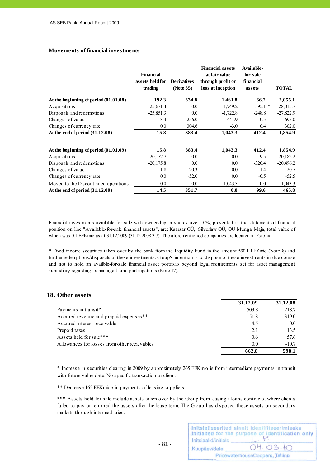#### **Movements of financial investments**

|                                         | <b>Financial</b><br>assets held for<br>trading | <b>Derivatives</b><br>(Note 35) | <b>Financial assets</b><br>at fair value<br>through profit or<br>loss at inception | Available-<br>for-sale<br>financial<br>assets | <b>TOTAL</b> |
|-----------------------------------------|------------------------------------------------|---------------------------------|------------------------------------------------------------------------------------|-----------------------------------------------|--------------|
| At the beginning of period $(01.01.08)$ | 192.3                                          | 334.8                           | 1,461.8                                                                            | 66.2                                          | 2,055.1      |
| Acquisitions                            | 25,671.4                                       | 0.0                             | 1,749.2                                                                            | $595.1*$                                      | 28,015.7     |
| Disposals and redemptions               | $-25,851.3$                                    | 0.0                             | $-1,722.8$                                                                         | $-248.8$                                      | $-27,822.9$  |
| Changes of value                        | 3.4                                            | $-256.0$                        | $-441.9$                                                                           | $-0.5$                                        | $-695.0$     |
| Changes of currency rate                | 0.0                                            | 304.6                           | $-3.0$                                                                             | 0.4                                           | 302.0        |
| At the end of period $(31.12.08)$       | 15.8                                           | 383.4                           | 1,043.3                                                                            | 412.4                                         | 1,854.9      |
| At the beginning of period $(01.01.09)$ | 15.8                                           | 383.4                           | 1,043.3                                                                            | 412.4                                         | 1,854.9      |
| Acquisitions                            | 20,172.7                                       | 0.0                             | 0.0                                                                                | 9.5                                           | 20,182.2     |
| Disposals and redemptions               | $-20,175.8$                                    | 0.0                             | 0.0                                                                                | $-320.4$                                      | $-20,496.2$  |
| Changes of value                        | 1.8                                            | 20.3                            | 0.0                                                                                | $-1.4$                                        | 20.7         |
| Changes of currency rate                | 0.0                                            | $-52.0$                         | 0.0                                                                                | $-0.5$                                        | $-52.5$      |
| Moved to the Discontinued operations    | $0.0\,$                                        | $0.0\,$                         | $-1,043.3$                                                                         | $0.0\,$                                       | $-1,043.3$   |
| At the end of period $(31.12.09)$       | 14.5                                           | 351.7                           | 0.0                                                                                | 99.6                                          | 465.8        |

Financial investments available for sale with ownership in shares over 10%, presented in the statement of financial position on line "Available-for-sale financial assets", are: Kaarsar OÜ, Silverlaw OÜ, OÜ Munga Maja, total value of which was 0.1 EEKmio as at 31.12.2009 (31.12.2008 3.7). The aforementioned companies are located in Estonia.

\* Fixed income securities taken over by the bank from the Liquidity Fund in the amount 590.1 EEKmio (Note 8) and further redemptions/disposals of these investments. Group's intention is to dispose of these investments in due course and not to hold an availble-for-sale financial asset portfolio beyond legal requirements set for asset management subsidiary regarding its managed fund participations (Note 17).

### **18. Other assets**

|                                              | 31.12.09 | 31.12.08 |
|----------------------------------------------|----------|----------|
| Payments in transit <sup>*</sup>             | 503.8    | 218.7    |
| Accured revenue and prepaid expenses**       | 151.8    | 319.0    |
| Accrued interest receivable                  | 4.5      | $0.0\,$  |
| Prepaid taxes                                | 2.1      | 13.5     |
| Assets held for sale***                      | 0.6      | 57.6     |
| Allowances for losses from other recievables | 0.0      | $-10.7$  |
|                                              | 662.8    | 598.1    |

\* Increase in securities clearing in 2009 by approximately 265 EEKmio is from intermediate payments in transit with future value date. No specific transaction or client.

\*\* Decrease 162 EEKmiop in payments of leasing suppliers.

 $- 81 -$ 

\*\*\* Assets held for sale include assets taken over by the Group from leasing / loans contracts, where clients failed to pay or returned the assets after the lease term. The Group has disposed these assets on secondary markets through intermediaries.

| Initsiaalid/initials | Initsialiseeritud ainult identifitseerimiseks<br>Initialled for the purpose of identification only |
|----------------------|----------------------------------------------------------------------------------------------------|
| Kuupäev/date         | 04.03.10                                                                                           |
|                      | PricewaterhouseCoopers, Tallinn                                                                    |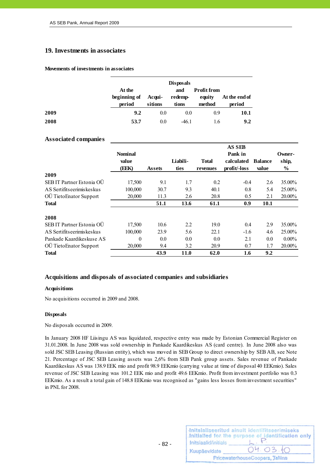#### **19. Investments in associates**

#### **Movements of investments in associates**

|      | At the<br>beginning of<br>period | Acqui-<br>sitions | <b>Disposals</b><br>and<br>redemp-<br>tions | <b>Profit from</b><br>equity<br>method | At the end of<br>period |
|------|----------------------------------|-------------------|---------------------------------------------|----------------------------------------|-------------------------|
| 2009 | 9.2                              | 0.0               | 0.0                                         | 0.9                                    | <b>10.1</b>             |
| 2008 | 53.7                             | 0.0               | $-46.1$                                     | 1.6                                    | 9.2                     |

#### **Associated companies**

|                              |                |               |          |              | <b>AS SEB</b> |                |          |
|------------------------------|----------------|---------------|----------|--------------|---------------|----------------|----------|
|                              | <b>Nominal</b> |               |          |              | Pank in       |                | Owner-   |
|                              | value          |               | Liabili- | <b>Total</b> | calculated    | <b>Balance</b> | ship,    |
|                              | (EEK)          | <b>Assets</b> | ties     | revenues     | profit/-loss  | value          | $\%$     |
| 2009                         |                |               |          |              |               |                |          |
| SEB IT Partner Estonia OÜ    | 17,500         | 9.1           | 1.7      | 0.2          | $-0.4$        | 2.6            | 35.00%   |
| AS Sertifits eerimis kes kus | 100,000        | 30.7          | 9.3      | 40.1         | 0.8           | 5.4            | 25.00%   |
| OÜ TietoEnator Support       | 20,000         | 11.3          | 2.6      | 20.8         | 0.5           | 2.1            | 20.00%   |
| <b>Total</b>                 |                | 51.1          | 13.6     | 61.1         | 0.9           | 10.1           |          |
| 2008                         |                |               |          |              |               |                |          |
| SEB IT Partner Estonia OÜ    | 17,500         | 10.6          | 2.2      | 19.0         | 0.4           | 2.9            | 35.00%   |
| AS Sertifits eerimis kes kus | 100,000        | 23.9          | 5.6      | 22.1         | $-1.6$        | 4.6            | 25.00%   |
| Pankade Kaardikeskuse AS     | $\theta$       | 0.0           | 0.0      | 0.0          | 2.1           | 0.0            | $0.00\%$ |
| OÜ TietoEnator Support       | 20,000         | 9.4           | 3.2      | 20.9         | 0.7           | 1.7            | 20.00%   |
| <b>Total</b>                 |                | 43.9          | 11.0     | 62.0         | 1.6           | 9.2            |          |

#### **Acquisitions and disposals of associated companies and subsidiaries**

#### **Acquisitions**

No acquisitions occurred in 2009 and 2008.

#### **Disposals**

No disposals occurred in 2009.

In January 2008 HF Liisingu AS was liquidated, respective entry was made by Estonian Commercial Register on 31.01.2008. In June 2008 was sold ownership in Pankade Kaardikeskus AS (card centre). In June 2008 also was sold JSC SEB Leasing (Russian entity), which was moved in SEB Group to direct ownership by SEB AB, see Note 21. Percentage of JSC SEB Leasing assets was 2,6% from SEB Pank group assets. Sales revenue of Pankade Kaardikeskus AS was 138.9 EEK mio and profit 98.9 EEKmio (carrying value at time of disposal 40 EEKmio). Sales revenue of JSC SEB Leasing was 101.2 EEK mio and profit 49.6 EEKmio. Profit from investment portfolio was 0.3 EEKmio. As a result a total gain of 148.8 EEKmio was recognised as "gains less losses from investment securities" in PNL for 2008.

|                      | Initsialiseeritud ainult identifitseerimiseks<br>Initialled for the purpose of identification only |
|----------------------|----------------------------------------------------------------------------------------------------|
| Initsiaalid/initials |                                                                                                    |
| Kuupäev/date         | 04.03.10                                                                                           |
|                      | PricewaterhouseCoopers, Tallinn                                                                    |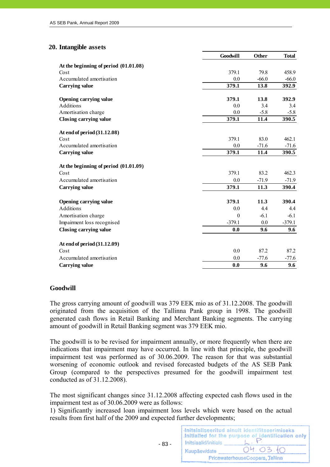### **20. Intangible assets**

|                                         | <b>Goodwill</b> | <b>Other</b> | <b>Total</b> |
|-----------------------------------------|-----------------|--------------|--------------|
| At the beginning of period $(01.01.08)$ |                 |              |              |
| Cost                                    | 379.1           | 79.8         | 458.9        |
| Accumulated amortisation                | 0.0             | $-66.0$      | $-66.0$      |
| <b>Carrying value</b>                   | 379.1           | 13.8         | 392.9        |
| Opening carrying value                  | 379.1           | 13.8         | 392.9        |
| Additions                               | 0.0             | 3.4          | 3.4          |
| Amortisation charge                     | 0.0             | $-5.8$       | $-5.8$       |
| Closing carrying value                  | 379.1           | 11.4         | 390.5        |
| At end of period (31.12.08)             |                 |              |              |
| Cost                                    | 379.1           | 83.0         | 462.1        |
| Accumulated amortisation                | 0.0             | $-71.6$      | $-71.6$      |
| <b>Carrying value</b>                   | 379.1           | 11.4         | 390.5        |
| At the beginning of period $(01.01.09)$ |                 |              |              |
| Cost                                    | 379.1           | 83.2         | 462.3        |
| Accumulated amortisation                | 0.0             | $-71.9$      | $-71.9$      |
| Carrying value                          | 379.1           | 11.3         | 390.4        |
| Opening carrying value                  | 379.1           | 11.3         | 390.4        |
| <b>Additions</b>                        | 0.0             | 4.4          | 4.4          |
| Amortisation charge                     | $\theta$        | $-6.1$       | $-6.1$       |
| Impairment loss recognised              | $-379.1$        | 0.0          | $-379.1$     |
| Closing carrying value                  | 0.0             | 9.6          | 9.6          |
| At end of period (31.12.09)             |                 |              |              |
| Cost                                    | 0.0             | 87.2         | 87.2         |
| Accumulated amortisation                | 0.0             | $-77.6$      | $-77.6$      |
| <b>Carrying value</b>                   | 0.0             | 9.6          | 9.6          |

### **Goodwill**

The gross carrying amount of goodwill was 379 EEK mio as of 31.12.2008. The goodwill originated from the acquisition of the Tallinna Pank group in 1998. The goodwill generated cash flows in Retail Banking and Merchant Banking segments. The carrying amount of goodwill in Retail Banking segment was 379 EEK mio.

The goodwill is to be revised for impairment annually, or more frequently when there are indications that impairment may have occurred. In line with that principle, the goodwill impairment test was performed as of 30.06.2009. The reason for that was substantial worsening of economic outlook and revised forecasted budgets of the AS SEB Pank Group (compared to the perspectives presumed for the goodwill impairment test conducted as of 31.12.2008).

The most significant changes since 31.12.2008 affecting expected cash flows used in the impairment test as of 30.06.2009 were as follows:

1) Significantly increased loan impairment loss levels which were based on the actual results from first half of the 2009 and expected further developments;

Initsialiseeritud ainult identifitseerimiseks Initialled for the purpose of identification only Initsiaalid/initials  $- 83 -$ 04.03 Kuupäev/date PricewaterhouseCoopers, Tallinn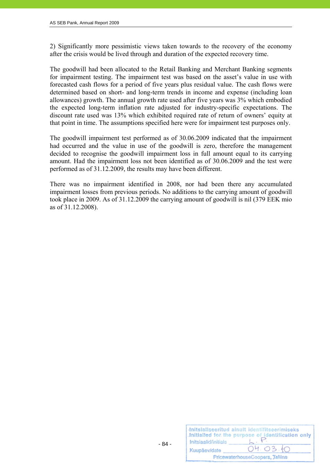2) Significantly more pessimistic views taken towards to the recovery of the economy after the crisis would be lived through and duration of the expected recovery time.

The goodwill had been allocated to the Retail Banking and Merchant Banking segments for impairment testing. The impairment test was based on the asset's value in use with forecasted cash flows for a period of five years plus residual value. The cash flows were determined based on short- and long-term trends in income and expense (including loan allowances) growth. The annual growth rate used after five years was 3% which embodied the expected long-term inflation rate adjusted for industry-specific expectations. The discount rate used was 13% which exhibited required rate of return of owners' equity at that point in time. The assumptions specified here were for impairment test purposes only.

The goodwill impairment test performed as of 30.06.2009 indicated that the impairment had occurred and the value in use of the goodwill is zero, therefore the management decided to recognise the goodwill impairment loss in full amount equal to its carrying amount. Had the impairment loss not been identified as of 30.06.2009 and the test were performed as of 31.12.2009, the results may have been different.

There was no impairment identified in 2008, nor had been there any accumulated impairment losses from previous periods. No additions to the carrying amount of goodwill took place in 2009. As of 31.12.2009 the carrying amount of goodwill is nil (379 EEK mio as of 31.12.2008).

| Initsiaalid/initials | Initsialiseeritud ainult identifitseerimiseks<br>Initialled for the purpose of identification only |
|----------------------|----------------------------------------------------------------------------------------------------|
| Kuupäev/date         | 04.03.10                                                                                           |
|                      | PricewaterhouseCoopers, Tallinn                                                                    |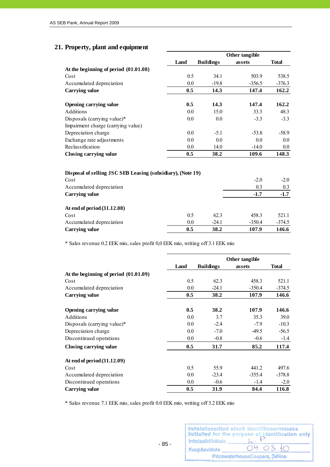# **21. Property, plant and equipment**

|                                                             |      |                  | Other tangible |              |
|-------------------------------------------------------------|------|------------------|----------------|--------------|
|                                                             | Land | <b>Buildings</b> | assets         | <b>Total</b> |
| At the beginning of period $(01.01.08)$                     |      |                  |                |              |
| Cost                                                        | 0.5  | 34.1             | 503.9          | 538.5        |
| Accumulated depreciation                                    | 0.0  | $-19.8$          | $-356.5$       | $-376.3$     |
| Carrying value                                              | 0.5  | 14.3             | 147.4          | 162.2        |
| Opening carrying value                                      | 0.5  | 14.3             | 147.4          | 162.2        |
| Additions                                                   | 0.0  | 15.0             | 33.3           | 48.3         |
| Disposals (carrying value)*                                 | 0.0  | 0.0              | $-3.3$         | $-3.3$       |
| Impairment charge (carrying value)                          |      |                  |                |              |
| Depreciation charge                                         | 0.0  | $-5.1$           | $-53.8$        | $-58.9$      |
| Exchange rate adjustments                                   | 0.0  | 0.0              | 0.0            | $0.0\,$      |
| Reclassification                                            | 0.0  | 14.0             | $-14.0$        | $0.0\,$      |
| Closing carrying value                                      | 0.5  | 38.2             | 109.6          | 148.3        |
|                                                             |      |                  |                |              |
| Disposal of selling JSC SEB Leasing (subsidiary), (Note 19) |      |                  |                |              |
| Cost                                                        |      |                  | $-2.0$         | $-2.0$       |
|                                                             |      |                  |                |              |
| Accumulated depreciation                                    |      |                  | 0.3            | 0.3          |

| Carrying value                | 0.5 | 38.2    | 107.9   | 146.6    |
|-------------------------------|-----|---------|---------|----------|
| Accumulated depreciation      | 0.0 | $-24.1$ | $-3504$ | $-374.5$ |
| Cost                          |     | 62.3    | 458.3   | 521.1    |
| At end of $per100 (31.12.00)$ |     |         |         |          |

\* Sales revenue 0.2 EEK mio, sales profit 0,0 EEK mio, writing off 3.1 EEK mio

|                                         |      |                  | Other tangible |              |
|-----------------------------------------|------|------------------|----------------|--------------|
|                                         | Land | <b>Buildings</b> | assets         | <b>Total</b> |
| At the beginning of period $(01.01.09)$ |      |                  |                |              |
| Cost                                    | 0.5  | 62.3             | 458.3          | 521.1        |
| Accumulated depreciation                | 0.0  | $-24.1$          | $-350.4$       | $-374.5$     |
| Carrying value                          | 0.5  | 38.2             | 107.9          | 146.6        |
| Opening carrying value                  | 0.5  | 38.2             | 107.9          | 146.6        |
| Additions                               | 0.0  | 3.7              | 35.3           | 39.0         |
| Disposals (carrying value)*             | 0.0  | $-2.4$           | $-7.9$         | $-10.3$      |
| Depreciation charge                     | 0.0  | $-7.0$           | $-49.5$        | $-56.5$      |
| Discontinued operations                 | 0.0  | $-0.8$           | $-0.6$         | $-1.4$       |
| Closing carrying value                  | 0.5  | 31.7             | 85.2           | 117.4        |
| At end of period (31.12.09)             |      |                  |                |              |
| Cost                                    | 0.5  | 55.9             | 441.2          | 497.6        |
| Accumulated depreciation                | 0.0  | $-23.4$          | $-355.4$       | $-378.8$     |
| Discontinued operations                 | 0.0  | $-0.6$           | $-1.4$         | $-2.0$       |
| Carrying value                          | 0.5  | 31.9             | 84.4           | 116.8        |

\* Sales revenue 7.1 EEK mio, sales profit 0.0 EEK mio, writing off 3.2 EEK mio

| Initsiaalid/initials | Initsialiseeritud ainult identifitseerimiseks<br>Initialled for the purpose of identification only |
|----------------------|----------------------------------------------------------------------------------------------------|
| Kuupäev/date         | 04.03.10                                                                                           |
|                      | PricewaterhouseCoopers, Tallinn                                                                    |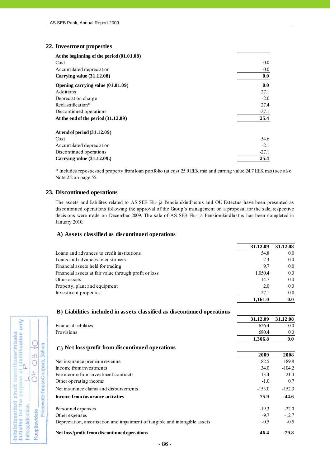#### **22. Investment properties**

| At the beginning of the period $(01.01.08)$ |         |
|---------------------------------------------|---------|
| Cost                                        | $0.0\,$ |
| Accumulated depreciation                    | $0.0\,$ |
| Carrying value (31.12.08)                   | 0.0     |
| Opening carrying value (01.01.09)           | 0.0     |
| Additions                                   | 27.1    |
| Depreciation charge                         | $-2.0$  |
| Reclassification*                           | 27.4    |
| Discontinued operations                     | $-27.1$ |
| At the end of the period $(31.12.09)$       | 25.4    |
| At end of period (31.12.09)                 |         |
| Cost                                        | 54.6    |
| Accumulated depreciation                    | $-2.1$  |
| Discontinued operations                     | $-27.1$ |
| Carrying value (31.12.09.)                  | 25.4    |

\* Includes repossessed property from loan portfolio (at cost 25.0 EEK mio and carring value 24.7 EEK mio) see also Note 2.2 on page 55.

#### **23. Discontinued operations**

The assets and liabilites related to AS SEB Elu- ja Pensionikindlustus and OÜ Estectus have been presented as discontinued operations following the approval of the Group´s management on a proposal for the sale, respective decisions were made on December 2009. The sale of AS SEB Elu- ja Pensionikindlustus has been completed in January 2010.

#### **A) Assets classified as discontinued operations**

|                                                       | 31.12.09 | 31.12.08 |
|-------------------------------------------------------|----------|----------|
| Loans and advances to credit institutions             | 54.8     | 0.0      |
| Loans and advances to customers                       | 2.3      | 0.0      |
| Financial assets held for trading                     | 9.7      | 0.0      |
| Financial assets at fair value through profit or loss | 1.050.4  | $0.0\,$  |
| Other assets                                          | 14.7     | 0.0      |
| Property, plant and equipment                         | 2.0      | 0.0      |
| Investment properties                                 | 27.1     | 0.0      |
|                                                       | 1.161.0  | 0.0      |

| D) Liabilities included in assets classified as discontinued operations     |          |          |
|-----------------------------------------------------------------------------|----------|----------|
|                                                                             | 31.12.09 | 31.12.08 |
| <b>Financial liabilities</b>                                                | 626.4    | 0.0      |
| Provisions                                                                  | 680.4    | 0.0      |
|                                                                             | 1,306.8  | 0.0      |
| C) Net loss/profit from discontinued operations                             |          |          |
|                                                                             | 2009     | 2008     |
| Net insurance premium revenue                                               | 182.5    | 189.8    |
| Income from investments                                                     | 34.0     | $-104.2$ |
| Fee income from investment contracts                                        | 13.4     | 21.4     |
| Other operating income                                                      | $-1.0$   | 0.7      |
| Net insurance claims and disbursements                                      | $-153.0$ | $-152.3$ |
| Income from insurance activities                                            | 75.9     | $-44.6$  |
| Personnel expenses                                                          | $-19.3$  | $-22.0$  |
| Other expenses                                                              | $-9.7$   | $-12.7$  |
| Depreciation, amortisation and impairment of tangible and intangible assets | $-0.5$   | $-0.5$   |
| Net loss/profit from discontinued operations                                | 46.4     | $-79.8$  |

**23. B) Liabilities included in assets classified as discontinued operations**

| Initialled for the purpose of identification only<br>Initsialiseeritud ainult identifitseerimiseks | OH. O3.             | PricewaterhouseCoopers, Jallinn |
|----------------------------------------------------------------------------------------------------|---------------------|---------------------------------|
| Initsiaalid/initials                                                                               | <b>Kuupäev/date</b> |                                 |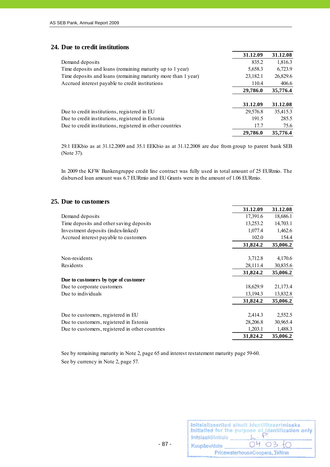## **24. Due to credit institutions**

|                                                               | 31.12.09 | 31.12.08 |
|---------------------------------------------------------------|----------|----------|
| Demand deposits                                               | 835.2    | 1,816.3  |
| Time deposits and loans (remaining maturity up to 1 year)     | 5,658.3  | 6,723.9  |
| Time deposits and loans (remaining maturity more than 1 year) | 23,182.1 | 26,829.6 |
| Accrued interest payable to credit institutions               | 110.4    | 406.6    |
|                                                               | 29,786.0 | 35,776.4 |
|                                                               |          |          |
|                                                               | 31.12.09 | 31.12.08 |
| Due to credit institutions, registered in EU                  | 29,576.8 | 35,415.3 |
| Due to credit institutions, registered in Estonia             | 191.5    | 285.5    |
| Due to credit institutions, registered in other countries     | 17.7     | 75.6     |
|                                                               | 29,786.0 | 35,776.4 |

29.1 EEKbio as at 31.12.2009 and 35.1 EEKbio as at 31.12.2008 are due from group to parent bank SEB (Note 37).

In 2009 the KFW Bankengruppe credit line contract was fully used in total amount of 25 EURmio. The disbursed loan amount was 6.7 EURmio and EU Grants were in the amount of 1.06 EURmio.

#### **25. Due to customers**

|                                                 | 31.12.09 | 31.12.08 |
|-------------------------------------------------|----------|----------|
| Demand deposits                                 | 17,391.6 | 18,686.1 |
| Time deposits and other saving deposits         | 13,253.2 | 14,703.1 |
| Investment deposits (index-linked)              | 1,077.4  | 1,462.6  |
| Accrued interest payable to customers           | 102.0    | 154.4    |
|                                                 | 31,824.2 | 35,006.2 |
|                                                 |          |          |
| Non-residents                                   | 3,712.8  | 4,170.6  |
| Residents                                       | 28,111.4 | 30,835.6 |
|                                                 | 31,824.2 | 35,006.2 |
| Due to customers by type of customer            |          |          |
| Due to corporate customers                      | 18,629.9 | 21,173.4 |
| Due to individuals                              | 13,194.3 | 13,832.8 |
|                                                 | 31,824.2 | 35,006.2 |
| Due to customers, registered in EU              | 2,414.3  | 2,552.5  |
| Due to customers, registered in Estonia         | 28,206.8 | 30,965.4 |
| Due to customers, registered in other countries | 1,203.1  | 1,488.3  |
|                                                 | 31,824.2 | 35,006.2 |

See by remaining maturity in Note 2, page 65 and interest restatement maturity page 59-60. See by currency in Note 2, page 57.

|                      | Initsialiseeritud ainult identifitseerimiseks<br>Initialled for the purpose of identification only |
|----------------------|----------------------------------------------------------------------------------------------------|
| Initsiaalid/initials |                                                                                                    |
| Kuupäev/date         | 04.03.10                                                                                           |
|                      | PricewaterhouseCoopers, Tallinn                                                                    |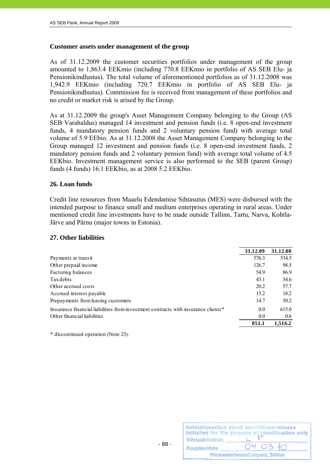### **Customer assets under management of the group**

As of 31.12.2009 the customer securities portfolios under management of the group amounted to 1,863.4 EEKmio (including 770.8 EEKmio in portfolio of AS SEB Elu- ja Pensionikindlustus). The total volume of aforementioned portfolios as of 31.12.2008 was 1,942.9 EEKmio (including 720.7 EEKmio in portfolio of AS SEB Elu- ja Pensionikindlustus). Commission fee is received from management of these portfolios and no credit or market risk is arised by the Group.

As at 31.12.2009 the group's Asset Management Company belonging to the Group (AS SEB Varahaldus) managed 14 investment and pension funds (i.e. 8 open-end investment funds, 4 mandatory pension funds and 2 voluntary pension fund) with average total volume of 5.9 EEbio. As at 31.12.2008 the Asset Management Company belonging to the Group managed 12 investment and pension funds (i.e. 8 open-end investment funds, 2 mandatory pension funds and 2 voluntary pension fund) with average total volume of 4.5 EEKbio. Investment management service is also performed to the SEB (parent Group) funds (4 funds) 16.1 EEKbio, as at 2008 5.2 EEKbio.

### **26. Loan funds**

Credit line resources from Maaelu Edendamise Sihtasutus (MES) were disbursed with the intended purpose to finance small and medium enterprises operating in rural areas. Under mentioned credit line investments have to be made outside Tallinn, Tartu, Narva, Kohtla-Järve and Pärnu (major towns in Estonia).

### **27. Other liabilities**

|                                                                                   | 31.12.09 | 31.12.08 |
|-----------------------------------------------------------------------------------|----------|----------|
| Payments in transit                                                               | 576.3    | 534.5    |
| Other prepaid income                                                              | 126.7    | 98.5     |
| Factoring balances                                                                | 54.9     | 86.9     |
| Tax debts                                                                         | 43.1     | 54.6     |
| Other accrued costs                                                               | 20.2     | 57.7     |
| Accrued interest payable                                                          | 15.2     | 18.2     |
| Prepayments from leasing customers                                                | 14.7     | 50.2     |
| Insurance financial liabilities from investment contracts with insurance clients* | 0.0      | 615.0    |
| Other financial liabilities                                                       | 0.0      | 0.6      |
|                                                                                   | 851.1    | 1.516.2  |

\* discontinued operation (Note 23).

| Initsiaalid/initials | Initsialiseeritud ainult identifitseerimiseks<br>Initialled for the purpose of identification only |
|----------------------|----------------------------------------------------------------------------------------------------|
| Kuupäev/date         | 04.03.10                                                                                           |
|                      | PricewaterhouseCoopers, Tallinn                                                                    |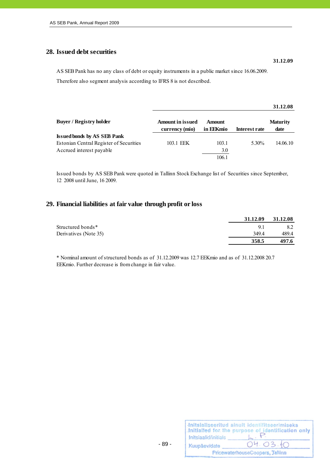## **28. Issued debt securities**

AS SEB Pank has no any class of debt or equity instruments in a public market since 16.06.2009. Therefore also segment analysis according to IFRS 8 is not described.

|                                         |                                           |                            |                   | 31.12.08                |
|-----------------------------------------|-------------------------------------------|----------------------------|-------------------|-------------------------|
| <b>Buyer / Registry holder</b>          | <b>Amount in issued</b><br>currency (mio) | <b>Amount</b><br>in EEKmio | Interest rate     | <b>Maturity</b><br>date |
| <b>Issued bonds by AS SEB Pank</b>      |                                           |                            |                   |                         |
| Estonian Central Register of Securities | 103.1 EEK                                 | 103.1                      | 5 30 <sup>%</sup> | 14.06.10                |
| Accrued interest payable                |                                           | 3.0                        |                   |                         |
|                                         |                                           | 106.1                      |                   |                         |

Issued bonds by AS SEB Pank were quoted in Tallinn Stock Exchange list of Securities since September, 12 2008 until June, 16 2009.

### **29. Financial liabilities at fair value through profit or loss**

|                       | 31.12.09 | 31.12.08 |
|-----------------------|----------|----------|
| Structured bonds*     | 9.1      | 8.2      |
| Derivatives (Note 35) | 349.4    | 489.4    |
|                       | 358.5    | 497.6    |

\* Nominal amount of structured bonds as of 31.12.2009 was 12.7 EEKmio and as of 31.12.2008 20.7 EEKmio. Further decrease is from change in fair value.

| Initsiaalid/initials | Initsialiseeritud ainult identifitseerimiseks<br>Initialled for the purpose of identification only |
|----------------------|----------------------------------------------------------------------------------------------------|
| Kuupäev/date         | 04.03.10                                                                                           |
|                      | PricewaterhouseCoopers, Tallinn                                                                    |

- 89 -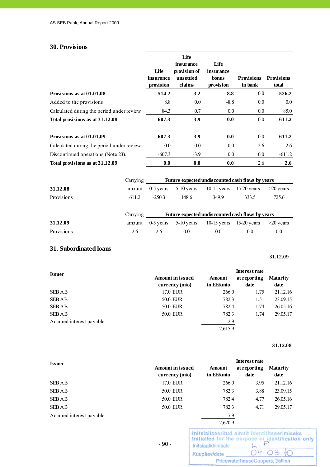# **30. Provisions**

|                                           |          |             | Life         |                                                  |                   |                   |
|-------------------------------------------|----------|-------------|--------------|--------------------------------------------------|-------------------|-------------------|
|                                           |          |             | insurance    | Life                                             |                   |                   |
|                                           |          | Life        | provision of | insurance                                        |                   |                   |
|                                           |          | insurance   | unsettled    | bonus                                            | <b>Provisions</b> | <b>Provisions</b> |
|                                           |          | provision   | claims       | provision                                        | in bank           | total             |
| Provisions as at 01.01.08                 |          | 514.2       | 3.2          | 8.8                                              | 0.0               | 526.2             |
| Added to the provisions                   |          | 8.8         | 0.0          | $-8.8$                                           | 0.0               | 0.0               |
| Calculated during the period under review |          | 84.3        | 0.7          | 0.0                                              | 0.0               | 85.0              |
| Total provisions as at 31.12.08           |          | 607.3       | 3.9          | 0.0                                              | 0.0               | 611.2             |
|                                           |          |             |              |                                                  |                   |                   |
| Provisions as at 01.01.09                 |          | 607.3       | 3.9          | 0.0                                              | 0.0               | 611.2             |
| Calculated during the period under review |          | 0.0         | 0.0          | 0.0                                              | 2.6               | 2.6               |
| Discontinued operations (Note 23).        |          | $-607.3$    | $-3.9$       | 0.0                                              | 0.0               | $-611.2$          |
| Total provisions as at 31.12.09           |          | 0.0         | 0.0          | 0.0                                              | 2.6               | 2.6               |
|                                           |          |             |              |                                                  |                   |                   |
|                                           | Carrying |             |              | Future expected undiscounted cash flows by years |                   |                   |
| 31.12.08                                  | amount   | $0-5$ years | 5-10 years   | $10-15$ years $15-20$ years                      |                   | >20 years         |
| Provisions                                | 611.2    | $-250.3$    | 148.6        | 349.9                                            | 333.5             | 725.6             |
|                                           |          |             |              |                                                  |                   |                   |
|                                           | Carrying |             |              | Future expected undiscounted cash flows by years |                   |                   |
| 31.12.09                                  | amount   | $0-5$ years | 5-10 years   | $10-15$ years                                    | $15-20$ years     | $>20$ years       |
| Provisions                                | 2.6      | 2.6         | 0.0          | 0.0                                              | 0.0               | 0.0               |
|                                           |          |             |              |                                                  |                   |                   |

# **31. Subordinated loans**

| <b>Issuer</b>            | <b>Amount in issued</b><br>currency (mio) | <b>Amount</b><br>in EEKmio | <b>Interest rate</b><br>at reporting<br>date | <b>Maturity</b><br>date |
|--------------------------|-------------------------------------------|----------------------------|----------------------------------------------|-------------------------|
| <b>SEBAB</b>             | 17.0 EUR                                  | 266.0                      | 1.75                                         | 21.12.16                |
| <b>SEBAB</b>             | <b>50.0 EUR</b>                           | 782.3                      | 1.51                                         | 23.09.15                |
| <b>SEBAB</b>             | <b>50.0 EUR</b>                           | 782.4                      | 1.74                                         | 26.05.16                |
| <b>SEBAB</b>             | <b>50.0 EUR</b>                           | 782.3                      | 1.74                                         | 29.05.17                |
| Accrued interest payable |                                           | 2.9                        |                                              |                         |
|                          |                                           | 2,615.9                    |                                              |                         |

#### **31.12.08**

**31.12.09**

| <b>Issuer</b>            | <b>Amount in issued</b><br>currency (mio) | <b>Amount</b><br>in EEKmio | <b>Interest rate</b><br>at reporting<br>date | <b>Maturity</b><br>date |
|--------------------------|-------------------------------------------|----------------------------|----------------------------------------------|-------------------------|
| <b>SEBAB</b>             | 17.0 EUR                                  | 266.0                      | 3.95                                         | 21.12.16                |
| <b>SEBAB</b>             | <b>50.0 EUR</b>                           | 782.3                      | 3.88                                         | 23.09.15                |
| <b>SEBAB</b>             | <b>50.0 EUR</b>                           | 782.4                      | 4.77                                         | 26.05.16                |
| <b>SEBAB</b>             | <b>50.0 EUR</b>                           | 782.3                      | 4.71                                         | 29.05.17                |
| Accrued interest payable |                                           | 7.9                        |                                              |                         |
|                          |                                           | 2,620.9                    |                                              |                         |

- 90 -

|                      | Initsialiseeritud ainult identifitseerimiseks<br>Initialled for the purpose of identification only |
|----------------------|----------------------------------------------------------------------------------------------------|
| Initsiaalid/initials |                                                                                                    |
| Kuupäev/date         | 04.03.10                                                                                           |
|                      | PricewaterhouseCoopers, Tallinn                                                                    |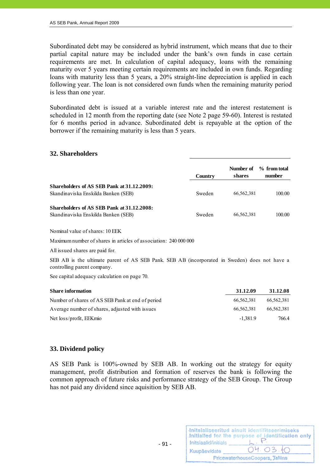Subordinated debt may be considered as hybrid instrument, which means that due to their partial capital nature may be included under the bank's own funds in case certain requirements are met. In calculation of capital adequacy, loans with the remaining maturity over 5 years meeting certain requirements are included in own funds. Regarding loans with maturity less than 5 years, a 20% straight-line depreciation is applied in each following year. The loan is not considered own funds when the remaining maturity period is less than one year.

Subordinated debt is issued at a variable interest rate and the interest restatement is scheduled in 12 month from the reporting date (see Note 2 page 59-60). Interest is restated for 6 months period in advance. Subordinated debt is repayable at the option of the borrower if the remaining maturity is less than 5 years.

#### **32. Shareholders**

|                                                                                   | Country | Number of<br>shares | % from total<br>number |
|-----------------------------------------------------------------------------------|---------|---------------------|------------------------|
| Shareholders of AS SEB Pank at 31.12.2009:<br>Skandinaviska Enskilda Banken (SEB) | Sweden  | 66,562,381          | 100.00                 |
| Shareholders of AS SEB Pank at 31.12.2008:<br>Skandinaviska Enskilda Banken (SEB) | Sweden  | 66,562,381          | 100.00                 |

Nominal value of shares: 10 EEK

Maximum number of shares in articles of association: 240 000 000

All issued shares are paid for.

SEB AB is the ultimate parent of AS SEB Pank. SEB AB (incorporated in Sweden) does not have a controlling parent company.

See capital adequacy calculation on page 70.

 $- 91 -$ 

| <b>Share information</b>                         | 31.12.09   | 31.12.08   |
|--------------------------------------------------|------------|------------|
| Number of shares of AS SEB Pank at end of period | 66.562.381 | 66.562.381 |
| Average number of shares, adjusted with issues   | 66.562.381 | 66.562.381 |
| Net loss/profit, EEKmio                          | $-1.381.9$ | 766.4      |

#### **33. Dividend policy**

AS SEB Pank is 100%-owned by SEB AB. In working out the strategy for equity management, profit distribution and formation of reserves the bank is following the common approach of future risks and performance strategy of the SEB Group. The Group has not paid any dividend since aquisition by SEB AB.

|                      | Initsialiseeritud ainult identifitseerimiseks<br>.Initialled for the purpose of identification only |
|----------------------|-----------------------------------------------------------------------------------------------------|
| Initsiaalid/initials |                                                                                                     |
| Kuupäev/date         | 04.03.10                                                                                            |
|                      | PricewaterhouseCoopers, Tallinn                                                                     |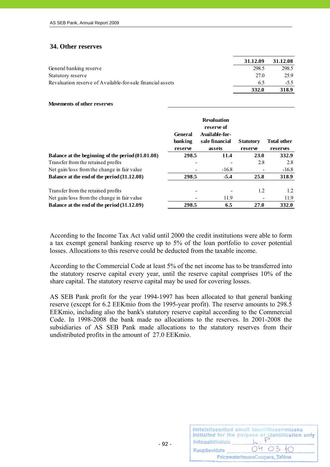#### **34. Other reserves**

|                                                            | 31.12.09 | 31.12.08 |
|------------------------------------------------------------|----------|----------|
| General banking reserve                                    | 298.5    | 298.5    |
| Statutory reserve                                          | 27.0     | 25.9     |
| Revaluation reserve of Available-for-sale financial assets | 65       | $-5.5$   |
|                                                            | 332.0    | 318.9    |

**Movements of other reserves**

|                                                   | General<br>banking<br>reserve | <b>Revaluation</b><br>reserve of<br>Available-for-<br>sale financial<br>assets | <b>Statutory</b><br>reserve | <b>Total other</b><br>reserves |
|---------------------------------------------------|-------------------------------|--------------------------------------------------------------------------------|-----------------------------|--------------------------------|
| Balance at the beginning of the period (01.01.08) | 298.5                         | 11.4                                                                           | 23.0                        | 332.9                          |
| Transfer from the retained profits                |                               |                                                                                | 2.8                         | 2.8                            |
| Net gain/loss from the change in fair value       |                               | $-16.8$                                                                        |                             | $-16.8$                        |
| Balance at the end of the period (31.12.08)       | 298.5                         | $-5.4$                                                                         | 25.8                        | 318.9                          |
| Transfer from the retained profits                |                               |                                                                                | 1.2                         | 1.2                            |
| Net gain/loss from the change in fair value       |                               | 11.9                                                                           |                             | 11.9                           |
| Balance at the end of the period (31.12.09)       | 298.5                         | 6.5                                                                            | 27.0                        | 332.0                          |

According to the Income Tax Act valid until 2000 the credit institutions were able to form a tax exempt general banking reserve up to 5% of the loan portfolio to cover potential losses. Allocations to this reserve could be deducted from the taxable income.

According to the Commercial Code at least 5% of the net income has to be transferred into the statutory reserve capital every year, until the reserve capital comprises 10% of the share capital. The statutory reserve capital may be used for covering losses.

AS SEB Pank profit for the year 1994-1997 has been allocated to that general banking reserve (except for 6.2 EEKmio from the 1995-year profit). The reserve amounts to 298.5 EEKmio, including also the bank's statutory reserve capital according to the Commercial Code. In 1998-2008 the bank made no allocations to the reserves. In 2001-2008 the subsidiaries of AS SEB Pank made allocations to the statutory reserves from their undistributed profits in the amount of 27.0 EEKmio.

| Initsiaalid/initials | Initsialiseeritud ainult identifitseerimiseks<br>Initialled for the purpose of identification only |
|----------------------|----------------------------------------------------------------------------------------------------|
| Kuupäev/date         | 04.03.10                                                                                           |
|                      | PricewaterhouseCoopers, Tallinn                                                                    |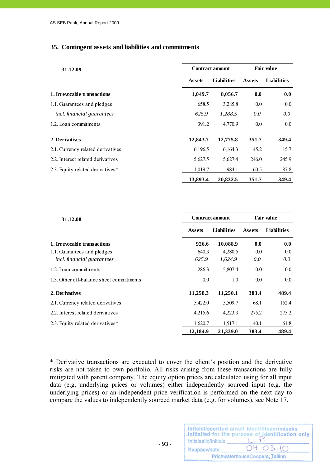### **35. Contingent assets and liabilities and commitments**

| 31.12.09                          | <b>Contract amount</b> |                    | <b>Fair value</b> |                    |
|-----------------------------------|------------------------|--------------------|-------------------|--------------------|
|                                   | <b>Assets</b>          | <b>Liabilities</b> | <b>Assets</b>     | <b>Liabilities</b> |
| 1. Irrevocable transactions       | 1,049.7                | 8,056.7            | 0.0               | 0.0                |
| 1.1. Guarantees and pledges       | 658.5                  | 3,285.8            | 0.0               | $0.0\,$            |
| incl. financial guarantees        | 625.9                  | 1,288.5            | 0.0               | 0.0                |
| 1.2. Loan commitments             | 391.2                  | 4,770.9            | 0.0               | $0.0\,$            |
| 2. Derivatives                    | 12,843.7               | 12,775.8           | 351.7             | 349.4              |
| 2.1. Currency related derivatives | 6,196.5                | 6,164.3            | 45.2              | 15.7               |
| 2.2. Interest related derivatives | 5,627.5                | 5,627.4            | 246.0             | 245.9              |
| 2.3. Equity related derivatives*  | 1,019.7                | 984.1              | 60.5              | 87.8               |
|                                   | 13,893.4               | 20.832.5           | 351.7             | 349.4              |

| 31.12.08                                 | <b>Contract amount</b> |                    | <b>Fair value</b> |                    |
|------------------------------------------|------------------------|--------------------|-------------------|--------------------|
|                                          | <b>Assets</b>          | <b>Liabilities</b> | <b>Assets</b>     | <b>Liabilities</b> |
| 1. Irrevocable transactions              | 926.6                  | 10,088.9           | 0.0               | 0.0                |
| 1.1. Guarantees and pledges              | 640.3                  | 4,280.5            | 0.0               | $0.0\,$            |
| <i>incl.</i> financial guarantees        | 625.9                  | 1,624.9            | 0.0               | $0.0\,$            |
| 1.2. Loan commitments                    | 286.3                  | 5,807.4            | 0.0               | $0.0\,$            |
| 1.3. Other off-balance sheet commitments | 0.0                    | 1.0                | 0.0               | 0.0                |
| 2. Derivatives                           | 11,258.3               | 11,250.1           | 383.4             | 489.4              |
| 2.1. Currency related derivatives        | 5,422.0                | 5,509.7            | 68.1              | 152.4              |
| 2.2. Interest related derivatives        | 4,215.6                | 4,223.3            | 275.2             | 275.2              |
| 2.3. Equity related derivatives*         | 1,620.7                | 1,517.1            | 40.1              | 61.8               |
|                                          | 12,184.9               | 21,339.0           | 383.4             | 489.4              |

\* Derivative transactions are executed to cover the client's position and the derivative risks are not taken to own portfolio. All risks arising from these transactions are fully mitigated with parent company. The equity option prices are calculated using for all input data (e.g. underlying prices or volumes) either independently sourced input (e.g. the underlying prices) or an independent price verification is performed on the next day to compare the values to independently sourced market data (e.g. for volumes), see Note 17.

|                      | Initsialiseeritud ainult identifitseerimiseks<br>Initialled for the purpose of identification only |
|----------------------|----------------------------------------------------------------------------------------------------|
| Initsiaalid/initials |                                                                                                    |
| Kuupäev/date         | 04.03.10                                                                                           |
|                      | PricewaterhouseCoopers, Tallinn                                                                    |

- 93 -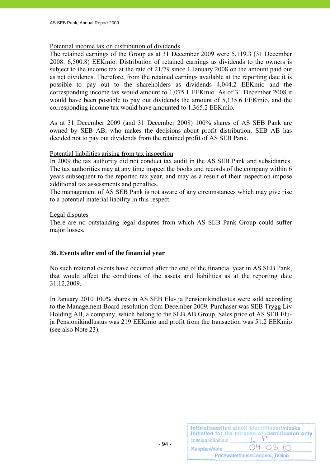## Potential income tax on distribution of dividends

The retained earnings of the Group as at 31 December 2009 were 5,119.3 (31 December 2008: 6,500.8) EEKmio. Distribution of retained earnings as dividends to the owners is subject to the income tax at the rate of 21/79 since 1 January 2008 on the amount paid out as net dividends. Therefore, from the retained earnings available at the reporting date it is possible to pay out to the shareholders as dividends 4,044.2 EEKmio and the corresponding income tax would amount to 1,075.1 EEKmio. As of 31 December 2008 it would have been possible to pay out dividends the amount of 5,135.6 EEKmio, and the corresponding income tax would have amounted to 1,365.2 EEKmio.

As at 31 December 2009 (and 31 December 2008) 100% shares of AS SEB Pank are owned by SEB AB, who makes the decisions about profit distribution. SEB AB has decided not to pay out dividends from the retained profit of AS SEB Pank.

### Potential liabilities arising from tax inspection

In 2009 the tax authority did not conduct tax audit in the AS SEB Pank and subsidiaries. The tax authorities may at any time inspect the books and records of the company within 6 years subsequent to the reported tax year, and may as a result of their inspection impose additional tax assessments and penalties.

The management of AS SEB Pank is not aware of any circumstances which may give rise to a potential material liability in this respect.

### Legal disputes

There are no outstanding legal disputes from which AS SEB Pank Group could suffer major losses.

# **36. Events after end of the financial year**

No such material events have occurred after the end of the financial year in AS SEB Pank, that would affect the conditions of the assets and liabilities as at the reporting date 31.12.2009.

In January 2010 100% shares in AS SEB Elu- ja Pensionikindlustus were sold according to the Management Board resolution from December 2009. Purchaser was SEB Trygg Liv Holding AB, a company, which belong to the SEB AB Group. Sales price of AS SEB Eluja Pensionikindlustus was 219 EEKmio and profit from the transaction was 51.2 EEKmio (see also Note 23).

|                      | Initsialiseeritud ainult identifitseerimiseks<br>Initialled for the purpose of identification only |
|----------------------|----------------------------------------------------------------------------------------------------|
| Initsiaalid/initials |                                                                                                    |
| Kuupäev/date         | 04.03.10                                                                                           |
|                      | PricewaterhouseCoopers, Tallinn                                                                    |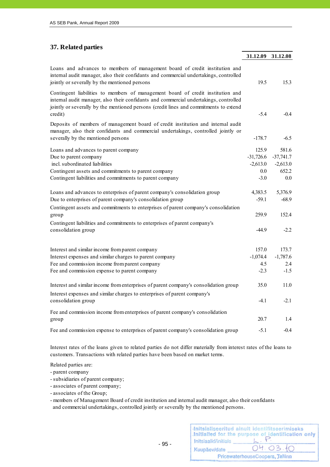## **37. Related parties**

|                                                                                                                                                                                                                                                                              | 31.12.09                                            | 31.12.08                                           |
|------------------------------------------------------------------------------------------------------------------------------------------------------------------------------------------------------------------------------------------------------------------------------|-----------------------------------------------------|----------------------------------------------------|
| Loans and advances to members of management board of credit institution and<br>internal audit manager, also their confidants and commercial undertakings, controlled<br>jointly or severally by the mentioned persons                                                        | 19.5                                                | 15.3                                               |
| Contingent liabilities to members of management board of credit institution and<br>internal audit manager, also their confidants and commercial undertakings, controlled<br>jointly or severally by the mentioned persons (credit lines and commitments to extend<br>credit) | $-5.4$                                              | $-0.4$                                             |
| Deposits of members of management board of credit institution and internal audit<br>manager, also their confidants and commercial undertakings, controlled jointly or<br>severally by the mentioned persons                                                                  | $-178.7$                                            | $-6.5$                                             |
| Loans and advances to parent company<br>Due to parent company<br>incl. subordinated liabilities<br>Contingent assets and commitments to parent company<br>Contingent liabilities and commitments to parent company                                                           | 125.9<br>$-31,726.6$<br>$-2,613.0$<br>0.0<br>$-3.0$ | 581.6<br>$-37,741.7$<br>$-2,613.0$<br>652.2<br>0.0 |
| Loans and advances to enterprises of parent company's consolidation group<br>Due to enterprises of parent company's consolidation group<br>Contingent assets and commitments to enterprises of parent company's consolidation<br>group                                       | 4,383.5<br>$-59.1$<br>259.9                         | 5,376.9<br>$-68.9$<br>152.4                        |
| Contingent liabilities and commitments to enterprises of parent company's<br>consolidation group                                                                                                                                                                             | $-44.9$                                             | $-2.2$                                             |
| Interest and similar income from parent company<br>Interest expenses and similar charges to parent company<br>Fee and commission income from parent company<br>Fee and commission expense to parent company                                                                  | 157.0<br>$-1,074.4$<br>4.5<br>$-2.3$                | 173.7<br>$-1,787.6$<br>2.4<br>$-1.5$               |
| Interest and similar income from enterprises of parent company's consolidation group<br>Interest expenses and similar charges to enterprises of parent company's<br>consolidation group                                                                                      | 35.0<br>$-4.1$                                      | 11.0<br>$-2.1$                                     |
| Fee and commission income from enterprises of parent company's consolidation<br>group                                                                                                                                                                                        | 20.7                                                | 1.4                                                |
| Fee and commission expense to enterprises of parent company's consolidation group                                                                                                                                                                                            | $-5.1$                                              | $-0.4$                                             |

Interest rates of the loans given to related parties do not differ materially from interest rates of the loans to customers. Transactions with related parties have been based on market terms.

Related parties are:

- parent company
- subsidiaries of parent company;
- associates of parent company;
- associates of the Group;
- members of Management Board of credit institution and internal audit manager, also their confidants and commercial undertakings, controlled jointly or severally by the mentioned persons.

| Initsiaalid/initials | Initsialiseeritud ainult identifitseerimiseks<br>Initialled for the purpose of identification only |
|----------------------|----------------------------------------------------------------------------------------------------|
| Kuupäev/date         | 04.03.10                                                                                           |
|                      | PricewaterhouseCoopers, Tallinn                                                                    |

- 95 -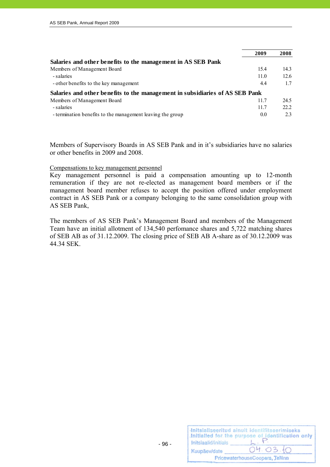|                                                                              | 2009 | 2008 |
|------------------------------------------------------------------------------|------|------|
| Salaries and other benefits to the management in AS SEB Pank                 |      |      |
| Members of Management Board                                                  | 15.4 | 14.3 |
| - salaries                                                                   | 11.0 | 12.6 |
| - other benefits to the key management                                       | 4.4  | 17   |
| Salaries and other benefits to the management in subsidiaries of AS SEB Pank |      |      |
| Members of Management Board                                                  | 11.7 | 24.5 |
| - salaries                                                                   | 11.7 | 22.2 |
| - termination benefits to the management leaving the group                   | 0.0  | 2.3  |

Members of Supervisory Boards in AS SEB Pank and in it's subsidiaries have no salaries or other benefits in 2009 and 2008.

#### Compensations to key management personnel

Key management personnel is paid a compensation amounting up to 12-month remuneration if they are not re-elected as management board members or if the management board member refuses to accept the position offered under employment contract in AS SEB Pank or a company belonging to the same consolidation group with AS SEB Pank,

The members of AS SEB Pank's Management Board and members of the Management Team have an initial allotment of 134,540 perfomance shares and 5,722 matching shares of SEB AB as of 31.12.2009. The closing price of SEB AB A-share as of 30.12.2009 was 44.34 SEK.

| Initsiaalid/initials | Initsialiseeritud ainult identifitseerimiseks<br>Initialled for the purpose of identification only |
|----------------------|----------------------------------------------------------------------------------------------------|
| Kuupäev/date         | 04.03.10                                                                                           |
|                      | PricewaterhouseCoopers, Tallinn                                                                    |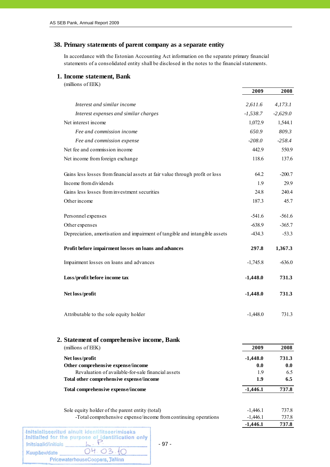### **38. Primary statements of parent company as a separate entity**

In accordance with the Estonian Accounting Act information on the separate primary financial statements of a consolidated entity shall be disclosed in the notes to the financial statements.

#### **1. Income statement, Bank**

| (millions of EEK) |  |
|-------------------|--|
|                   |  |

|                                                                              | 2009       | 2008       |
|------------------------------------------------------------------------------|------------|------------|
| Interest and similar income                                                  | 2,611.6    | 4,173.1    |
| Interest expenses and similar charges                                        | $-1,538.7$ | $-2,629.0$ |
| Net interest income                                                          | 1,072.9    | 1,544.1    |
| Fee and commission income                                                    | 650.9      | 809.3      |
| Fee and commission expense                                                   | $-208.0$   | $-258.4$   |
| Net fee and commission income                                                | 442.9      | 550.9      |
| Net income from foreign exchange                                             | 118.6      | 137.6      |
| Gains less losses from financial assets at fair value through profit or loss | 64.2       | $-200.7$   |
| Income from dividends                                                        | 1.9        | 29.9       |
| Gains less losses from investment securities                                 | 24.8       | 240.4      |
| Other income                                                                 | 187.3      | 45.7       |
| Personnel expenses                                                           | $-541.6$   | $-561.6$   |
| Other expenses                                                               | $-638.9$   | $-365.7$   |
| Depreciation, amortisation and impairment of tangible and intangible assets  | $-434.3$   | $-53.3$    |
| Profit before impairment losses on loans and advances                        | 297.8      | 1,367.3    |
| Impairment losses on loans and advances                                      | $-1,745.8$ | $-636.0$   |
| Loss/profit before income tax                                                | $-1,448.0$ | 731.3      |
| Net loss/profit                                                              | $-1,448.0$ | 731.3      |
| Attributable to the sole equity holder                                       | $-1,448.0$ | 731.3      |

### **2. Statement of comprehensive income, Bank**

|  | (millions of EEK) |  |
|--|-------------------|--|
|  |                   |  |

| (millions of EEK)                                  | 2009       | 2008  |  |
|----------------------------------------------------|------------|-------|--|
| Net loss/profit                                    | $-1,448.0$ | 731.3 |  |
| Other comprehensive expense/income                 | 0.0        | 0.0   |  |
| Revaluation of available-for-sale financial assets | 1.9        | 6.5   |  |
| Total other comprehensive expense/income           | 1.9        | 6.5   |  |
| Total comprehensive expense/income                 | $-1,446.1$ | 737.8 |  |

**-1,446.1 737.8**

Sole equity holder of the parent entity (total) -1,446.1 737.8 -Total comprehensive expense/income from continuing operations -1,446.1 737.8

| Initsiaalid/initials | Initsialiseeritud ainult identifitseerimiseks<br>Initialled for the purpose of identification only |
|----------------------|----------------------------------------------------------------------------------------------------|
| Kuupäev/date         | 04.03.10                                                                                           |
|                      | PricewaterhouseCoopers, Tallinn                                                                    |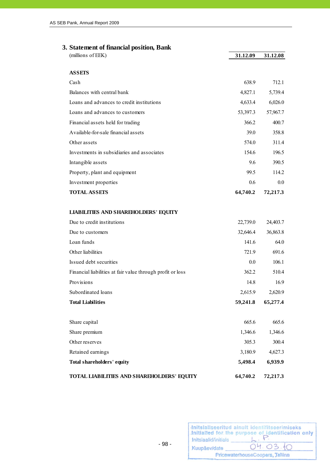# **3. Statement of financial position, Bank**

| (millions of EEK)                                                         | 31.12.09         | 31.12.08         |
|---------------------------------------------------------------------------|------------------|------------------|
| <b>ASSETS</b>                                                             |                  |                  |
| Cash                                                                      | 638.9            | 712.1            |
| Balances with central bank                                                | 4,827.1          | 5,739.4          |
| Loans and advances to credit institutions                                 | 4,633.4          | 6,026.0          |
| Loans and advances to customers                                           | 53,397.3         | 57,967.7         |
| Financial assets held for trading                                         | 366.2            | 400.7            |
| Available-for-sale financial assets                                       | 39.0             | 358.8            |
| Other assets                                                              | 574.0            | 311.4            |
| Investments in subsidiaries and associates                                | 154.6            | 196.5            |
| Intangible assets                                                         | 9.6              | 390.5            |
| Property, plant and equipment                                             | 99.5             | 114.2            |
| Investment properties                                                     | 0.6              | 0.0              |
| <b>TOTAL ASSETS</b>                                                       | 64,740.2         | 72,217.3         |
| <b>LIABILITIES AND SHAREHOLDERS' EQUITY</b><br>Due to credit institutions |                  |                  |
|                                                                           | 22,739.0         | 24,403.7         |
| Due to customers<br>Loan funds                                            | 32,646.4         | 36,863.8<br>64.0 |
| Other liabilities                                                         | 141.6            | 691.6            |
| Issued debt securities                                                    | 721.9<br>$0.0\,$ | 106.1            |
| Financial liabilities at fair value through profit or loss                | 362.2            | 510.4            |
| Provisions                                                                | 14.8             | 16.9             |
| Subordinated loans                                                        | 2,615.9          | 2,620.9          |
| <b>Total Liabilities</b>                                                  | 59,241.8         | 65,277.4         |
|                                                                           |                  |                  |
| Share capital                                                             | 665.6            | 665.6            |
| Share premium                                                             | 1,346.6          | 1,346.6          |
| Other reserves                                                            | 305.3            | 300.4            |
| Retained earnings                                                         | 3,180.9          | 4,627.3          |
| Total shareholders' equity                                                | 5,498.4          | 6,939.9          |
|                                                                           |                  |                  |

| Initsiaalid/initials | Initsialiseeritud ainult identifitseerimiseks<br>Initialled for the purpose of identification only |
|----------------------|----------------------------------------------------------------------------------------------------|
| Kuupäev/date         | 04.03.10                                                                                           |
|                      | PricewaterhouseCoopers, Tallinn                                                                    |

**TOTAL LIABILITIES AND SHAREHOLDERS' EQUITY 64,740.2 72,217.3**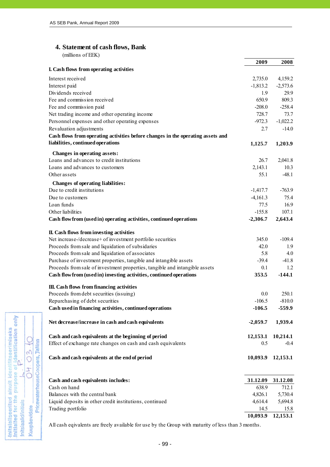# **4. Statement of cash flows, Bank**

| (millions of EEK)                                                                                      |            |            |
|--------------------------------------------------------------------------------------------------------|------------|------------|
|                                                                                                        | 2009       | 2008       |
| I. Cash flows from operating activities                                                                |            |            |
| Interest received                                                                                      | 2,735.0    | 4,159.2    |
| Interest paid                                                                                          | $-1,813.2$ | $-2,573.6$ |
| Dividends received                                                                                     | 1.9        | 29.9       |
| Fee and commission received                                                                            | 650.9      | 809.3      |
| Fee and commission paid                                                                                | $-208.0$   | $-258.4$   |
| Net trading income and other operating income                                                          | 728.7      | 73.7       |
| Personnel expenses and other operating expenses                                                        | $-972.3$   | $-1,022.2$ |
| Revaluation adjustments                                                                                | 2.7        | $-14.0$    |
| Cash flows from operating activities before changes in the operating assets and                        |            |            |
| liabilities, continued operations                                                                      | 1,125.7    | 1,203.9    |
|                                                                                                        |            |            |
| <b>Changes in operating assets:</b>                                                                    |            |            |
| Loans and advances to credit institutions                                                              | 26.7       | 2,041.8    |
| Loans and advances to customers                                                                        | 2,143.1    | 10.3       |
| Other assets                                                                                           | 55.1       | $-48.1$    |
| <b>Changes of operating liabilities:</b>                                                               |            |            |
| Due to credit institutions                                                                             | $-1,417.7$ | $-763.9$   |
| Due to customers                                                                                       | $-4,161.3$ | 75.4       |
| Loan funds                                                                                             | 77.5       | 16.9       |
| Other liabilities                                                                                      | $-155.8$   | 107.1      |
| Cash flow from (used in) operating activities, continued operations                                    | $-2,306.7$ | 2,643.4    |
|                                                                                                        |            |            |
| II. Cash flows from investing activities<br>Net increase-/decrease+ of investment portfolio securities | 345.0      | $-109.4$   |
| Proceeds from sale and liquidation of subsidaries                                                      | 42.0       | 1.9        |
| Proceeds from sale and liquidation of associates                                                       | 5.8        | 4.0        |
| Purchase of investment properties, tangible and intangible assets                                      | $-39.4$    | $-41.8$    |
| Proceeds from sale of investment properties, tangible and intangible assets                            | 0.1        | 1.2        |
| Cash flow from (used in) investing activities, continued operations                                    | 353.5      | $-144.1$   |
|                                                                                                        |            |            |
| III. Cash flows from financing activities                                                              |            |            |
| Proceeds from debt securities (issuing)                                                                | 0.0        | 250.1      |
| Repurchasing of debt securities                                                                        | $-106.5$   | $-810.0$   |
| Cash used in financing activities, continued operations                                                | $-106.5$   | $-559.9$   |
|                                                                                                        |            |            |
| Net decrease/increase in cash and cash equivalents                                                     | $-2,059.7$ | 1,939.4    |
| Cash and cash equivalents at the beginning of period                                                   | 12,153.1   | 10,214.1   |
| Effect of exchange rate changes on cash and cash equivalents                                           | 0.5        | $-0.4$     |
|                                                                                                        |            |            |
| Cash and cash equivalents at the end of period                                                         | 10,093.9   | 12,153.1   |
|                                                                                                        |            |            |
| Cash and cash equivalents includes:                                                                    | 31.12.09   | 31.12.08   |
| Cash on hand                                                                                           | 638.9      | 712.1      |
| Balances with the central bank                                                                         | 4,826.1    | 5,730.4    |
| Liquid deposits in other credit institutions, continued                                                | 4,614.4    | 5,694.8    |
| Trading portfolio                                                                                      | 14.5       | 15.8       |

All cash eqivalents are freely available for use by the Group with maturity of less than 3 months.



**10,093.9 12,153.1**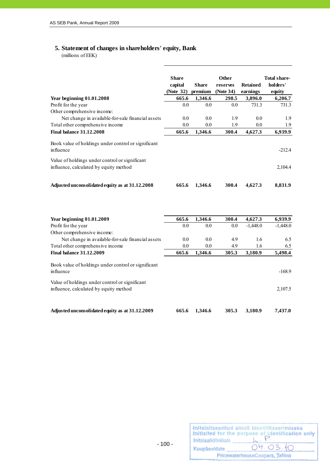# **5. Statement of changes in shareholders' equity, Bank**

(millions of EEK)

|                                                                                          | <b>Share</b><br>capital<br>(Note 32) | <b>Share</b><br>premium | <b>Other</b><br>reserves<br>(Note 34) | <b>Retained</b><br>earnings | <b>Total share-</b><br>holders'<br>equity |
|------------------------------------------------------------------------------------------|--------------------------------------|-------------------------|---------------------------------------|-----------------------------|-------------------------------------------|
| Year beginning $01.01.2008$                                                              | 665.6                                | 1,346.6                 | 298.5                                 | 3,896.0                     | 6,206.7                                   |
| Profit for the year                                                                      | 0.0                                  | 0.0                     | 0.0                                   | 731.3                       | 731.3                                     |
| Other comprehensive income:                                                              |                                      |                         |                                       |                             |                                           |
| Net change in available-for-sale financial assets                                        | 0.0                                  | 0.0                     | 1.9                                   | 0.0                         | 1.9                                       |
| Total other comprehensive income                                                         | 0.0                                  | 0.0                     | 1.9                                   | 0.0                         | 1.9                                       |
| <b>Final halance 31.12.2008</b>                                                          | 665.6                                | 1,346.6                 | 300.4                                 | 4,627.3                     | 6,939.9                                   |
| Book value of holdings under control or significant<br>influence                         |                                      |                         |                                       |                             | $-212.4$                                  |
| Value of holdings under control or significant<br>influence, calculated by equity method |                                      |                         |                                       |                             | 2,104.4                                   |
| Adjusted unconsolidated equity as at 31.12.2008                                          | 665.6                                | 1,346.6                 | 300.4                                 | 4,627.3                     | 8,831.9                                   |

| Year beginning $01.01.2009$                                                              | 665.6 | 1,346.6 | 300.4 | 4,627.3    | 6,939.9    |
|------------------------------------------------------------------------------------------|-------|---------|-------|------------|------------|
| Profit for the year                                                                      | 0.0   | 0.0     | 0.0   | $-1,448.0$ | $-1,448.0$ |
| Other comprehensive income:                                                              |       |         |       |            |            |
| Net change in available-for-sale financial assets                                        | 0.0   | 0.0     | 4.9   | 1.6        | 6.5        |
| Total other comprehensive income                                                         | 0.0   | 0.0     | 4.9   | 1.6        | 6.5        |
| <b>Final balance 31.12.2009</b>                                                          | 665.6 | 1,346.6 | 305.3 | 3,180.9    | 5,498.4    |
| Book value of holdings under control or significant<br><i>influence</i>                  |       |         |       |            | $-168.9$   |
| Value of holdings under control or significant<br>influence, calculated by equity method |       |         |       |            | 2,107.5    |
| Adjusted unconsolidated equity as at 31.12.2009                                          | 665.6 | 1.346.6 | 305.3 | 3.180.9    | 7.437.0    |

| Initsiaalid/initials | Initsialiseeritud ainult identifitseerimiseks<br>Initialled for the purpose of identification only |
|----------------------|----------------------------------------------------------------------------------------------------|
| Kuupäev/date         | 04.03.10                                                                                           |
|                      | PricewaterhouseCoopers, Tallinn                                                                    |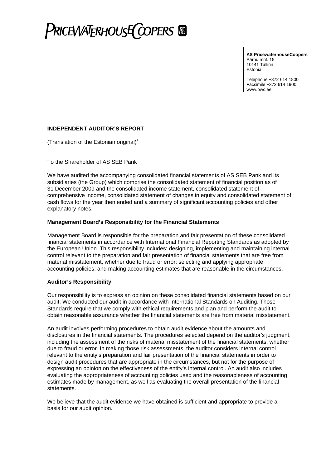

**AS PricewaterhouseCoopers** Pärnu mnt. 15 10141 Tallinn Estonia

Telephone +372 614 1800 Facsimile +372 614 1900 www.pwc.ee

#### **INDEPENDENT AUDITOR'S REPORT**

(Translation of the Estonian original)<sup>∗</sup>

To the Shareholder of AS SEB Pank

We have audited the accompanying consolidated financial statements of AS SEB Pank and its subsidiaries (the Group) which comprise the consolidated statement of financial position as of 31 December 2009 and the consolidated income statement, consolidated statement of comprehensive income, consolidated statement of changes in equity and consolidated statement of cash flows for the year then ended and a summary of significant accounting policies and other explanatory notes.

#### **Management Board's Responsibility for the Financial Statements**

Management Board is responsible for the preparation and fair presentation of these consolidated financial statements in accordance with International Financial Reporting Standards as adopted by the European Union. This responsibility includes: designing, implementing and maintaining internal control relevant to the preparation and fair presentation of financial statements that are free from material misstatement, whether due to fraud or error; selecting and applying appropriate accounting policies; and making accounting estimates that are reasonable in the circumstances.

#### **Auditor's Responsibility**

Our responsibility is to express an opinion on these consolidated financial statements based on our audit. We conducted our audit in accordance with International Standards on Auditing. Those Standards require that we comply with ethical requirements and plan and perform the audit to obtain reasonable assurance whether the financial statements are free from material misstatement.

An audit involves performing procedures to obtain audit evidence about the amounts and disclosures in the financial statements. The procedures selected depend on the auditor's judgment, including the assessment of the risks of material misstatement of the financial statements, whether due to fraud or error. In making those risk assessments, the auditor considers internal control relevant to the entity's preparation and fair presentation of the financial statements in order to design audit procedures that are appropriate in the circumstances, but not for the purpose of expressing an opinion on the effectiveness of the entity's internal control. An audit also includes evaluating the appropriateness of accounting policies used and the reasonableness of accounting estimates made by management, as well as evaluating the overall presentation of the financial statements.

We believe that the audit evidence we have obtained is sufficient and appropriate to provide a basis for our audit opinion.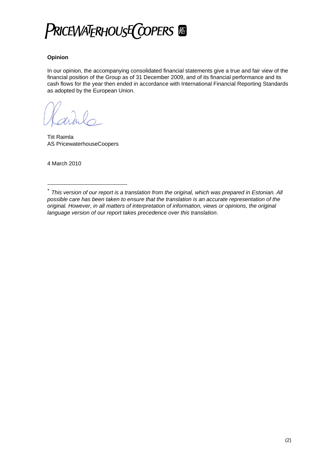

### **Opinion**

In our opinion, the accompanying consolidated financial statements give a true and fair view of the financial position of the Group as of 31 December 2009, and of its financial performance and its cash flows for the year then ended in accordance with International Financial Reporting Standards as adopted by the European Union.

Tiit Raimla AS PricewaterhouseCoopers

4 March 2010

1

*This version of our report is a translation from the original, which was prepared in Estonian. All possible care has been taken to ensure that the translation is an accurate representation of the original. However, in all matters of interpretation of information, views or opinions, the original language version of our report takes precedence over this translation.*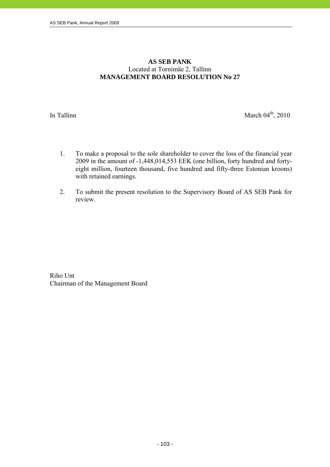# **AS SEB PANK**  Located at Tornimäe 2, Tallinn **MANAGEMENT BOARD RESOLUTION No 27**

In Tallinn March  $04<sup>th</sup>$ , 2010

- 1. To make a proposal to the sole shareholder to cover the loss of the financial year 2009 in the amount of -1,448,014,553 EEK (one billion, forty hundred and fortyeight million, fourteen thousand, five hundred and fifty-three Estonian kroons) with retained earnings.
- 2. To submit the present resolution to the Supervisory Board of AS SEB Pank for review.

Riho Unt Chairman of the Management Board